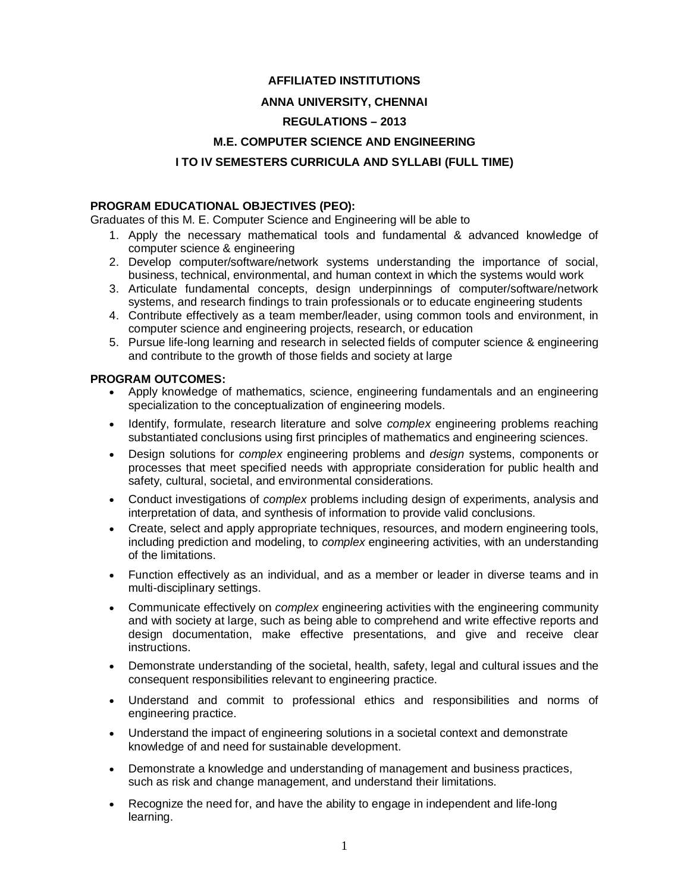# **AFFILIATED INSTITUTIONS**

### **ANNA UNIVERSITY, CHENNAI**

### **REGULATIONS – 2013**

# **M.E. COMPUTER SCIENCE AND ENGINEERING**

## **I TO IV SEMESTERS CURRICULA AND SYLLABI (FULL TIME)**

### **PROGRAM EDUCATIONAL OBJECTIVES (PEO):**

Graduates of this M. E. Computer Science and Engineering will be able to

- 1. Apply the necessary mathematical tools and fundamental & advanced knowledge of computer science & engineering
- 2. Develop computer/software/network systems understanding the importance of social, business, technical, environmental, and human context in which the systems would work
- 3. Articulate fundamental concepts, design underpinnings of computer/software/network systems, and research findings to train professionals or to educate engineering students
- 4. Contribute effectively as a team member/leader, using common tools and environment, in computer science and engineering projects, research, or education
- 5. Pursue life-long learning and research in selected fields of computer science & engineering and contribute to the growth of those fields and society at large

## **PROGRAM OUTCOMES:**

- Apply knowledge of mathematics, science, engineering fundamentals and an engineering specialization to the conceptualization of engineering models.
- Identify, formulate, research literature and solve *complex* engineering problems reaching substantiated conclusions using first principles of mathematics and engineering sciences.
- Design solutions for *complex* engineering problems and *design* systems, components or processes that meet specified needs with appropriate consideration for public health and safety, cultural, societal, and environmental considerations.
- Conduct investigations of *complex* problems including design of experiments, analysis and interpretation of data, and synthesis of information to provide valid conclusions.
- Create, select and apply appropriate techniques, resources, and modern engineering tools, including prediction and modeling, to *complex* engineering activities, with an understanding of the limitations.
- Function effectively as an individual, and as a member or leader in diverse teams and in multi-disciplinary settings.
- Communicate effectively on *complex* engineering activities with the engineering community and with society at large, such as being able to comprehend and write effective reports and design documentation, make effective presentations, and give and receive clear instructions.
- Demonstrate understanding of the societal, health, safety, legal and cultural issues and the consequent responsibilities relevant to engineering practice.
- Understand and commit to professional ethics and responsibilities and norms of engineering practice.
- Understand the impact of engineering solutions in a societal context and demonstrate knowledge of and need for sustainable development.
- Demonstrate a knowledge and understanding of management and business practices, such as risk and change management, and understand their limitations.
- Recognize the need for, and have the ability to engage in independent and life-long learning.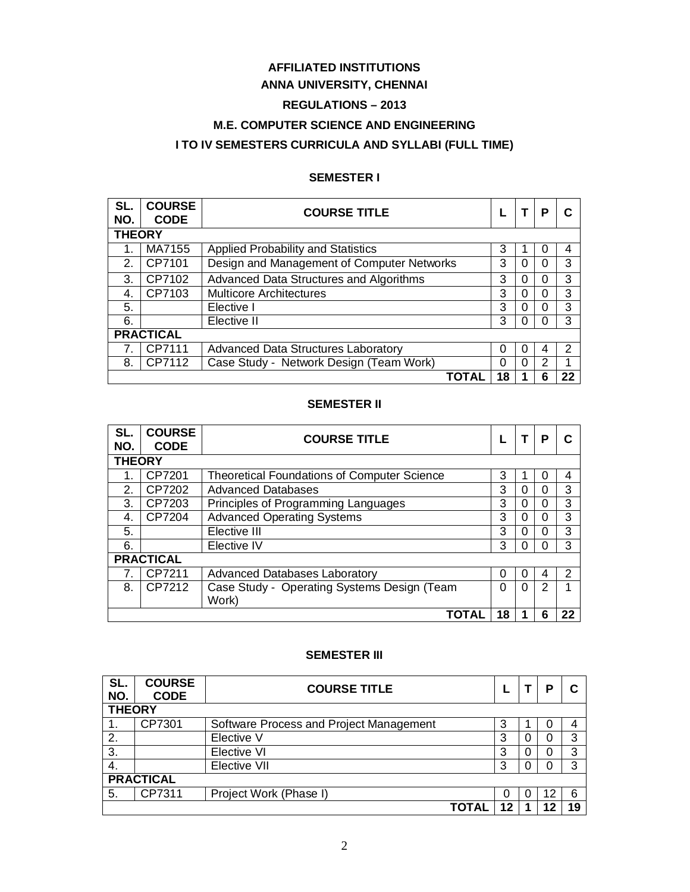# **AFFILIATED INSTITUTIONS**

# **ANNA UNIVERSITY, CHENNAI**

# **REGULATIONS – 2013**

# **M.E. COMPUTER SCIENCE AND ENGINEERING**

# **I TO IV SEMESTERS CURRICULA AND SYLLABI (FULL TIME)**

# **SEMESTER I**

| SL.<br>NO.    | <b>COURSE</b><br><b>CODE</b> | <b>COURSE TITLE</b>                        |          |   | P             |    |
|---------------|------------------------------|--------------------------------------------|----------|---|---------------|----|
| <b>THEORY</b> |                              |                                            |          |   |               |    |
|               | MA7155                       | <b>Applied Probability and Statistics</b>  | 3        |   |               | 4  |
| 2.            | CP7101                       | Design and Management of Computer Networks | 3        | 0 | 0             | 3  |
| 3.            | CP7102                       | Advanced Data Structures and Algorithms    | 3        | 0 | Ω             | 3  |
| 4.            | CP7103                       | <b>Multicore Architectures</b>             | 3        |   | 0             | 3  |
| 5.            |                              | Elective I                                 | 3        | 0 | Ω             | 3  |
| 6.            |                              | Elective II                                | 3        |   | 0             | 3  |
|               | <b>PRACTICAL</b>             |                                            |          |   |               |    |
| 7.            | CP7111                       | <b>Advanced Data Structures Laboratory</b> | 0        | 0 |               | 2  |
| 8.            | CP7112                       | Case Study - Network Design (Team Work)    | $\Omega$ | 0 | $\mathcal{P}$ | 1  |
|               |                              | TOTAL                                      | 18       |   | 6             | 22 |

### **SEMESTER II**

| SL.<br>NO.    | <b>COURSE</b><br><b>CODE</b> | <b>COURSE TITLE</b>                                |    |   | Р |   |
|---------------|------------------------------|----------------------------------------------------|----|---|---|---|
| <b>THEORY</b> |                              |                                                    |    |   |   |   |
|               | CP7201                       | <b>Theoretical Foundations of Computer Science</b> | 3  |   |   | 4 |
| $\mathcal{P}$ | CP7202                       | <b>Advanced Databases</b>                          | 3  | 0 | O | 3 |
| З.            | CP7203                       | Principles of Programming Languages                | 3  | 0 | 0 | 3 |
| 4.            | CP7204                       | <b>Advanced Operating Systems</b>                  | 3  | 0 | 0 | 3 |
| 5.            |                              | Elective III                                       | 3  | 0 | O | 3 |
| 6.            |                              | Elective IV                                        | 3  | 0 |   | 3 |
|               | <b>PRACTICAL</b>             |                                                    |    |   |   |   |
|               | CP7211                       | <b>Advanced Databases Laboratory</b>               | O  | 0 | 4 | 2 |
| 8.            | CP7212                       | Case Study - Operating Systems Design (Team        | 0  | 0 | 2 |   |
|               |                              | Work)                                              |    |   |   |   |
|               |                              | ΤΟΤΑΙ                                              | 18 |   | 6 |   |

#### **SEMESTER III**

| SL.<br>NO.       | <b>COURSE</b><br><b>CODE</b> | <b>COURSE TITLE</b>                     |    |   | D |    |  |  |
|------------------|------------------------------|-----------------------------------------|----|---|---|----|--|--|
| <b>THEORY</b>    |                              |                                         |    |   |   |    |  |  |
|                  | CP7301                       | Software Process and Project Management | 3  |   |   |    |  |  |
| 2.               |                              | Elective V                              | 3  | U |   | 3  |  |  |
| 3.               |                              | Elective VI                             | 3  | 0 |   | 3  |  |  |
| 4.               |                              | Elective VII                            | 3  | 0 |   | 3  |  |  |
| <b>PRACTICAL</b> |                              |                                         |    |   |   |    |  |  |
| 5.               | CP7311                       | Project Work (Phase I)                  | 0  |   |   | 6  |  |  |
|                  |                              | TOTAL                                   | 12 |   |   | 19 |  |  |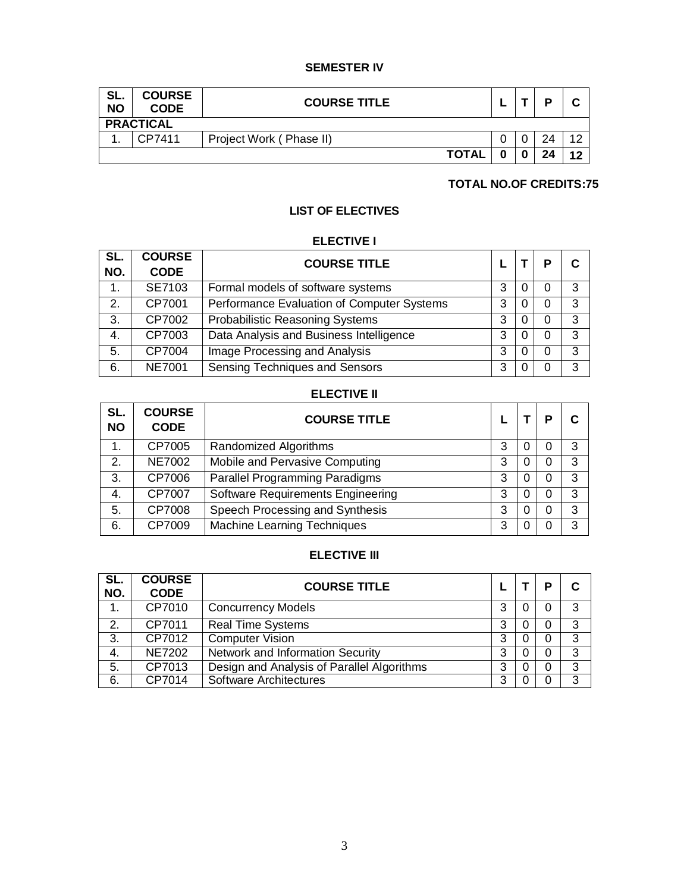# **SEMESTER IV**

| SL.<br><b>NO</b> | <b>COURSE</b><br><b>CODE</b> | <b>COURSE TITLE</b>     | - |  | D  |    |  |  |
|------------------|------------------------------|-------------------------|---|--|----|----|--|--|
|                  | <b>PRACTICAL</b>             |                         |   |  |    |    |  |  |
|                  | CP7411                       | Project Work (Phase II) | υ |  | 24 |    |  |  |
|                  |                              | <b>TOTAL</b>            | 0 |  | 24 | 19 |  |  |

# **TOTAL NO.OF CREDITS:75**

# **LIST OF ELECTIVES**

# **ELECTIVE I**

| SL.<br>NO. | <b>COURSE</b><br><b>CODE</b> | <b>COURSE TITLE</b>                        |   |   | P |   |
|------------|------------------------------|--------------------------------------------|---|---|---|---|
|            | SE7103                       | Formal models of software systems          | 3 |   | 0 | 3 |
| 2.         | CP7001                       | Performance Evaluation of Computer Systems | 3 |   | 0 | 3 |
| 3.         | CP7002                       | <b>Probabilistic Reasoning Systems</b>     | 3 | U | 0 | 3 |
| 4.         | CP7003                       | Data Analysis and Business Intelligence    | 3 |   | 0 | 3 |
| 5.         | CP7004                       | <b>Image Processing and Analysis</b>       | 3 |   | 0 | 3 |
| 6.         | <b>NE7001</b>                | Sensing Techniques and Sensors             | 3 |   | O | 3 |

# **ELECTIVE II**

| SL.<br><b>NO</b> | <b>COURSE</b><br><b>CODE</b> | <b>COURSE TITLE</b>                      |   |   |   |   |
|------------------|------------------------------|------------------------------------------|---|---|---|---|
| 1.               | CP7005                       | Randomized Algorithms                    | 3 | O |   | 3 |
| 2.               | <b>NE7002</b>                | Mobile and Pervasive Computing           | 3 | O |   | 3 |
| 3.               | CP7006                       | <b>Parallel Programming Paradigms</b>    | 3 | 0 |   | 3 |
| 4.               | CP7007                       | <b>Software Requirements Engineering</b> | 3 | O |   | 3 |
| 5.               | CP7008                       | Speech Processing and Synthesis          | 3 | Ω | 0 | 3 |
| 6.               | CP7009                       | Machine Learning Techniques              | 3 |   |   | 3 |

### **ELECTIVE III**

| SL.<br>NO. | <b>COURSE</b><br><b>CODE</b> | <b>COURSE TITLE</b>                        |   | D | С |
|------------|------------------------------|--------------------------------------------|---|---|---|
| 1.         | CP7010                       | <b>Concurrency Models</b>                  | 3 |   | 3 |
| 2.         | CP7011                       | <b>Real Time Systems</b>                   | 3 | O | 3 |
| 3.         | CP7012                       | <b>Computer Vision</b>                     | 3 | 0 | 3 |
| 4.         | <b>NE7202</b>                | Network and Information Security           | 3 | 0 | 3 |
| 5.         | CP7013                       | Design and Analysis of Parallel Algorithms | 3 | 0 | 3 |
| 6.         | CP7014                       | Software Architectures                     | 3 |   | 3 |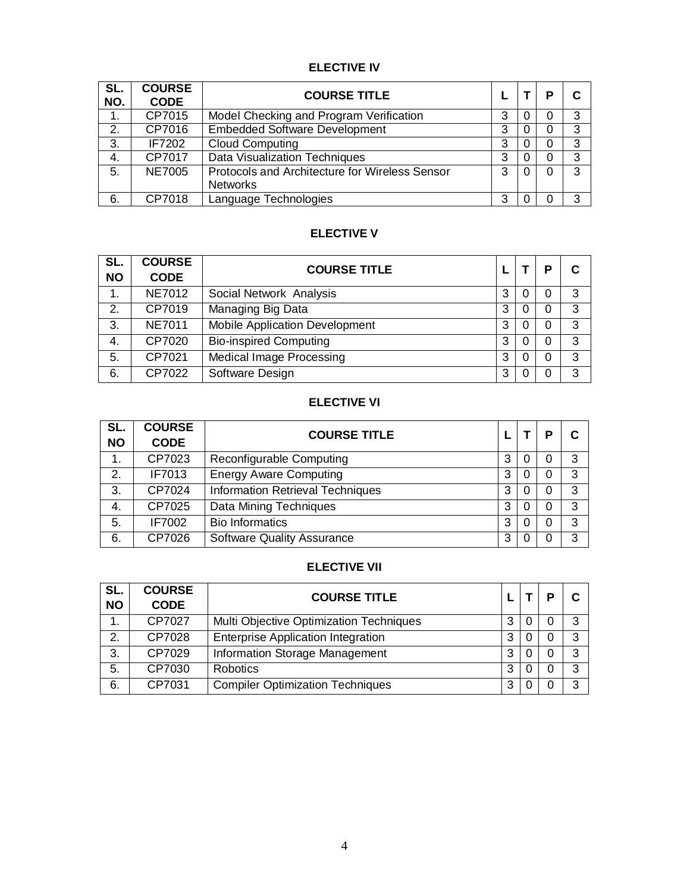# **ELECTIVE IV**

| SL.<br>NO. | <b>COURSE</b><br><b>CODE</b> | <b>COURSE TITLE</b>                            |   | Р        |   |
|------------|------------------------------|------------------------------------------------|---|----------|---|
| 1.         | CP7015                       | Model Checking and Program Verification        | 3 | 0        | 3 |
| 2.         | CP7016                       | <b>Embedded Software Development</b>           | 3 | 0        | 3 |
| 3.         | <b>IF7202</b>                | <b>Cloud Computing</b>                         | 3 | O        | 3 |
| 4.         | CP7017                       | Data Visualization Techniques                  | 3 | 0        | 3 |
| 5.         | <b>NE7005</b>                | Protocols and Architecture for Wireless Sensor | 3 | $\Omega$ | 3 |
|            |                              | <b>Networks</b>                                |   |          |   |
| 6.         | CP7018                       | Language Technologies                          | 3 | 0        | З |

# **ELECTIVE V**

| SL.       | <b>COURSE</b> | <b>COURSE TITLE</b>                   |   |          | D | С |
|-----------|---------------|---------------------------------------|---|----------|---|---|
| <b>NO</b> | <b>CODE</b>   |                                       |   |          |   |   |
| 1.        | <b>NE7012</b> | Social Network Analysis               | 3 | 0        | 0 | 3 |
| 2.        | CP7019        | Managing Big Data                     | 3 | 0        | 0 | 3 |
| 3.        | <b>NE7011</b> | <b>Mobile Application Development</b> | 3 | 0        | 0 | 3 |
| 4.        | CP7020        | <b>Bio-inspired Computing</b>         | 3 | 0        | 0 | 3 |
| 5.        | CP7021        | Medical Image Processing              | 3 | O        | 0 | 3 |
| 6.        | CP7022        | Software Design                       | 3 | $\left($ | ი | 3 |

# **ELECTIVE VI**

| SL.<br><b>NO</b> | <b>COURSE</b><br><b>CODE</b> | <b>COURSE TITLE</b>                     |   |   | P        |   |
|------------------|------------------------------|-----------------------------------------|---|---|----------|---|
| 1.               | CP7023                       | Reconfigurable Computing                | 3 | 0 | 0        | 3 |
| 2.               | IF7013                       | <b>Energy Aware Computing</b>           | 3 | 0 |          | 3 |
| 3.               | CP7024                       | <b>Information Retrieval Techniques</b> | 3 | 0 |          | 3 |
| 4.               | CP7025                       | Data Mining Techniques                  | 3 | O | $\Omega$ | 3 |
| 5.               | IF7002                       | <b>Bio Informatics</b>                  | 3 | 0 |          | 3 |
| 6.               | CP7026                       | <b>Software Quality Assurance</b>       | 3 |   |          | વ |

# **ELECTIVE VII**

| SL.<br><b>NO</b> | <b>COURSE</b><br><b>CODE</b> | <b>COURSE TITLE</b>                       |   | D |   |
|------------------|------------------------------|-------------------------------------------|---|---|---|
|                  |                              |                                           |   |   | 3 |
| 1.               | CP7027                       | Multi Objective Optimization Techniques   | 3 |   |   |
| 2.               | CP7028                       | <b>Enterprise Application Integration</b> | 3 |   | 3 |
| 3.               | CP7029                       | Information Storage Management            | 3 |   | 3 |
| 5.               | CP7030                       | <b>Robotics</b>                           | 3 |   | 3 |
| 6.               | CP7031                       | <b>Compiler Optimization Techniques</b>   | 3 |   | 2 |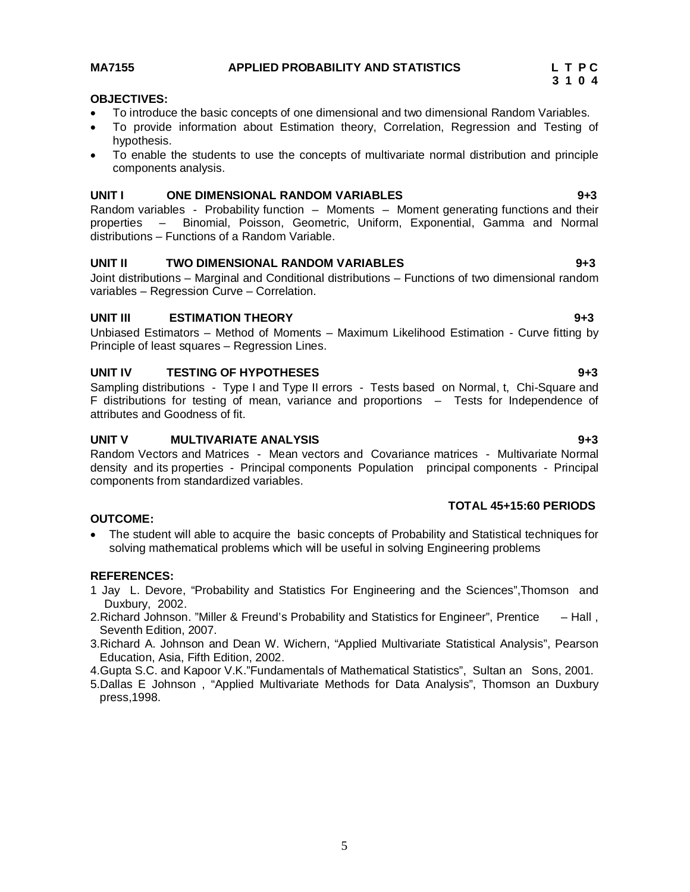### **MA7155 APPLIED PROBABILITY AND STATISTICS L T P C**

### **OBJECTIVES:**

- To introduce the basic concepts of one dimensional and two dimensional Random Variables.
- To provide information about Estimation theory, Correlation, Regression and Testing of hypothesis.
- To enable the students to use the concepts of multivariate normal distribution and principle components analysis.

#### **UNIT I ONE DIMENSIONAL RANDOM VARIABLES 9+3**

Random variables - Probability function  $-$  Moments  $-$  Moment generating functions and their properties – Binomial, Poisson, Geometric, Uniform, Exponential, Gamma and Normal distributions – Functions of a Random Variable.

# **UNIT II TWO DIMENSIONAL RANDOM VARIABLES 9+3**

Joint distributions – Marginal and Conditional distributions – Functions of two dimensional random variables – Regression Curve – Correlation.

### **UNIT III ESTIMATION THEORY 9+3**

Unbiased Estimators – Method of Moments – Maximum Likelihood Estimation - Curve fitting by Principle of least squares – Regression Lines.

### **UNIT IV TESTING OF HYPOTHESES 9+3**

Sampling distributions - Type I and Type II errors - Tests based on Normal, t, Chi-Square and F distributions for testing of mean, variance and proportions – Tests for Independence of attributes and Goodness of fit.

# **UNIT V MULTIVARIATE ANALYSIS 9+3**

Random Vectors and Matrices - Mean vectors and Covariance matrices - Multivariate Normal density and its properties - Principal components Population principal components - Principal components from standardized variables.

# **TOTAL 45+15:60 PERIODS**

#### **OUTCOME:**

 The student will able to acquire the basic concepts of Probability and Statistical techniques for solving mathematical problems which will be useful in solving Engineering problems

#### **REFERENCES:**

- 1 Jay L. Devore, "Probability and Statistics For Engineering and the Sciences",Thomson and Duxbury, 2002.
- 2.Richard Johnson. "Miller & Freund's Probability and Statistics for Engineer", Prentice Hall , Seventh Edition, 2007.
- 3.Richard A. Johnson and Dean W. Wichern, "Applied Multivariate Statistical Analysis", Pearson Education, Asia, Fifth Edition, 2002.
- 4.Gupta S.C. and Kapoor V.K."Fundamentals of Mathematical Statistics", Sultan an Sons, 2001.
- 5.Dallas E Johnson , "Applied Multivariate Methods for Data Analysis", Thomson an Duxbury press,1998.

 **3 1 0 4**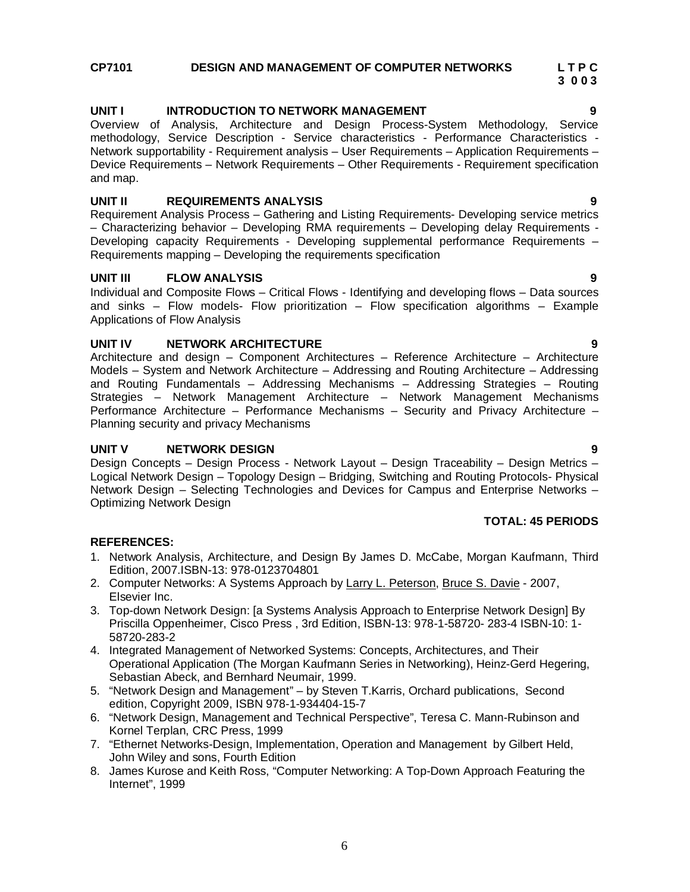# **CP7101 DESIGN AND MANAGEMENT OF COMPUTER NETWORKS L T P C**

 **3 0 0 3**

# **UNIT I INTRODUCTION TO NETWORK MANAGEMENT 9**

Overview of Analysis, Architecture and Design Process-System Methodology, Service methodology, Service Description - Service characteristics - Performance Characteristics - Network supportability - Requirement analysis – User Requirements – Application Requirements – Device Requirements – Network Requirements – Other Requirements - Requirement specification and map.

# **UNIT II REQUIREMENTS ANALYSIS 9**

Requirement Analysis Process – Gathering and Listing Requirements- Developing service metrics – Characterizing behavior – Developing RMA requirements – Developing delay Requirements - Developing capacity Requirements - Developing supplemental performance Requirements – Requirements mapping – Developing the requirements specification

# **UNIT III FLOW ANALYSIS 9**

Individual and Composite Flows – Critical Flows - Identifying and developing flows – Data sources and sinks – Flow models- Flow prioritization – Flow specification algorithms – Example Applications of Flow Analysis

# **UNIT IV NETWORK ARCHITECTURE 9**

Architecture and design – Component Architectures – Reference Architecture – Architecture Models – System and Network Architecture – Addressing and Routing Architecture – Addressing and Routing Fundamentals – Addressing Mechanisms – Addressing Strategies – Routing Strategies – Network Management Architecture – Network Management Mechanisms Performance Architecture – Performance Mechanisms – Security and Privacy Architecture – Planning security and privacy Mechanisms

# **UNIT V NETWORK DESIGN 9**

Design Concepts – Design Process - Network Layout – Design Traceability – Design Metrics – Logical Network Design – Topology Design – Bridging, Switching and Routing Protocols- Physical Network Design – Selecting Technologies and Devices for Campus and Enterprise Networks – Optimizing Network Design

# **TOTAL: 45 PERIODS**

# **REFERENCES:**

- 1. Network Analysis, Architecture, and Design By James D. McCabe, Morgan Kaufmann, Third Edition, 2007.ISBN-13: 978-0123704801
- 2. Computer Networks: A Systems Approach by Larry L. Peterson, Bruce S. Davie 2007, Elsevier Inc.
- 3. Top-down Network Design: [a Systems Analysis Approach to Enterprise Network Design] By Priscilla Oppenheimer, Cisco Press , 3rd Edition, ISBN-13: 978-1-58720- 283-4 ISBN-10: 1- 58720-283-2
- 4. Integrated Management of Networked Systems: Concepts, Architectures, and Their Operational Application (The Morgan Kaufmann Series in Networking), Heinz-Gerd Hegering, Sebastian Abeck, and Bernhard Neumair, 1999.
- 5. "Network Design and Management" by Steven T.Karris, Orchard publications, Second edition, Copyright 2009, ISBN 978-1-934404-15-7
- 6. "Network Design, Management and Technical Perspective", Teresa C. Mann-Rubinson and Kornel Terplan, CRC Press, 1999
- 7. "Ethernet Networks-Design, Implementation, Operation and Management by Gilbert Held, John Wiley and sons, Fourth Edition
- 8. James Kurose and Keith Ross, "Computer Networking: A Top-Down Approach Featuring the Internet", 1999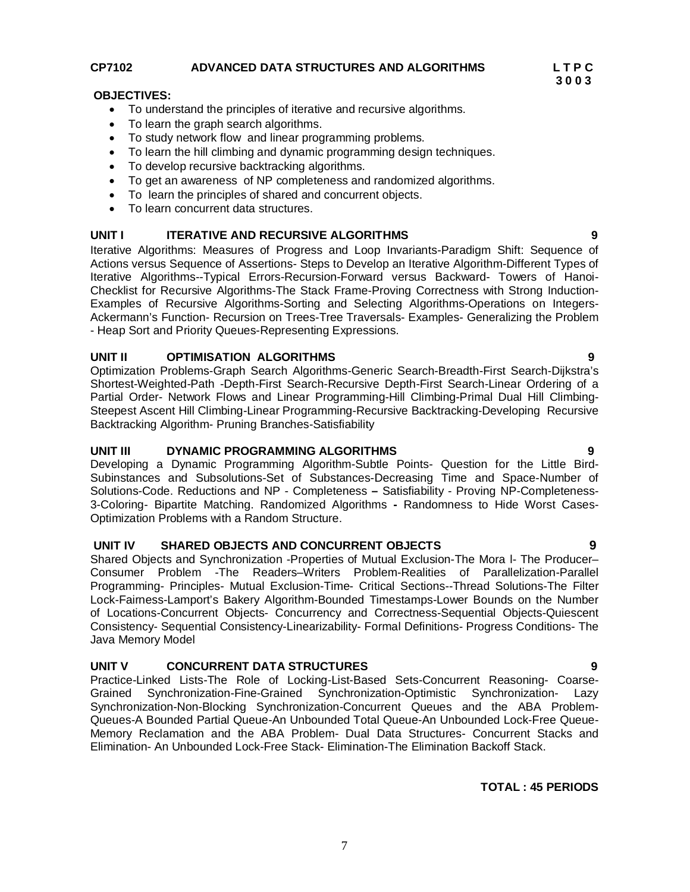# **CP7102 ADVANCED DATA STRUCTURES AND ALGORITHMS L T P C**

 **3 0 0 3**

### **OBJECTIVES:**

- To understand the principles of iterative and recursive algorithms.
- To learn the graph search algorithms.
- To study network flow and linear programming problems.
- To learn the hill climbing and dynamic programming design techniques.
- To develop recursive backtracking algorithms.
- To get an awareness of NP completeness and randomized algorithms.
- To learn the principles of shared and concurrent objects.
- To learn concurrent data structures.

# UNIT **I ITERATIVE AND RECURSIVE ALGORITHMS**

Iterative Algorithms: Measures of Progress and Loop Invariants-Paradigm Shift: Sequence of Actions versus Sequence of Assertions- Steps to Develop an Iterative Algorithm-Different Types of Iterative Algorithms--Typical Errors-Recursion-Forward versus Backward- Towers of Hanoi-Checklist for Recursive Algorithms-The Stack Frame-Proving Correctness with Strong Induction-Examples of Recursive Algorithms-Sorting and Selecting Algorithms-Operations on Integers-Ackermann's Function- Recursion on Trees-Tree Traversals- Examples- Generalizing the Problem - Heap Sort and Priority Queues-Representing Expressions.

# **UNIT II OPTIMISATION ALGORITHMS 9**

Optimization Problems-Graph Search Algorithms-Generic Search-Breadth-First Search-Dijkstra's Shortest-Weighted-Path -Depth-First Search-Recursive Depth-First Search-Linear Ordering of a Partial Order- Network Flows and Linear Programming-Hill Climbing-Primal Dual Hill Climbing-Steepest Ascent Hill Climbing-Linear Programming-Recursive Backtracking-Developing Recursive Backtracking Algorithm- Pruning Branches-Satisfiability

# **UNIT III DYNAMIC PROGRAMMING ALGORITHMS 9**

Developing a Dynamic Programming Algorithm-Subtle Points- Question for the Little Bird-Subinstances and Subsolutions-Set of Substances-Decreasing Time and Space-Number of Solutions-Code. Reductions and NP - Completeness **–** Satisfiability - Proving NP-Completeness-3-Coloring- Bipartite Matching. Randomized Algorithms **-** Randomness to Hide Worst Cases-Optimization Problems with a Random Structure.

# **UNIT IV SHARED OBJECTS AND CONCURRENT OBJECTS 9**

Shared Objects and Synchronization -Properties of Mutual Exclusion-The Mora l- The Producer– Consumer Problem -The Readers–Writers Problem-Realities of Parallelization-Parallel Programming- Principles- Mutual Exclusion-Time- Critical Sections--Thread Solutions-The Filter Lock-Fairness-Lamport's Bakery Algorithm-Bounded Timestamps-Lower Bounds on the Number of Locations-Concurrent Objects- Concurrency and Correctness-Sequential Objects-Quiescent Consistency- Sequential Consistency-Linearizability- Formal Definitions- Progress Conditions- The Java Memory Model

# **UNIT V CONCURRENT DATA STRUCTURES 9**

Practice-Linked Lists-The Role of Locking-List-Based Sets-Concurrent Reasoning- Coarse-Grained Synchronization-Fine-Grained Synchronization-Optimistic Synchronization- Lazy Synchronization-Non-Blocking Synchronization-Concurrent Queues and the ABA Problem-Queues-A Bounded Partial Queue-An Unbounded Total Queue-An Unbounded Lock-Free Queue-Memory Reclamation and the ABA Problem- Dual Data Structures- Concurrent Stacks and Elimination- An Unbounded Lock-Free Stack- Elimination-The Elimination Backoff Stack.

7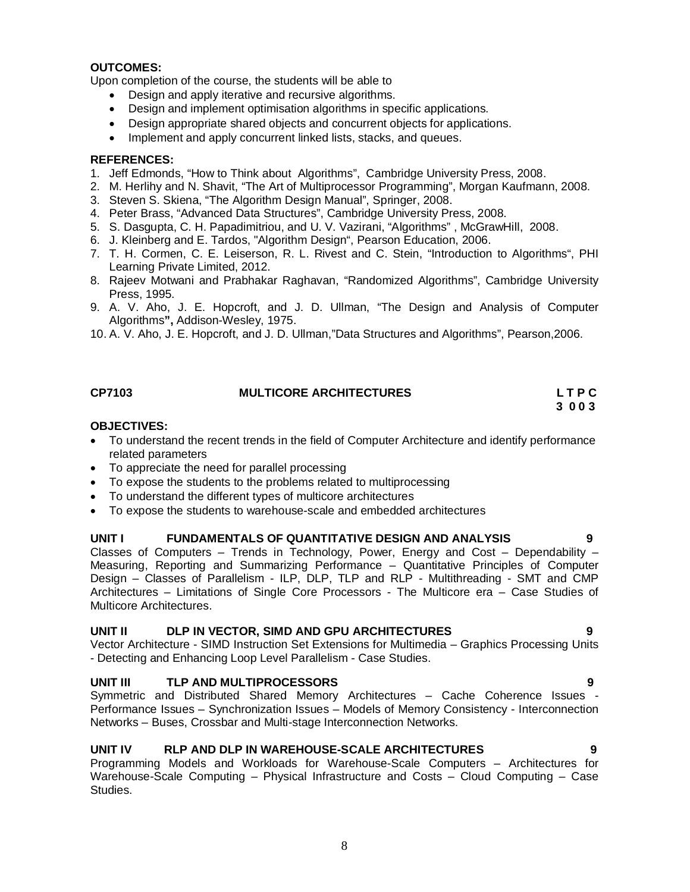Upon completion of the course, the students will be able to

- Design and apply iterative and recursive algorithms.
- Design and implement optimisation algorithms in specific applications.
- Design appropriate shared objects and concurrent objects for applications.
- Implement and apply concurrent linked lists, stacks, and queues.

## **REFERENCES:**

- 1. Jeff Edmonds, "How to Think about Algorithms", Cambridge University Press, 2008.
- 2. M. Herlihy and N. Shavit, "The Art of Multiprocessor Programming", Morgan Kaufmann, 2008.
- 3. Steven S. Skiena, "The Algorithm Design Manual", Springer, 2008.
- 4. Peter Brass, "Advanced Data Structures", Cambridge University Press, 2008.
- 5. S. Dasgupta, C. H. Papadimitriou, and U. V. Vazirani, "Algorithms" , McGrawHill, 2008.
- 6. J. Kleinberg and E. Tardos, "Algorithm Design", Pearson Education, 2006.
- 7. T. H. Cormen, C. E. Leiserson, R. L. Rivest and C. Stein, "Introduction to Algorithms", PHI Learning Private Limited, 2012.
- 8. Rajeev Motwani and Prabhakar Raghavan, "Randomized Algorithms", Cambridge University Press, 1995.
- 9. A. V. Aho, J. E. Hopcroft, and J. D. Ullman, "The Design and Analysis of Computer Algorithms**",** Addison-Wesley, 1975.
- 10. A. V. Aho, J. E. Hopcroft, and J. D. Ullman,"Data Structures and Algorithms", Pearson,2006.

# **CP7103 MULTICORE ARCHITECTURES L T P C**

### **OBJECTIVES:**

- To understand the recent trends in the field of Computer Architecture and identify performance related parameters
- To appreciate the need for parallel processing
- To expose the students to the problems related to multiprocessing
- To understand the different types of multicore architectures
- To expose the students to warehouse-scale and embedded architectures

### **UNIT I FUNDAMENTALS OF QUANTITATIVE DESIGN AND ANALYSIS 9**

Classes of Computers – Trends in Technology, Power, Energy and Cost – Dependability – Measuring, Reporting and Summarizing Performance – Quantitative Principles of Computer Design – Classes of Parallelism - ILP, DLP, TLP and RLP - Multithreading - SMT and CMP Architectures – Limitations of Single Core Processors - The Multicore era – Case Studies of Multicore Architectures.

# **UNIT II DLP IN VECTOR, SIMD AND GPU ARCHITECTURES 9**

Vector Architecture - SIMD Instruction Set Extensions for Multimedia – Graphics Processing Units - Detecting and Enhancing Loop Level Parallelism - Case Studies.

# **UNIT III TLP AND MULTIPROCESSORS 9**

Symmetric and Distributed Shared Memory Architectures – Cache Coherence Issues - Performance Issues – Synchronization Issues – Models of Memory Consistency - Interconnection Networks – Buses, Crossbar and Multi-stage Interconnection Networks.

# **UNIT IV RLP AND DLP IN WAREHOUSE-SCALE ARCHITECTURES 9**

Programming Models and Workloads for Warehouse-Scale Computers – Architectures for Warehouse-Scale Computing – Physical Infrastructure and Costs – Cloud Computing – Case Studies.

8

# **3 0 0 3**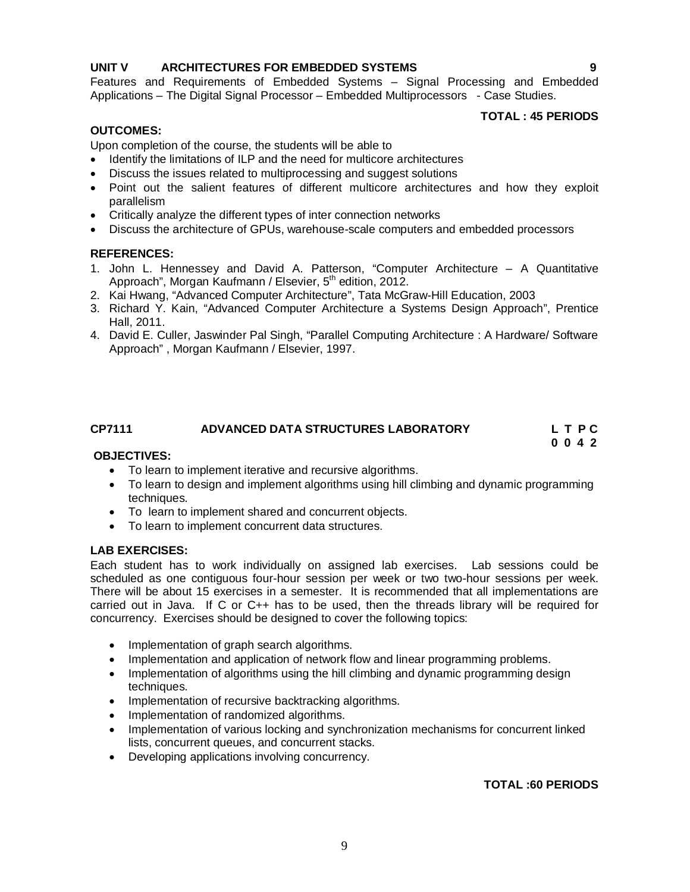# **UNIT V ARCHITECTURES FOR EMBEDDED SYSTEMS 9**

Features and Requirements of Embedded Systems – Signal Processing and Embedded Applications – The Digital Signal Processor – Embedded Multiprocessors - Case Studies.

### **TOTAL : 45 PERIODS**

# **OUTCOMES:**

Upon completion of the course, the students will be able to

- Identify the limitations of ILP and the need for multicore architectures
- Discuss the issues related to multiprocessing and suggest solutions
- Point out the salient features of different multicore architectures and how they exploit parallelism
- Critically analyze the different types of inter connection networks
- Discuss the architecture of GPUs, warehouse-scale computers and embedded processors

### **REFERENCES:**

- 1. John L. Hennessey and David A. Patterson, "Computer Architecture A Quantitative Approach", Morgan Kaufmann / Elsevier, 5<sup>th</sup> edition, 2012.
- 2. Kai Hwang, "Advanced Computer Architecture", Tata McGraw-Hill Education, 2003
- 3. Richard Y. Kain, "Advanced Computer Architecture a Systems Design Approach", Prentice Hall, 2011.
- 4. David E. Culler, Jaswinder Pal Singh, "Parallel Computing Architecture : A Hardware/ Software Approach" , Morgan Kaufmann / Elsevier, 1997.

# **CP7111 ADVANCED DATA STRUCTURES LABORATORY L T P C**

#### **0 0 4 2 OBJECTIVES:**

- To learn to implement iterative and recursive algorithms.
- To learn to design and implement algorithms using hill climbing and dynamic programming techniques.
- To learn to implement shared and concurrent objects.
- To learn to implement concurrent data structures.

#### **LAB EXERCISES:**

Each student has to work individually on assigned lab exercises. Lab sessions could be scheduled as one contiguous four-hour session per week or two two-hour sessions per week. There will be about 15 exercises in a semester. It is recommended that all implementations are carried out in Java. If C or C++ has to be used, then the threads library will be required for concurrency. Exercises should be designed to cover the following topics:

- Implementation of graph search algorithms.
- Implementation and application of network flow and linear programming problems.
- Implementation of algorithms using the hill climbing and dynamic programming design techniques.
- Implementation of recursive backtracking algorithms.
- Implementation of randomized algorithms.
- Implementation of various locking and synchronization mechanisms for concurrent linked lists, concurrent queues, and concurrent stacks.
- Developing applications involving concurrency.

#### **TOTAL :60 PERIODS**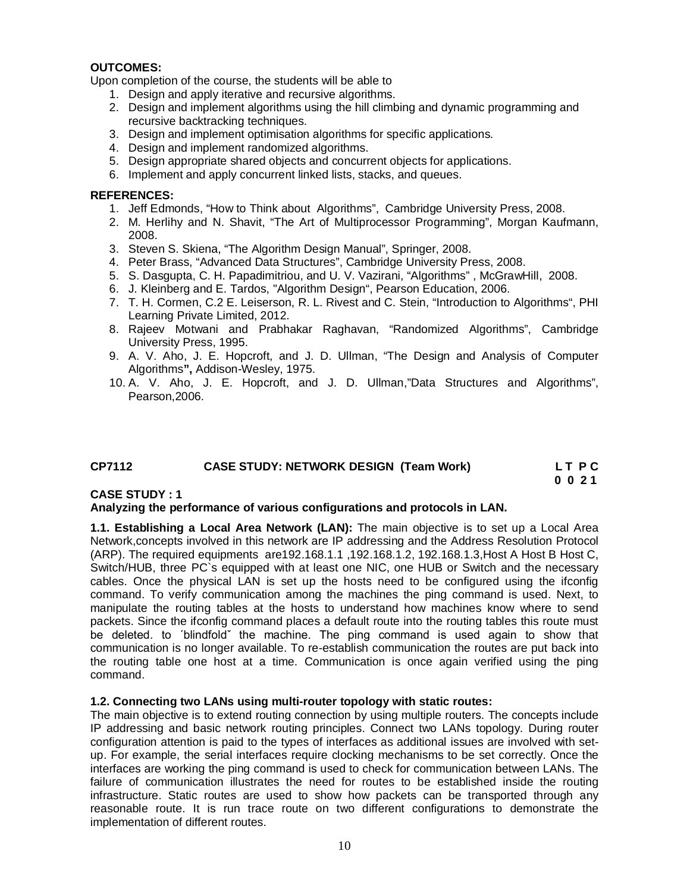Upon completion of the course, the students will be able to

- 1. Design and apply iterative and recursive algorithms.
- 2. Design and implement algorithms using the hill climbing and dynamic programming and recursive backtracking techniques.
- 3. Design and implement optimisation algorithms for specific applications.
- 4. Design and implement randomized algorithms.
- 5. Design appropriate shared objects and concurrent objects for applications.
- 6. Implement and apply concurrent linked lists, stacks, and queues.

#### **REFERENCES:**

- 1. Jeff Edmonds, "How to Think about Algorithms", Cambridge University Press, 2008.
- 2. M. Herlihy and N. Shavit, "The Art of Multiprocessor Programming", Morgan Kaufmann, 2008.
- 3. Steven S. Skiena, "The Algorithm Design Manual", Springer, 2008.
- 4. Peter Brass, "Advanced Data Structures", Cambridge University Press, 2008.
- 5. S. Dasgupta, C. H. Papadimitriou, and U. V. Vazirani, "Algorithms" , McGrawHill, 2008.
- 6. J. Kleinberg and E. Tardos, "Algorithm Design", Pearson Education, 2006.
- 7. T. H. Cormen, C.2 E. Leiserson, R. L. Rivest and C. Stein, "Introduction to Algorithms", PHI Learning Private Limited, 2012.
- 8. Rajeev Motwani and Prabhakar Raghavan, "Randomized Algorithms", Cambridge University Press, 1995.
- 9. A. V. Aho, J. E. Hopcroft, and J. D. Ullman, "The Design and Analysis of Computer Algorithms**",** Addison-Wesley, 1975.
- 10. A. V. Aho, J. E. Hopcroft, and J. D. Ullman,"Data Structures and Algorithms", Pearson,2006.

# **CP7112 CASE STUDY: NETWORK DESIGN (Team Work) L T P C 0 0 2 1**

# **CASE STUDY : 1**

#### **Analyzing the performance of various configurations and protocols in LAN.**

**1.1. Establishing a Local Area Network (LAN):** The main objective is to set up a Local Area Network,concepts involved in this network are IP addressing and the Address Resolution Protocol (ARP). The required equipments are192.168.1.1 ,192.168.1.2, 192.168.1.3,Host A Host B Host C, Switch/HUB, three PC`s equipped with at least one NIC, one HUB or Switch and the necessary cables. Once the physical LAN is set up the hosts need to be configured using the ifconfig command. To verify communication among the machines the ping command is used. Next, to manipulate the routing tables at the hosts to understand how machines know where to send packets. Since the ifconfig command places a default route into the routing tables this route must be deleted. to ´blindfoldˇ the machine. The ping command is used again to show that communication is no longer available. To re-establish communication the routes are put back into the routing table one host at a time. Communication is once again verified using the ping command.

#### **1.2. Connecting two LANs using multi-router topology with static routes:**

The main objective is to extend routing connection by using multiple routers. The concepts include IP addressing and basic network routing principles. Connect two LANs topology. During router configuration attention is paid to the types of interfaces as additional issues are involved with setup. For example, the serial interfaces require clocking mechanisms to be set correctly. Once the interfaces are working the ping command is used to check for communication between LANs. The failure of communication illustrates the need for routes to be established inside the routing infrastructure. Static routes are used to show how packets can be transported through any reasonable route. It is run trace route on two different configurations to demonstrate the implementation of different routes.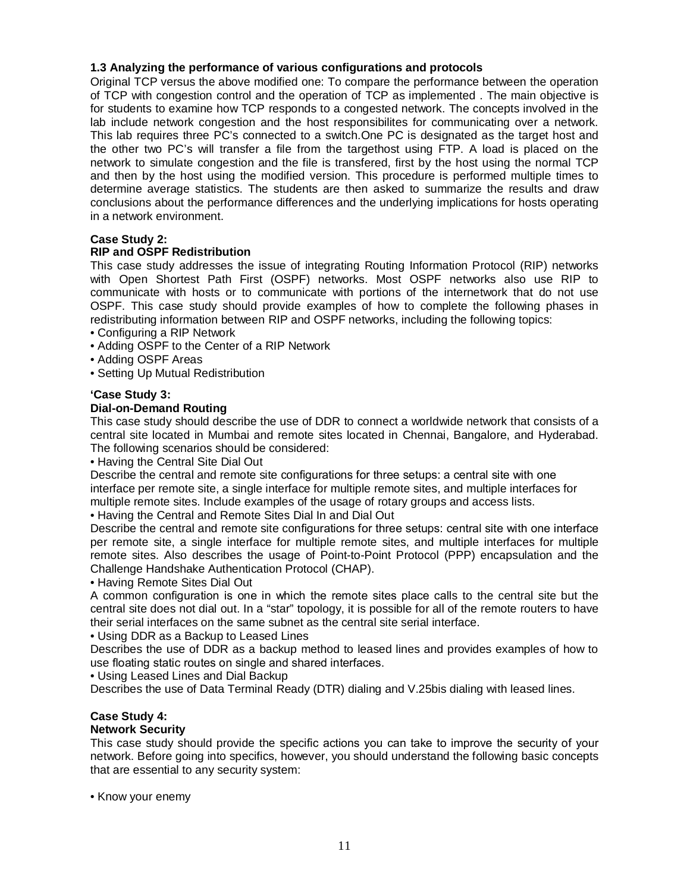# **1.3 Analyzing the performance of various configurations and protocols**

Original TCP versus the above modified one: To compare the performance between the operation of TCP with congestion control and the operation of TCP as implemented . The main objective is for students to examine how TCP responds to a congested network. The concepts involved in the lab include network congestion and the host responsibilites for communicating over a network. This lab requires three PC's connected to a switch.One PC is designated as the target host and the other two PC's will transfer a file from the targethost using FTP. A load is placed on the network to simulate congestion and the file is transfered, first by the host using the normal TCP and then by the host using the modified version. This procedure is performed multiple times to determine average statistics. The students are then asked to summarize the results and draw conclusions about the performance differences and the underlying implications for hosts operating in a network environment.

# **Case Study 2:**

# **RIP and OSPF Redistribution**

This case study addresses the issue of integrating Routing Information Protocol (RIP) networks with Open Shortest Path First (OSPF) networks. Most OSPF networks also use RIP to communicate with hosts or to communicate with portions of the internetwork that do not use OSPF. This case study should provide examples of how to complete the following phases in redistributing information between RIP and OSPF networks, including the following topics:

- Configuring a RIP Network
- Adding OSPF to the Center of a RIP Network
- Adding OSPF Areas
- Setting Up Mutual Redistribution

# **'Case Study 3:**

# **Dial-on-Demand Routing**

This case study should describe the use of DDR to connect a worldwide network that consists of a central site located in Mumbai and remote sites located in Chennai, Bangalore, and Hyderabad. The following scenarios should be considered:

• Having the Central Site Dial Out

Describe the central and remote site configurations for three setups: a central site with one interface per remote site, a single interface for multiple remote sites, and multiple interfaces for multiple remote sites. Include examples of the usage of rotary groups and access lists.

• Having the Central and Remote Sites Dial In and Dial Out

Describe the central and remote site configurations for three setups: central site with one interface per remote site, a single interface for multiple remote sites, and multiple interfaces for multiple remote sites. Also describes the usage of Point-to-Point Protocol (PPP) encapsulation and the Challenge Handshake Authentication Protocol (CHAP).

• Having Remote Sites Dial Out

A common configuration is one in which the remote sites place calls to the central site but the central site does not dial out. In a "star" topology, it is possible for all of the remote routers to have their serial interfaces on the same subnet as the central site serial interface.

• Using DDR as a Backup to Leased Lines

Describes the use of DDR as a backup method to leased lines and provides examples of how to use floating static routes on single and shared interfaces.

• Using Leased Lines and Dial Backup

Describes the use of Data Terminal Ready (DTR) dialing and V.25bis dialing with leased lines.

# **Case Study 4:**

# **Network Security**

This case study should provide the specific actions you can take to improve the security of your network. Before going into specifics, however, you should understand the following basic concepts that are essential to any security system:

• Know your enemy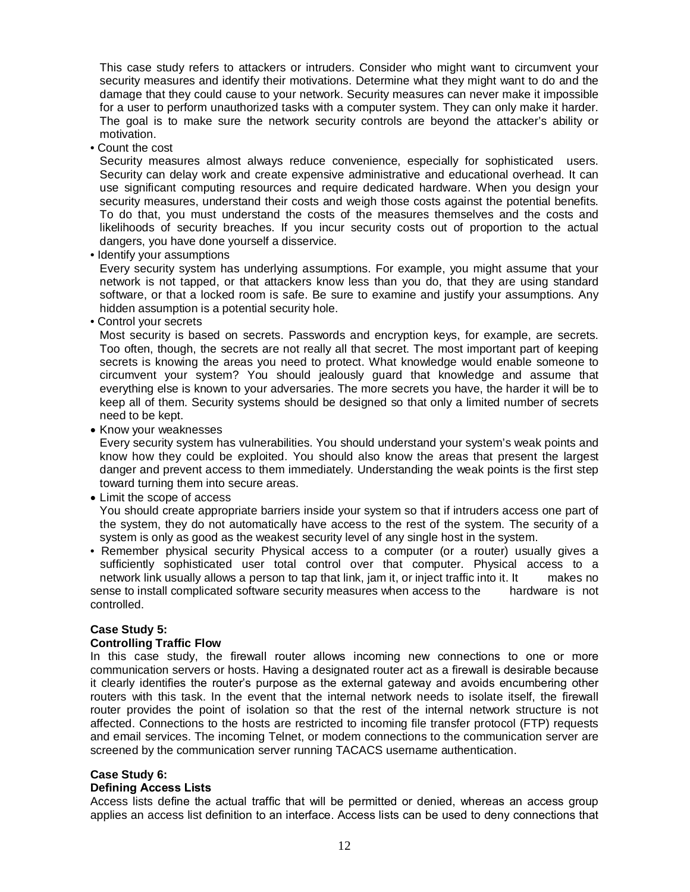This case study refers to attackers or intruders. Consider who might want to circumvent your security measures and identify their motivations. Determine what they might want to do and the damage that they could cause to your network. Security measures can never make it impossible for a user to perform unauthorized tasks with a computer system. They can only make it harder. The goal is to make sure the network security controls are beyond the attacker's ability or motivation.

• Count the cost

Security measures almost always reduce convenience, especially for sophisticated users. Security can delay work and create expensive administrative and educational overhead. It can use significant computing resources and require dedicated hardware. When you design your security measures, understand their costs and weigh those costs against the potential benefits. To do that, you must understand the costs of the measures themselves and the costs and likelihoods of security breaches. If you incur security costs out of proportion to the actual dangers, you have done yourself a disservice.

• Identify your assumptions

Every security system has underlying assumptions. For example, you might assume that your network is not tapped, or that attackers know less than you do, that they are using standard software, or that a locked room is safe. Be sure to examine and justify your assumptions. Any hidden assumption is a potential security hole.

• Control your secrets

Most security is based on secrets. Passwords and encryption keys, for example, are secrets. Too often, though, the secrets are not really all that secret. The most important part of keeping secrets is knowing the areas you need to protect. What knowledge would enable someone to circumvent your system? You should jealously guard that knowledge and assume that everything else is known to your adversaries. The more secrets you have, the harder it will be to keep all of them. Security systems should be designed so that only a limited number of secrets need to be kept.

• Know your weaknesses

Every security system has vulnerabilities. You should understand your system's weak points and know how they could be exploited. You should also know the areas that present the largest danger and prevent access to them immediately. Understanding the weak points is the first step toward turning them into secure areas.

• Limit the scope of access

You should create appropriate barriers inside your system so that if intruders access one part of the system, they do not automatically have access to the rest of the system. The security of a system is only as good as the weakest security level of any single host in the system.

• Remember physical security Physical access to a computer (or a router) usually gives a sufficiently sophisticated user total control over that computer. Physical access to a network link usually allows a person to tap that link, iam it, or inject traffic into it. It makes no network link usually allows a person to tap that link, jam it, or inject traffic into it. It sense to install complicated software security measures when access to the hardware is not controlled.

# **Case Study 5:**

#### **Controlling Traffic Flow**

In this case study, the firewall router allows incoming new connections to one or more communication servers or hosts. Having a designated router act as a firewall is desirable because it clearly identifies the router's purpose as the external gateway and avoids encumbering other routers with this task. In the event that the internal network needs to isolate itself, the firewall router provides the point of isolation so that the rest of the internal network structure is not affected. Connections to the hosts are restricted to incoming file transfer protocol (FTP) requests and email services. The incoming Telnet, or modem connections to the communication server are screened by the communication server running TACACS username authentication.

# **Case Study 6:**

#### **Defining Access Lists**

Access lists define the actual traffic that will be permitted or denied, whereas an access group applies an access list definition to an interface. Access lists can be used to deny connections that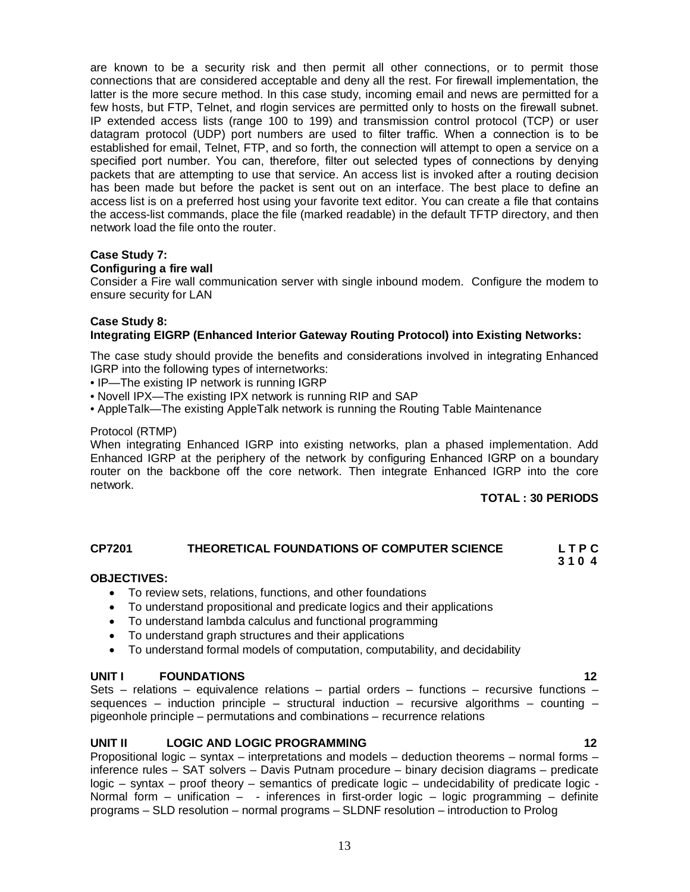are known to be a security risk and then permit all other connections, or to permit those connections that are considered acceptable and deny all the rest. For firewall implementation, the latter is the more secure method. In this case study, incoming email and news are permitted for a few hosts, but FTP, Telnet, and rlogin services are permitted only to hosts on the firewall subnet. IP extended access lists (range 100 to 199) and transmission control protocol (TCP) or user datagram protocol (UDP) port numbers are used to filter traffic. When a connection is to be established for email, Telnet, FTP, and so forth, the connection will attempt to open a service on a specified port number. You can, therefore, filter out selected types of connections by denying packets that are attempting to use that service. An access list is invoked after a routing decision has been made but before the packet is sent out on an interface. The best place to define an access list is on a preferred host using your favorite text editor. You can create a file that contains the access-list commands, place the file (marked readable) in the default TFTP directory, and then network load the file onto the router.

# **Case Study 7:**

# **Configuring a fire wall**

Consider a Fire wall communication server with single inbound modem. Configure the modem to ensure security for LAN

## **Case Study 8: Integrating EIGRP (Enhanced Interior Gateway Routing Protocol) into Existing Networks:**

The case study should provide the benefits and considerations involved in integrating Enhanced IGRP into the following types of internetworks:

- IP—The existing IP network is running IGRP
- Novell IPX—The existing IPX network is running RIP and SAP
- AppleTalk—The existing AppleTalk network is running the Routing Table Maintenance

# Protocol (RTMP)

When integrating Enhanced IGRP into existing networks, plan a phased implementation. Add Enhanced IGRP at the periphery of the network by configuring Enhanced IGRP on a boundary router on the backbone off the core network. Then integrate Enhanced IGRP into the core network.

# **TOTAL : 30 PERIODS**

# **CP7201 THEORETICAL FOUNDATIONS OF COMPUTER SCIENCE L T P C**

 **3 1 0 4**

# **OBJECTIVES:**

- To review sets, relations, functions, and other foundations
- To understand propositional and predicate logics and their applications
- To understand lambda calculus and functional programming
- To understand graph structures and their applications
- To understand formal models of computation, computability, and decidability

# **UNIT I FOUNDATIONS 12**

Sets – relations – equivalence relations – partial orders – functions – recursive functions – sequences – induction principle – structural induction – recursive algorithms – counting – pigeonhole principle – permutations and combinations – recurrence relations

# **UNIT II LOGIC AND LOGIC PROGRAMMING 12**

Propositional logic – syntax – interpretations and models – deduction theorems – normal forms – inference rules – SAT solvers – Davis Putnam procedure – binary decision diagrams – predicate logic – syntax – proof theory – semantics of predicate logic – undecidability of predicate logic -Normal form – unification – - inferences in first-order logic – logic programming – definite programs – SLD resolution – normal programs – SLDNF resolution – introduction to Prolog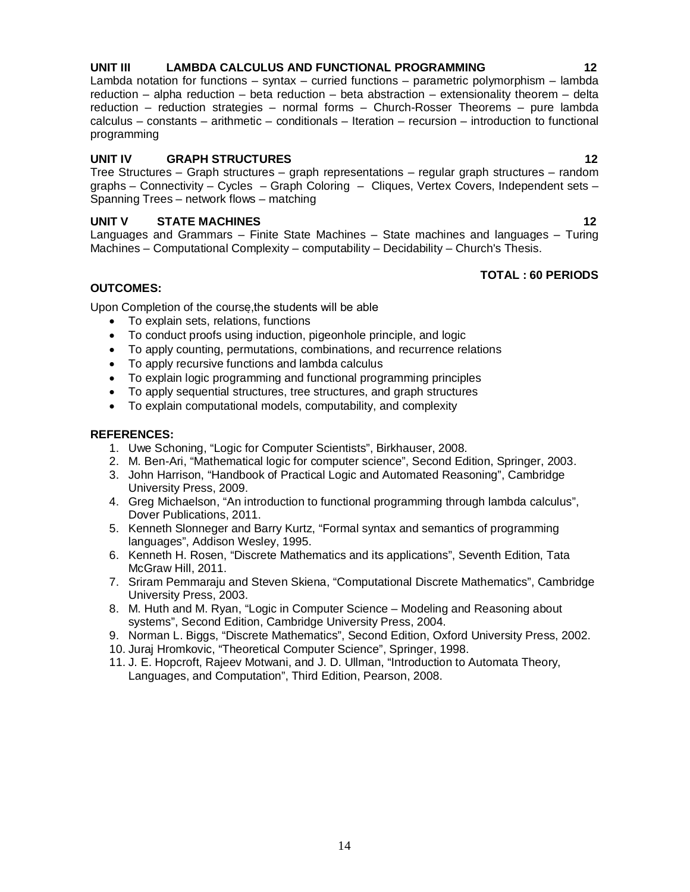### **UNIT III LAMBDA CALCULUS AND FUNCTIONAL PROGRAMMING 12**

Lambda notation for functions – syntax – curried functions – parametric polymorphism – lambda reduction – alpha reduction – beta reduction – beta abstraction – extensionality theorem – delta reduction – reduction strategies – normal forms – Church-Rosser Theorems – pure lambda calculus – constants – arithmetic – conditionals – Iteration – recursion – introduction to functional programming

### **UNIT IV GRAPH STRUCTURES** 12

Tree Structures – Graph structures – graph representations – regular graph structures – random graphs – Connectivity – Cycles – Graph Coloring – Cliques, Vertex Covers, Independent sets – Spanning Trees – network flows – matching

## **UNIT V STATE MACHINES** 12

Languages and Grammars – Finite State Machines – State machines and languages – Turing Machines – Computational Complexity – computability – Decidability – Church's Thesis.

### **TOTAL : 60 PERIODS**

### **OUTCOMES:**

Upon Completion of the course,the students will be able

- To explain sets, relations, functions
- To conduct proofs using induction, pigeonhole principle, and logic
- To apply counting, permutations, combinations, and recurrence relations
- To apply recursive functions and lambda calculus
- To explain logic programming and functional programming principles
- To apply sequential structures, tree structures, and graph structures
- To explain computational models, computability, and complexity

### **REFERENCES:**

- 1. Uwe Schoning, "Logic for Computer Scientists", Birkhauser, 2008.
- 2. M. Ben-Ari, "Mathematical logic for computer science", Second Edition, Springer, 2003.
- 3. John Harrison, "Handbook of Practical Logic and Automated Reasoning", Cambridge University Press, 2009.
- 4. Greg Michaelson, "An introduction to functional programming through lambda calculus", Dover Publications, 2011.
- 5. Kenneth Slonneger and Barry Kurtz, "Formal syntax and semantics of programming languages", Addison Wesley, 1995.
- 6. Kenneth H. Rosen, "Discrete Mathematics and its applications", Seventh Edition, Tata McGraw Hill, 2011.
- 7. Sriram Pemmaraju and Steven Skiena, "Computational Discrete Mathematics", Cambridge University Press, 2003.
- 8. M. Huth and M. Ryan, "Logic in Computer Science Modeling and Reasoning about systems", Second Edition, Cambridge University Press, 2004.
- 9. Norman L. Biggs, "Discrete Mathematics", Second Edition, Oxford University Press, 2002.
- 10. Juraj Hromkovic, "Theoretical Computer Science", Springer, 1998.
- 11. J. E. Hopcroft, Rajeev Motwani, and J. D. Ullman, "Introduction to Automata Theory, Languages, and Computation", Third Edition, Pearson, 2008.

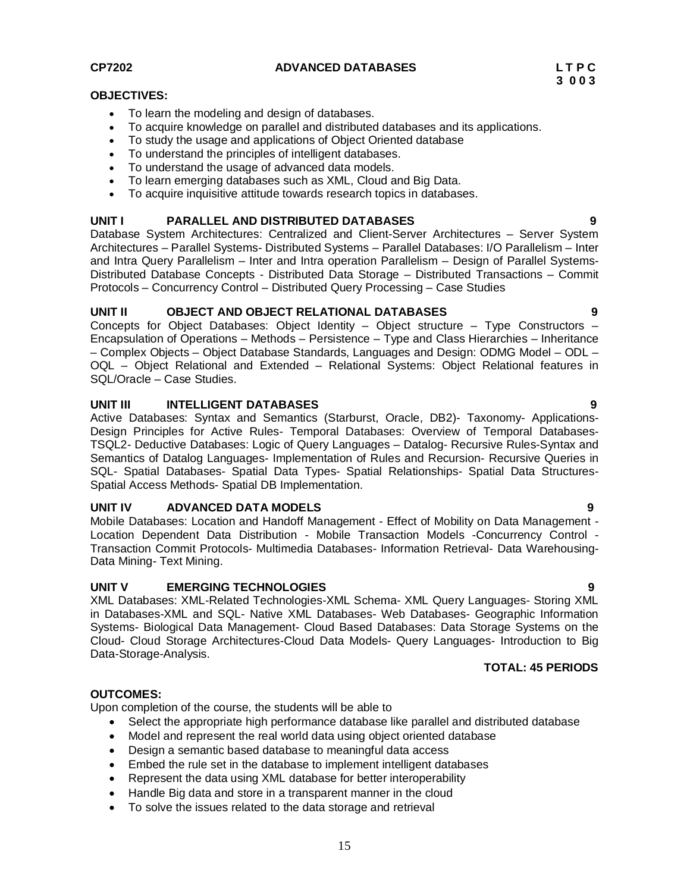**CP7202 ADVANCED DATABASES L T P C** 

#### **OBJECTIVES:**

- To learn the modeling and design of databases.
- To acquire knowledge on parallel and distributed databases and its applications.
- To study the usage and applications of Object Oriented database
- To understand the principles of intelligent databases.
- To understand the usage of advanced data models.
- To learn emerging databases such as XML, Cloud and Big Data.
- To acquire inquisitive attitude towards research topics in databases.

### **UNIT I PARALLEL AND DISTRIBUTED DATABASES**

Database System Architectures: Centralized and Client-Server Architectures – Server System Architectures – Parallel Systems- Distributed Systems – Parallel Databases: I/O Parallelism – Inter and Intra Query Parallelism – Inter and Intra operation Parallelism – Design of Parallel Systems-Distributed Database Concepts - Distributed Data Storage – Distributed Transactions – Commit Protocols – Concurrency Control – Distributed Query Processing – Case Studies

# **UNIT II OBJECT AND OBJECT RELATIONAL DATABASES 9**

Concepts for Object Databases: Object Identity – Object structure – Type Constructors – Encapsulation of Operations – Methods – Persistence – Type and Class Hierarchies – Inheritance – Complex Objects – Object Database Standards, Languages and Design: ODMG Model – ODL – OQL – Object Relational and Extended – Relational Systems: Object Relational features in SQL/Oracle – Case Studies.

# **UNIT III INTELLIGENT DATABASES 9**

Active Databases: Syntax and Semantics (Starburst, Oracle, DB2)- Taxonomy- Applications-Design Principles for Active Rules- Temporal Databases: Overview of Temporal Databases-TSQL2- Deductive Databases: Logic of Query Languages – Datalog- Recursive Rules-Syntax and Semantics of Datalog Languages- Implementation of Rules and Recursion- Recursive Queries in SQL- Spatial Databases- Spatial Data Types- Spatial Relationships- Spatial Data Structures-Spatial Access Methods- Spatial DB Implementation.

# **UNIT IV ADVANCED DATA MODELS 9**

Mobile Databases: Location and Handoff Management - Effect of Mobility on Data Management - Location Dependent Data Distribution - Mobile Transaction Models -Concurrency Control - Transaction Commit Protocols- Multimedia Databases- Information Retrieval- Data Warehousing-Data Mining- Text Mining.

#### **UNIT V EMERGING TECHNOLOGIES 9**

XML Databases: XML-Related Technologies-XML Schema- XML Query Languages- Storing XML in Databases-XML and SQL- Native XML Databases- Web Databases- Geographic Information Systems- Biological Data Management- Cloud Based Databases: Data Storage Systems on the Cloud- Cloud Storage Architectures-Cloud Data Models- Query Languages- Introduction to Big Data-Storage-Analysis.

#### **TOTAL: 45 PERIODS**

# **OUTCOMES:**

Upon completion of the course, the students will be able to

- Select the appropriate high performance database like parallel and distributed database
- Model and represent the real world data using object oriented database
- Design a semantic based database to meaningful data access
- Embed the rule set in the database to implement intelligent databases
- Represent the data using XML database for better interoperability
- Handle Big data and store in a transparent manner in the cloud
- To solve the issues related to the data storage and retrieval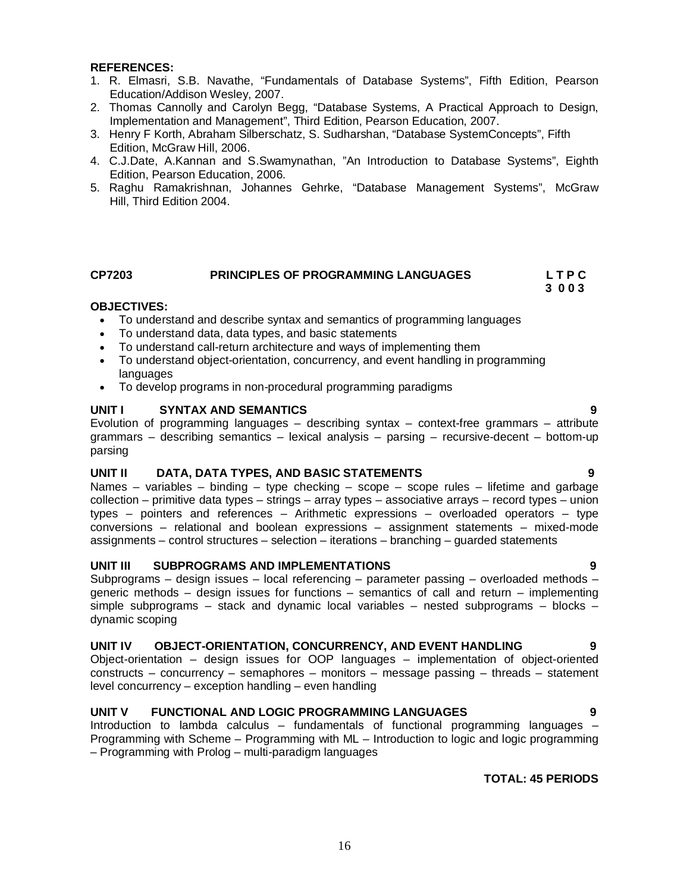#### **REFERENCES:**

- 1. R. Elmasri, S.B. Navathe, "Fundamentals of Database Systems", Fifth Edition, Pearson Education/Addison Wesley, 2007.
- 2. Thomas Cannolly and Carolyn Begg, "Database Systems, A Practical Approach to Design, Implementation and Management", Third Edition, Pearson Education, 2007.
- 3. Henry F Korth, Abraham Silberschatz, S. Sudharshan, "Database SystemConcepts", Fifth Edition, McGraw Hill, 2006.
- 4. C.J.Date, A.Kannan and S.Swamynathan, "An Introduction to Database Systems", Eighth Edition, Pearson Education, 2006.
- 5. Raghu Ramakrishnan, Johannes Gehrke, "Database Management Systems", McGraw Hill, Third Edition 2004.

# **CP7203 PRINCIPLES OF PROGRAMMING LANGUAGES L T P C**

# **3 0 0 3**

# **OBJECTIVES:**

- To understand and describe syntax and semantics of programming languages
- To understand data, data types, and basic statements
- To understand call-return architecture and ways of implementing them
- To understand object-orientation, concurrency, and event handling in programming languages
- To develop programs in non-procedural programming paradigms

# UNIT I SYNTAX AND SEMANTICS

Evolution of programming languages  $-$  describing syntax  $-$  context-free grammars  $-$  attribute grammars – describing semantics – lexical analysis – parsing – recursive-decent – bottom-up parsing

# **UNIT II DATA, DATA TYPES, AND BASIC STATEMENTS 9**

Names – variables – binding – type checking – scope – scope rules – lifetime and garbage collection – primitive data types – strings – array types – associative arrays – record types – union types – pointers and references – Arithmetic expressions – overloaded operators – type conversions – relational and boolean expressions – assignment statements – mixed-mode assignments – control structures – selection – iterations – branching – guarded statements

# **UNIT III SUBPROGRAMS AND IMPLEMENTATIONS 9**

Subprograms – design issues – local referencing – parameter passing – overloaded methods – generic methods – design issues for functions – semantics of call and return – implementing simple subprograms – stack and dynamic local variables – nested subprograms – blocks – dynamic scoping

# **UNIT IV OBJECT-ORIENTATION, CONCURRENCY, AND EVENT HANDLING 9**

Object-orientation – design issues for OOP languages – implementation of object-oriented constructs – concurrency – semaphores – monitors – message passing – threads – statement level concurrency – exception handling – even handling

# **UNIT V FUNCTIONAL AND LOGIC PROGRAMMING LANGUAGES 9**

Introduction to lambda calculus – fundamentals of functional programming languages – Programming with Scheme – Programming with ML – Introduction to logic and logic programming – Programming with Prolog – multi-paradigm languages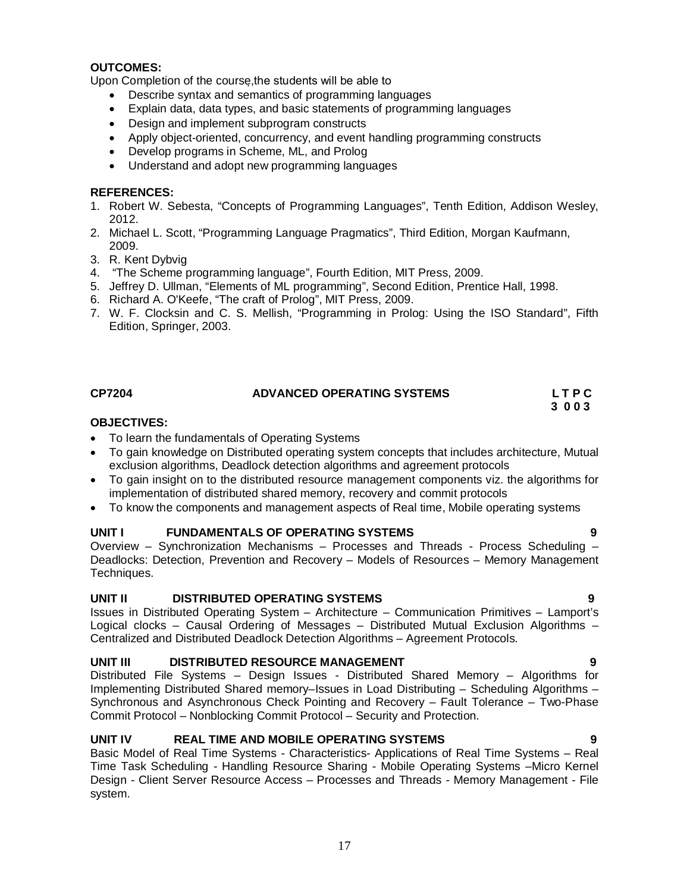Upon Completion of the course,the students will be able to

- Describe syntax and semantics of programming languages
- Explain data, data types, and basic statements of programming languages
- Design and implement subprogram constructs
- Apply object-oriented, concurrency, and event handling programming constructs
- Develop programs in Scheme, ML, and Prolog
- Understand and adopt new programming languages

# **REFERENCES:**

- 1. Robert W. Sebesta, "Concepts of Programming Languages", Tenth Edition, Addison Wesley, 2012.
- 2. Michael L. Scott, "Programming Language Pragmatics", Third Edition, Morgan Kaufmann, 2009.
- 3. R. Kent Dybvig
- 4. "The Scheme programming language", Fourth Edition, MIT Press, 2009.
- 5. Jeffrey D. Ullman, "Elements of ML programming", Second Edition, Prentice Hall, 1998.
- 6. Richard A. O'Keefe, "The craft of Prolog", MIT Press, 2009.
- 7. W. F. Clocksin and C. S. Mellish, "Programming in Prolog: Using the ISO Standard", Fifth Edition, Springer, 2003.

| <b>CP7204</b> | <b>ADVANCED OPERATING SYSTEMS</b> | LTPC |
|---------------|-----------------------------------|------|
|               |                                   | 3003 |

### **OBJECTIVES:**

- To learn the fundamentals of Operating Systems
- To gain knowledge on Distributed operating system concepts that includes architecture, Mutual exclusion algorithms, Deadlock detection algorithms and agreement protocols
- To gain insight on to the distributed resource management components viz. the algorithms for implementation of distributed shared memory, recovery and commit protocols
- To know the components and management aspects of Real time, Mobile operating systems

# **UNIT I FUNDAMENTALS OF OPERATING SYSTEMS 9**

Overview – Synchronization Mechanisms – Processes and Threads - Process Scheduling – Deadlocks: Detection, Prevention and Recovery – Models of Resources – Memory Management Techniques.

# **UNIT II DISTRIBUTED OPERATING SYSTEMS 9**

Issues in Distributed Operating System – Architecture – Communication Primitives – Lamport's Logical clocks – Causal Ordering of Messages – Distributed Mutual Exclusion Algorithms – Centralized and Distributed Deadlock Detection Algorithms – Agreement Protocols.

# **UNIT III DISTRIBUTED RESOURCE MANAGEMENT 9**

Distributed File Systems – Design Issues - Distributed Shared Memory – Algorithms for Implementing Distributed Shared memory–Issues in Load Distributing – Scheduling Algorithms – Synchronous and Asynchronous Check Pointing and Recovery – Fault Tolerance – Two-Phase Commit Protocol – Nonblocking Commit Protocol – Security and Protection.

# **UNIT IV REAL TIME AND MOBILE OPERATING SYSTEMS 9**

Basic Model of Real Time Systems - Characteristics- Applications of Real Time Systems – Real Time Task Scheduling - Handling Resource Sharing - Mobile Operating Systems –Micro Kernel Design - Client Server Resource Access – Processes and Threads - Memory Management - File system.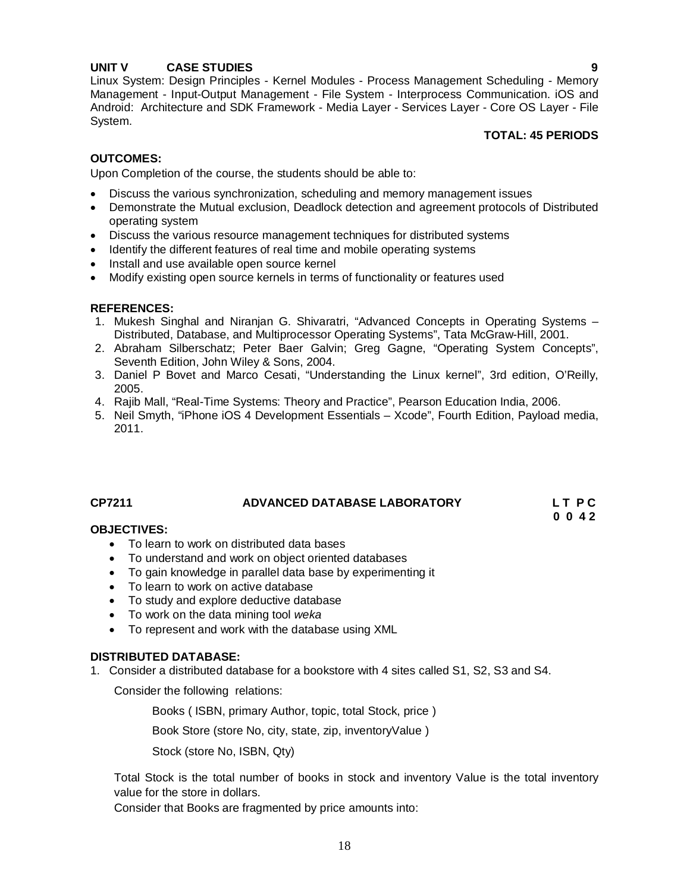# **UNIT V CASE STUDIES 9**

Linux System: Design Principles - Kernel Modules - Process Management Scheduling - Memory Management - Input-Output Management - File System - Interprocess Communication. iOS and Android: Architecture and SDK Framework - Media Layer - Services Layer - Core OS Layer - File System.

### **TOTAL: 45 PERIODS**

## **OUTCOMES:**

Upon Completion of the course, the students should be able to:

- Discuss the various synchronization, scheduling and memory management issues
- Demonstrate the Mutual exclusion, Deadlock detection and agreement protocols of Distributed operating system
- Discuss the various resource management techniques for distributed systems
- Identify the different features of real time and mobile operating systems
- Install and use available open source kernel
- Modify existing open source kernels in terms of functionality or features used

#### **REFERENCES:**

- 1. Mukesh Singhal and Niranjan G. Shivaratri, "Advanced Concepts in Operating Systems Distributed, Database, and Multiprocessor Operating Systems", Tata McGraw-Hill, 2001.
- 2. Abraham Silberschatz; Peter Baer Galvin; Greg Gagne, "Operating System Concepts", Seventh Edition, John Wiley & Sons, 2004.
- 3. Daniel P Bovet and Marco Cesati, "Understanding the Linux kernel", 3rd edition, O'Reilly, 2005.
- 4. Rajib Mall, "Real-Time Systems: Theory and Practice", Pearson Education India, 2006.
- 5. Neil Smyth, "iPhone iOS 4 Development Essentials Xcode", Fourth Edition, Payload media, 2011.

# 

# **CP7211 ADVANCED DATABASE LABORATORY L T P C**

 **0 0 4 2**

# **OBJECTIVES:**

- To learn to work on distributed data bases
- To understand and work on object oriented databases
- To gain knowledge in parallel data base by experimenting it
- To learn to work on active database
- To study and explore deductive database
- To work on the data mining tool *weka*
- To represent and work with the database using XML

#### **DISTRIBUTED DATABASE:**

1. Consider a distributed database for a bookstore with 4 sites called S1, S2, S3 and S4.

Consider the following relations:

Books ( ISBN, primary Author, topic, total Stock, price )

Book Store (store No, city, state, zip, inventoryValue )

Stock (store No, ISBN, Qty)

Total Stock is the total number of books in stock and inventory Value is the total inventory value for the store in dollars.

Consider that Books are fragmented by price amounts into: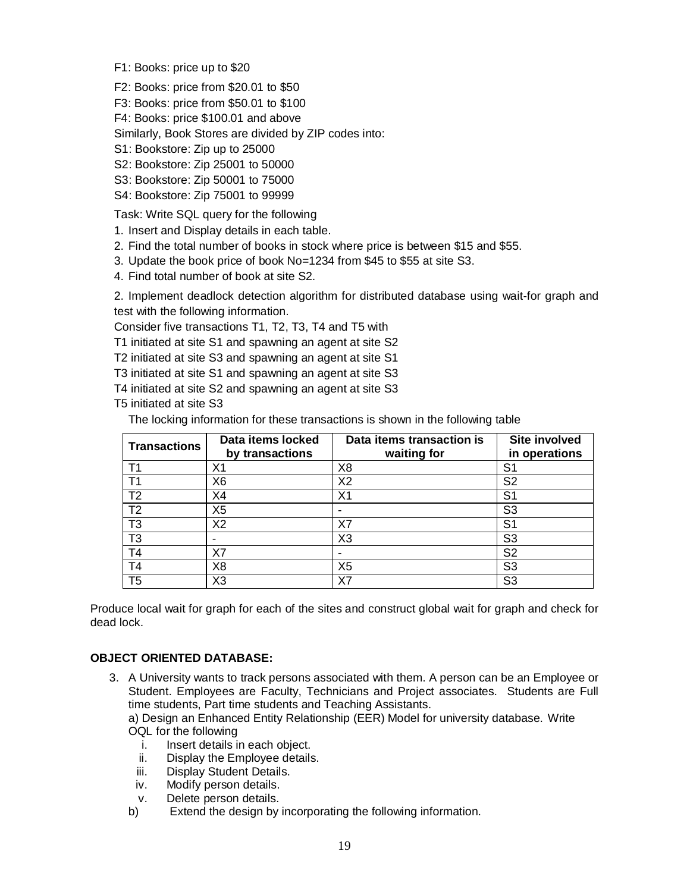F1: Books: price up to \$20

F2: Books: price from \$20.01 to \$50

F3: Books: price from \$50.01 to \$100

F4: Books: price \$100.01 and above

Similarly, Book Stores are divided by ZIP codes into:

- S1: Bookstore: Zip up to 25000
- S2: Bookstore: Zip 25001 to 50000
- S3: Bookstore: Zip 50001 to 75000
- S4: Bookstore: Zip 75001 to 99999

Task: Write SQL query for the following

- 1. Insert and Display details in each table.
- 2. Find the total number of books in stock where price is between \$15 and \$55.
- 3. Update the book price of book No=1234 from \$45 to \$55 at site S3.
- 4. Find total number of book at site S2.

2. Implement deadlock detection algorithm for distributed database using wait-for graph and test with the following information.

Consider five transactions T1, T2, T3, T4 and T5 with

T1 initiated at site S1 and spawning an agent at site S2

T2 initiated at site S3 and spawning an agent at site S1

T3 initiated at site S1 and spawning an agent at site S3

T4 initiated at site S2 and spawning an agent at site S3

T5 initiated at site S3

The locking information for these transactions is shown in the following table

| <b>Transactions</b> | Data items locked<br>by transactions | Data items transaction is<br>waiting for | Site involved<br>in operations |
|---------------------|--------------------------------------|------------------------------------------|--------------------------------|
|                     | Χ1                                   | X8                                       | S1                             |
|                     | X <sub>6</sub>                       | X <sub>2</sub>                           | S <sub>2</sub>                 |
| Т2                  | X4                                   | Χ1                                       | S1                             |
| T <sub>2</sub>      | X <sub>5</sub>                       | -                                        | S <sub>3</sub>                 |
| T <sub>3</sub>      | X2                                   | Х7                                       | S1                             |
| T <sub>3</sub>      | -                                    | X <sub>3</sub>                           | S <sub>3</sub>                 |
| T4                  | Х7                                   |                                          | S2                             |
| T4                  | Х8                                   | X <sub>5</sub>                           | S <sub>3</sub>                 |
| T5                  | X3                                   | Х7                                       | S3                             |

Produce local wait for graph for each of the sites and construct global wait for graph and check for dead lock.

### **OBJECT ORIENTED DATABASE:**

3. A University wants to track persons associated with them. A person can be an Employee or Student. Employees are Faculty, Technicians and Project associates. Students are Full time students, Part time students and Teaching Assistants.

a) Design an Enhanced Entity Relationship (EER) Model for university database. Write OQL for the following

- i. Insert details in each object.
- ii. Display the Employee details.
- iii. Display Student Details.
- iv. Modify person details.
- v. Delete person details.
- b) Extend the design by incorporating the following information.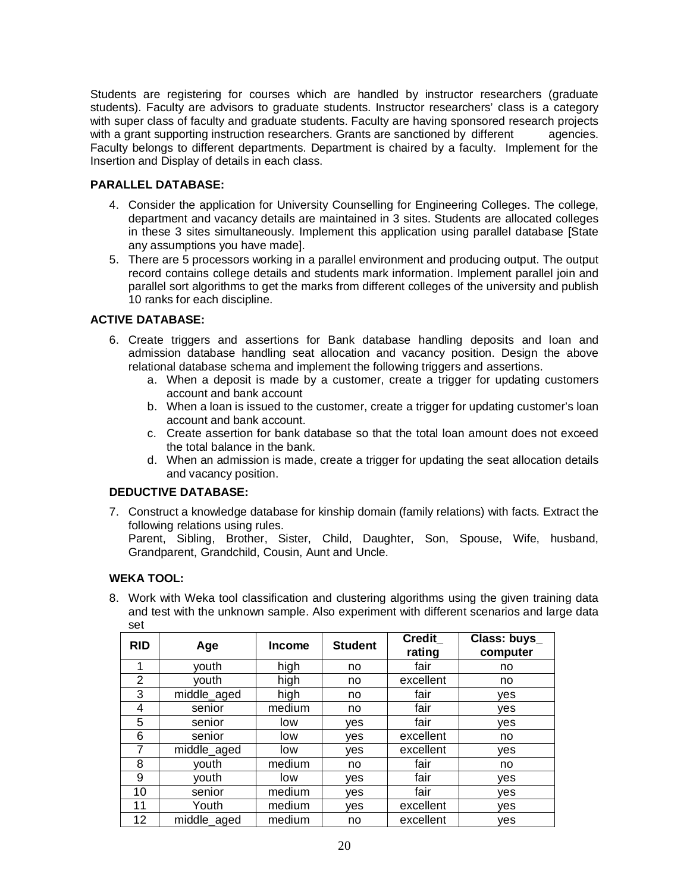Students are registering for courses which are handled by instructor researchers (graduate students). Faculty are advisors to graduate students. Instructor researchers' class is a category with super class of faculty and graduate students. Faculty are having sponsored research projects with a grant supporting instruction researchers. Grants are sanctioned by different agencies. Faculty belongs to different departments. Department is chaired by a faculty. Implement for the Insertion and Display of details in each class.

# **PARALLEL DATABASE:**

- 4. Consider the application for University Counselling for Engineering Colleges. The college, department and vacancy details are maintained in 3 sites. Students are allocated colleges in these 3 sites simultaneously. Implement this application using parallel database [State any assumptions you have made].
- 5. There are 5 processors working in a parallel environment and producing output. The output record contains college details and students mark information. Implement parallel join and parallel sort algorithms to get the marks from different colleges of the university and publish 10 ranks for each discipline.

# **ACTIVE DATABASE:**

- 6. Create triggers and assertions for Bank database handling deposits and loan and admission database handling seat allocation and vacancy position. Design the above relational database schema and implement the following triggers and assertions.
	- a. When a deposit is made by a customer, create a trigger for updating customers account and bank account
	- b. When a loan is issued to the customer, create a trigger for updating customer's loan account and bank account.
	- c. Create assertion for bank database so that the total loan amount does not exceed the total balance in the bank.
	- d. When an admission is made, create a trigger for updating the seat allocation details and vacancy position.

# **DEDUCTIVE DATABASE:**

7. Construct a knowledge database for kinship domain (family relations) with facts. Extract the following relations using rules.

Parent, Sibling, Brother, Sister, Child, Daughter, Son, Spouse, Wife, husband, Grandparent, Grandchild, Cousin, Aunt and Uncle.

# **WEKA TOOL:**

8. Work with Weka tool classification and clustering algorithms using the given training data and test with the unknown sample. Also experiment with different scenarios and large data set

| <b>RID</b>     | Age         | <b>Income</b> | <b>Student</b> | <b>Credit</b><br>rating | Class: buys_<br>computer |
|----------------|-------------|---------------|----------------|-------------------------|--------------------------|
| 1              | vouth       | high          | no             | fair                    | no                       |
| $\overline{2}$ | youth       | high          | no             | excellent               | no                       |
| 3              | middle_aged | high          | no             | fair                    | yes                      |
| 4              | senior      | medium        | no             | fair                    | yes                      |
| 5              | senior      | low           | ves            | fair                    | ves                      |
| 6              | senior      | low           | yes            | excellent               | no                       |
| 7              | middle_aged | low           | yes            | excellent               | yes                      |
| 8              | youth       | medium        | no             | fair                    | no                       |
| 9              | youth       | low           | yes            | fair                    | yes                      |
| 10             | senior      | medium        | ves            | fair                    | ves                      |
| 11             | Youth       | medium        | ves            | excellent               | yes                      |
| $12 \,$        | middle_aged | medium        | no             | excellent               | ves                      |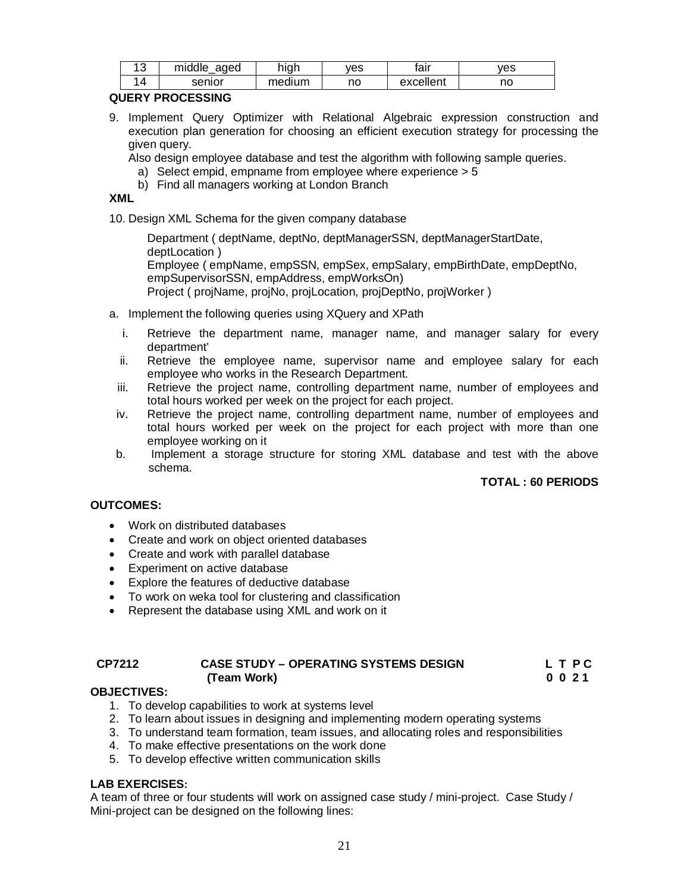| $\sim$<br>◡ | middle<br>aged | . .<br>hiah | ves | fair      | ves |
|-------------|----------------|-------------|-----|-----------|-----|
| 4           | senior         | medium      | no  | excellent | no  |

# **QUERY PROCESSING**

9. Implement Query Optimizer with Relational Algebraic expression construction and execution plan generation for choosing an efficient execution strategy for processing the given query.

Also design employee database and test the algorithm with following sample queries.

- a) Select empid, empname from employee where experience > 5
- b) Find all managers working at London Branch

# **XML**

10. Design XML Schema for the given company database

Department ( deptName, deptNo, deptManagerSSN, deptManagerStartDate, deptLocation ) Employee ( empName, empSSN, empSex, empSalary, empBirthDate, empDeptNo, empSupervisorSSN, empAddress, empWorksOn) Project ( projName, projNo, projLocation, projDeptNo, projWorker )

- a. Implement the following queries using XQuery and XPath
	- i. Retrieve the department name, manager name, and manager salary for every department'
	- ii. Retrieve the employee name, supervisor name and employee salary for each employee who works in the Research Department.
	- iii. Retrieve the project name, controlling department name, number of employees and total hours worked per week on the project for each project.
- iv. Retrieve the project name, controlling department name, number of employees and total hours worked per week on the project for each project with more than one employee working on it
- b. Implement a storage structure for storing XML database and test with the above schema.

# **TOTAL : 60 PERIODS**

# **OUTCOMES:**

- Work on distributed databases
- Create and work on object oriented databases
- Create and work with parallel database
- Experiment on active database
- Explore the features of deductive database
- To work on weka tool for clustering and classification
- Represent the database using XML and work on it

| CP7212 | <b>CASE STUDY - OPERATING SYSTEMS DESIGN</b> | L T PC |
|--------|----------------------------------------------|--------|
|        | (Team Work)                                  | 0021   |

#### **OBJECTIVES:**

- 1. To develop capabilities to work at systems level
- 2. To learn about issues in designing and implementing modern operating systems
- 3. To understand team formation, team issues, and allocating roles and responsibilities
- 4. To make effective presentations on the work done
- 5. To develop effective written communication skills

# **LAB EXERCISES:**

A team of three or four students will work on assigned case study / mini-project. Case Study / Mini-project can be designed on the following lines: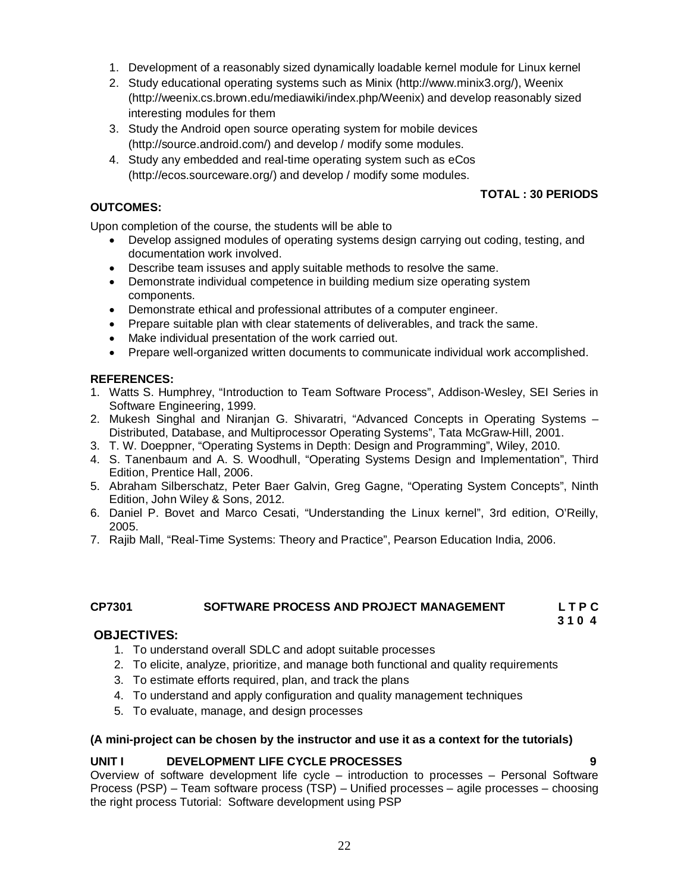- 1. Development of a reasonably sized dynamically loadable kernel module for Linux kernel
- 2. Study educational operating systems such as Minix (http://www.minix3.org/), Weenix (http://weenix.cs.brown.edu/mediawiki/index.php/Weenix) and develop reasonably sized interesting modules for them
- 3. Study the Android open source operating system for mobile devices (http://source.android.com/) and develop / modify some modules.
- 4. Study any embedded and real-time operating system such as eCos (http://ecos.sourceware.org/) and develop / modify some modules.

# **TOTAL : 30 PERIODS**

# **OUTCOMES:**

Upon completion of the course, the students will be able to

- Develop assigned modules of operating systems design carrying out coding, testing, and documentation work involved.
- Describe team issuses and apply suitable methods to resolve the same.
- Demonstrate individual competence in building medium size operating system components.
- Demonstrate ethical and professional attributes of a computer engineer.
- Prepare suitable plan with clear statements of deliverables, and track the same.
- Make individual presentation of the work carried out.
- Prepare well-organized written documents to communicate individual work accomplished.

# **REFERENCES:**

- 1. Watts S. Humphrey, "Introduction to Team Software Process", Addison-Wesley, SEI Series in Software Engineering, 1999.
- 2. Mukesh Singhal and Niranjan G. Shivaratri, "Advanced Concepts in Operating Systems Distributed, Database, and Multiprocessor Operating Systems", Tata McGraw-Hill, 2001.
- 3. T. W. Doeppner, "Operating Systems in Depth: Design and Programming", Wiley, 2010.
- 4. S. Tanenbaum and A. S. Woodhull, "Operating Systems Design and Implementation", Third Edition, Prentice Hall, 2006.
- 5. Abraham Silberschatz, Peter Baer Galvin, Greg Gagne, "Operating System Concepts", Ninth Edition, John Wiley & Sons, 2012.
- 6. Daniel P. Bovet and Marco Cesati, "Understanding the Linux kernel", 3rd edition, O'Reilly, 2005.
- 7. Rajib Mall, "Real-Time Systems: Theory and Practice", Pearson Education India, 2006.

# **CP7301 SOFTWARE PROCESS AND PROJECT MANAGEMENT L T P C**

 **3 1 0 4**

# **OBJECTIVES:**

- 1. To understand overall SDLC and adopt suitable processes
- 2. To elicite, analyze, prioritize, and manage both functional and quality requirements
- 3. To estimate efforts required, plan, and track the plans
- 4. To understand and apply configuration and quality management techniques
- 5. To evaluate, manage, and design processes

# **(A mini-project can be chosen by the instructor and use it as a context for the tutorials)**

# UNIT I DEVELOPMENT LIFE CYCLE PROCESSES

Overview of software development life cycle – introduction to processes – Personal Software Process (PSP) – Team software process (TSP) – Unified processes – agile processes – choosing the right process Tutorial: Software development using PSP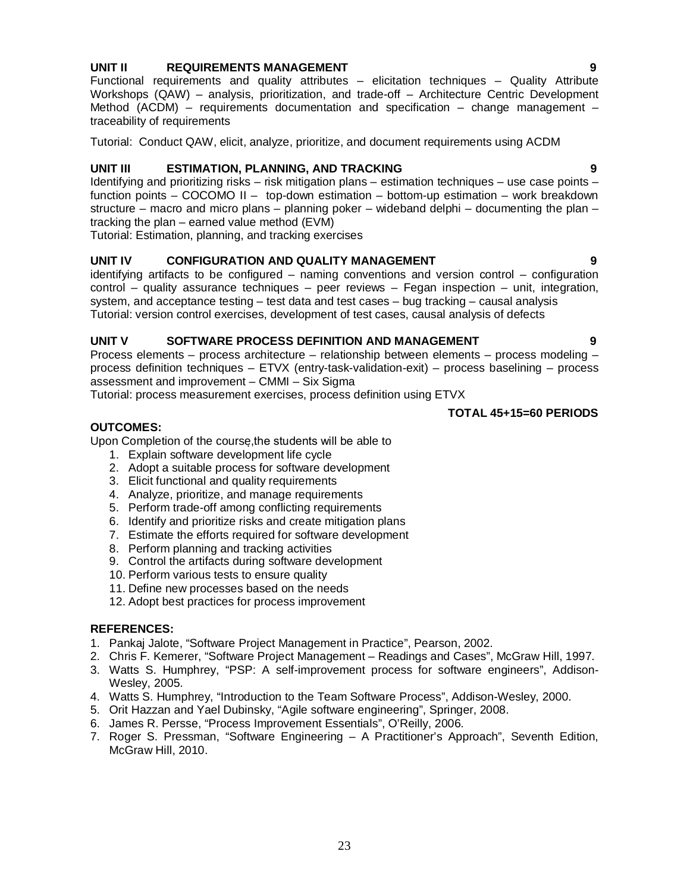# **UNIT II REQUIREMENTS MANAGEMENT 9**

Functional requirements and quality attributes – elicitation techniques – Quality Attribute Workshops (QAW) – analysis, prioritization, and trade-off – Architecture Centric Development Method (ACDM) – requirements documentation and specification – change management – traceability of requirements

Tutorial: Conduct QAW, elicit, analyze, prioritize, and document requirements using ACDM

# **UNIT III ESTIMATION, PLANNING, AND TRACKING 9**

Identifying and prioritizing risks – risk mitigation plans – estimation techniques – use case points – function points – COCOMO II – top-down estimation – bottom-up estimation – work breakdown structure – macro and micro plans – planning poker – wideband delphi – documenting the plan – tracking the plan – earned value method (EVM)

Tutorial: Estimation, planning, and tracking exercises

# **UNIT IV CONFIGURATION AND QUALITY MANAGEMENT 9**

identifying artifacts to be configured – naming conventions and version control – configuration control – quality assurance techniques – peer reviews – Fegan inspection – unit, integration, system, and acceptance testing – test data and test cases – bug tracking – causal analysis Tutorial: version control exercises, development of test cases, causal analysis of defects

# **UNIT V SOFTWARE PROCESS DEFINITION AND MANAGEMENT 9**

Process elements – process architecture – relationship between elements – process modeling – process definition techniques – ETVX (entry-task-validation-exit) – process baselining – process assessment and improvement – CMMI – Six Sigma

Tutorial: process measurement exercises, process definition using ETVX

# **TOTAL 45+15=60 PERIODS**

# **OUTCOMES:**

Upon Completion of the course,the students will be able to

- 1. Explain software development life cycle
- 2. Adopt a suitable process for software development
- 3. Elicit functional and quality requirements
- 4. Analyze, prioritize, and manage requirements
- 5. Perform trade-off among conflicting requirements
- 6. Identify and prioritize risks and create mitigation plans
- 7. Estimate the efforts required for software development
- 8. Perform planning and tracking activities
- 9. Control the artifacts during software development
- 10. Perform various tests to ensure quality
- 11. Define new processes based on the needs
- 12. Adopt best practices for process improvement

# **REFERENCES:**

- 1. Pankaj Jalote, "Software Project Management in Practice", Pearson, 2002.
- 2. Chris F. Kemerer, "Software Project Management Readings and Cases", McGraw Hill, 1997.
- 3. Watts S. Humphrey, "PSP: A self-improvement process for software engineers", Addison-Wesley, 2005.
- 4. Watts S. Humphrey, "Introduction to the Team Software Process", Addison-Wesley, 2000.
- 5. Orit Hazzan and Yael Dubinsky, "Agile software engineering", Springer, 2008.
- 6. James R. Persse, "Process Improvement Essentials", O'Reilly, 2006.
- 7. Roger S. Pressman, "Software Engineering A Practitioner's Approach", Seventh Edition, McGraw Hill, 2010.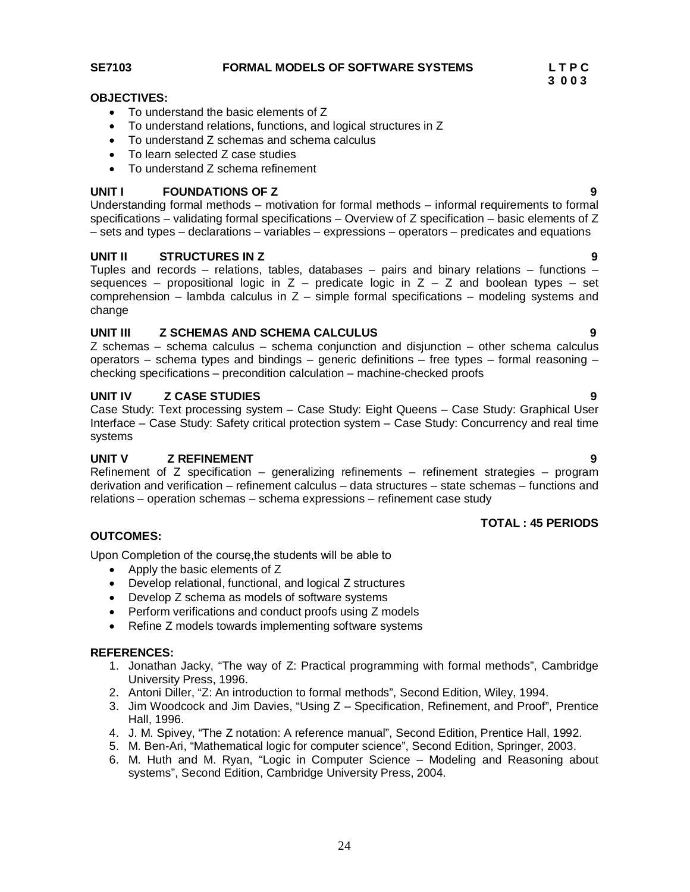# SE7103 **FORMAL MODELS OF SOFTWARE SYSTEMS** L T P C

#### **OBJECTIVES:**

- To understand the basic elements of Z
- To understand relations, functions, and logical structures in Z
- To understand Z schemas and schema calculus
- To learn selected Z case studies
- To understand Z schema refinement

## **UNIT I FOUNDATIONS OF Z 9**

Understanding formal methods – motivation for formal methods – informal requirements to formal specifications – validating formal specifications – Overview of Z specification – basic elements of Z – sets and types – declarations – variables – expressions – operators – predicates and equations

### **UNIT II STRUCTURES IN Z**

Tuples and records – relations, tables, databases – pairs and binary relations – functions – sequences – propositional logic in  $Z$  – predicate logic in  $Z$  –  $Z$  and boolean types – set comprehension – lambda calculus in  $Z$  – simple formal specifications – modeling systems and change

### **UNIT III Z SCHEMAS AND SCHEMA CALCULUS 9**

Z schemas – schema calculus – schema conjunction and disjunction – other schema calculus operators – schema types and bindings – generic definitions – free types – formal reasoning – checking specifications – precondition calculation – machine-checked proofs

# **UNIT IV Z CASE STUDIES 9**

Case Study: Text processing system – Case Study: Eight Queens – Case Study: Graphical User Interface – Case Study: Safety critical protection system – Case Study: Concurrency and real time systems

# **UNIT V Z REFINEMENT 9**

Refinement of Z specification – generalizing refinements – refinement strategies – program derivation and verification – refinement calculus – data structures – state schemas – functions and relations – operation schemas – schema expressions – refinement case study

# **TOTAL : 45 PERIODS**

Upon Completion of the course,the students will be able to

- Apply the basic elements of Z
- Develop relational, functional, and logical Z structures
- Develop Z schema as models of software systems
- Perform verifications and conduct proofs using Z models
- Refine Z models towards implementing software systems

#### **REFERENCES:**

**OUTCOMES:**

- 1. Jonathan Jacky, "The way of Z: Practical programming with formal methods", Cambridge University Press, 1996.
- 2. Antoni Diller, "Z: An introduction to formal methods", Second Edition, Wiley, 1994.
- 3. Jim Woodcock and Jim Davies, "Using Z Specification, Refinement, and Proof", Prentice Hall, 1996.
- 4. J. M. Spivey, "The Z notation: A reference manual", Second Edition, Prentice Hall, 1992.
- 5. M. Ben-Ari, "Mathematical logic for computer science", Second Edition, Springer, 2003.
- 6. M. Huth and M. Ryan, "Logic in Computer Science Modeling and Reasoning about systems", Second Edition, Cambridge University Press, 2004.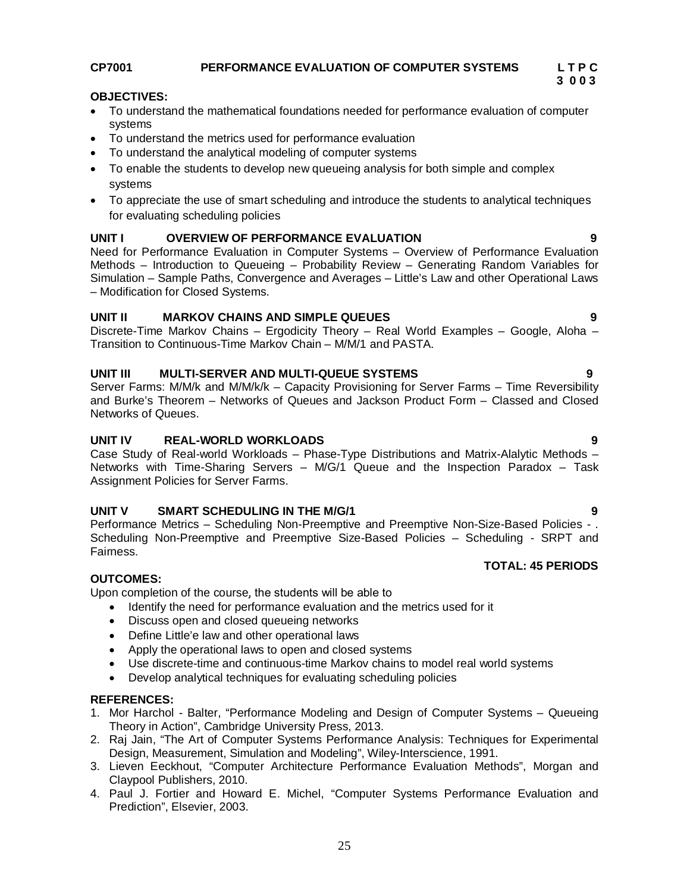# **CP7001 PERFORMANCE EVALUATION OF COMPUTER SYSTEMS L T P C**

# **OBJECTIVES:**

 To understand the mathematical foundations needed for performance evaluation of computer systems

 **3 0 0 3**

- To understand the metrics used for performance evaluation
- To understand the analytical modeling of computer systems
- To enable the students to develop new queueing analysis for both simple and complex systems
- To appreciate the use of smart scheduling and introduce the students to analytical techniques for evaluating scheduling policies

# **UNIT I OVERVIEW OF PERFORMANCE EVALUATION 9**

Need for Performance Evaluation in Computer Systems – Overview of Performance Evaluation Methods – Introduction to Queueing – Probability Review – Generating Random Variables for Simulation – Sample Paths, Convergence and Averages – Little's Law and other Operational Laws – Modification for Closed Systems.

# **UNIT II MARKOV CHAINS AND SIMPLE QUEUES 9**

Discrete-Time Markov Chains – Ergodicity Theory – Real World Examples – Google, Aloha – Transition to Continuous-Time Markov Chain – M/M/1 and PASTA.

# **UNIT III MULTI-SERVER AND MULTI-QUEUE SYSTEMS 9**

Server Farms: M/M/k and M/M/k/k – Capacity Provisioning for Server Farms – Time Reversibility and Burke's Theorem – Networks of Queues and Jackson Product Form – Classed and Closed Networks of Queues.

# **UNIT IV REAL-WORLD WORKLOADS 9**

Case Study of Real-world Workloads – Phase-Type Distributions and Matrix-Alalytic Methods – Networks with Time-Sharing Servers – M/G/1 Queue and the Inspection Paradox – Task Assignment Policies for Server Farms.

# **UNIT V SMART SCHEDULING IN THE M/G/1 9**

Performance Metrics – Scheduling Non-Preemptive and Preemptive Non-Size-Based Policies - . Scheduling Non-Preemptive and Preemptive Size-Based Policies – Scheduling - SRPT and Fairness.

# **OUTCOMES:**

Upon completion of the course, the students will be able to

- Identify the need for performance evaluation and the metrics used for it
- Discuss open and closed queueing networks
- Define Little'e law and other operational laws
- Apply the operational laws to open and closed systems
- Use discrete-time and continuous-time Markov chains to model real world systems
- Develop analytical techniques for evaluating scheduling policies

# **REFERENCES:**

- 1. Mor Harchol Balter, "Performance Modeling and Design of Computer Systems Queueing Theory in Action", Cambridge University Press, 2013.
- 2. Raj Jain, "The Art of Computer Systems Performance Analysis: Techniques for Experimental Design, Measurement, Simulation and Modeling", Wiley-Interscience, 1991.
- 3. Lieven Eeckhout, "Computer Architecture Performance Evaluation Methods", Morgan and Claypool Publishers, 2010.
- 4. Paul J. Fortier and Howard E. Michel, "Computer Systems Performance Evaluation and Prediction", Elsevier, 2003.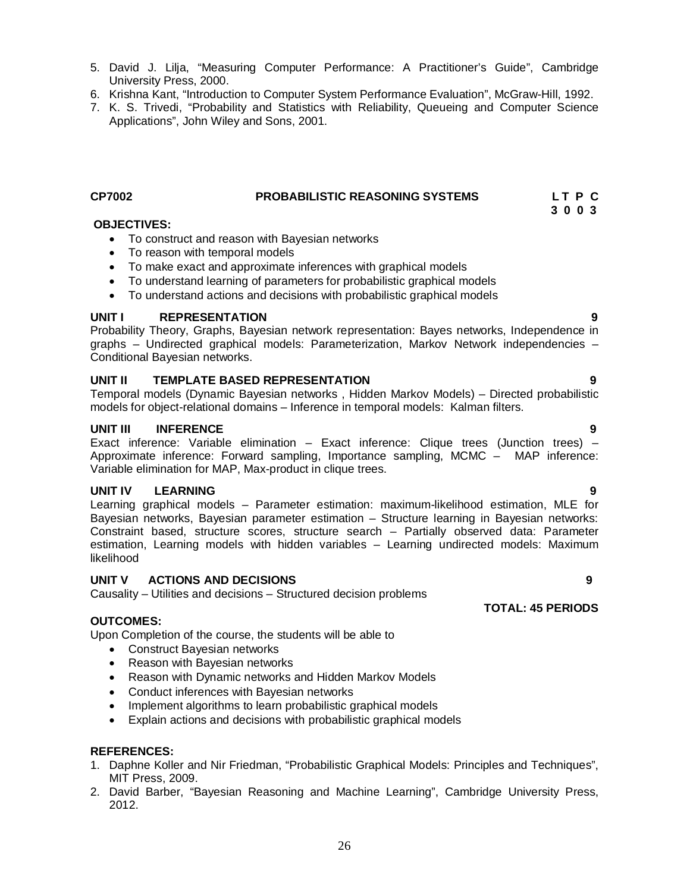- 5. David J. Lilja, "Measuring Computer Performance: A Practitioner's Guide", Cambridge University Press, 2000.
- 6. Krishna Kant, "Introduction to Computer System Performance Evaluation", McGraw-Hill, 1992.
- 7. K. S. Trivedi, "Probability and Statistics with Reliability, Queueing and Computer Science Applications", John Wiley and Sons, 2001.

#### **CP7002 PROBABILISTIC REASONING SYSTEMS L T P C**

#### **3 0 0 3 OBJECTIVES:**

- To construct and reason with Bayesian networks
- To reason with temporal models
- To make exact and approximate inferences with graphical models
- To understand learning of parameters for probabilistic graphical models
- To understand actions and decisions with probabilistic graphical models

# **UNIT I REPRESENTATION 9**

Probability Theory, Graphs, Bayesian network representation: Bayes networks, Independence in graphs – Undirected graphical models: Parameterization, Markov Network independencies – Conditional Bayesian networks.

### **UNIT II TEMPLATE BASED REPRESENTATION 9**

Temporal models (Dynamic Bayesian networks , Hidden Markov Models) – Directed probabilistic models for object-relational domains – Inference in temporal models: Kalman filters.

#### **UNIT III INFERENCE 9**

Exact inference: Variable elimination – Exact inference: Clique trees (Junction trees) – Approximate inference: Forward sampling, Importance sampling, MCMC – MAP inference: Variable elimination for MAP, Max-product in clique trees.

### **UNIT IV LEARNING 9**

Learning graphical models – Parameter estimation: maximum-likelihood estimation, MLE for Bayesian networks, Bayesian parameter estimation – Structure learning in Bayesian networks: Constraint based, structure scores, structure search – Partially observed data: Parameter estimation, Learning models with hidden variables – Learning undirected models: Maximum likelihood

#### **UNIT V ACTIONS AND DECISIONS 9**

Causality – Utilities and decisions – Structured decision problems

#### **OUTCOMES:**

Upon Completion of the course, the students will be able to

- Construct Bayesian networks
- Reason with Bayesian networks
- Reason with Dynamic networks and Hidden Markov Models
- Conduct inferences with Bayesian networks
- Implement algorithms to learn probabilistic graphical models
- Explain actions and decisions with probabilistic graphical models

#### **REFERENCES:**

- 1. Daphne Koller and Nir Friedman, "Probabilistic Graphical Models: Principles and Techniques", MIT Press, 2009.
- 2. David Barber, "Bayesian Reasoning and Machine Learning", Cambridge University Press, 2012.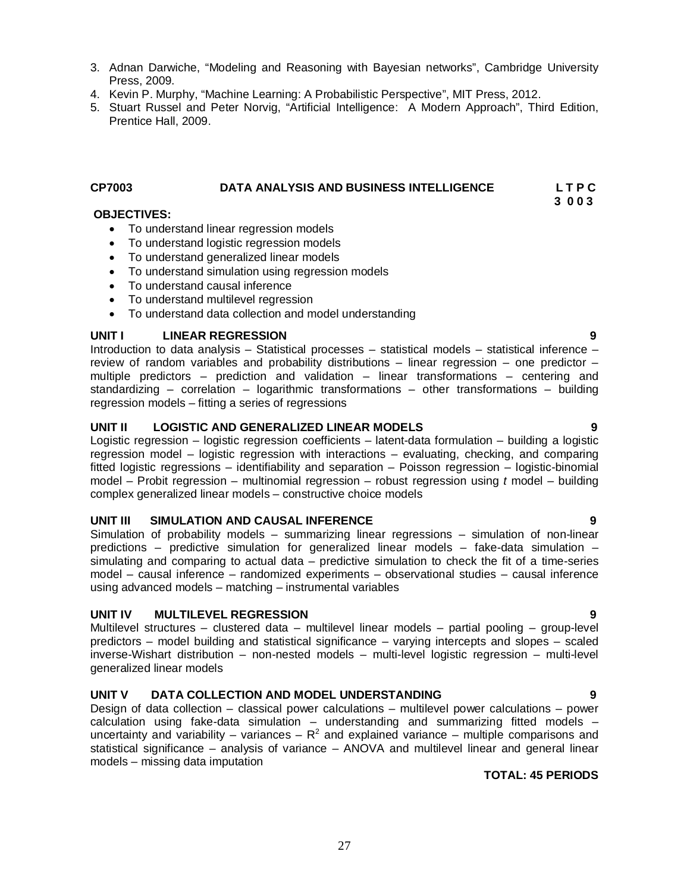- 4. Kevin P. Murphy, "Machine Learning: A Probabilistic Perspective", MIT Press, 2012.
- 5. Stuart Russel and Peter Norvig, "Artificial Intelligence: A Modern Approach", Third Edition, Prentice Hall, 2009.

# **CP7003 DATA ANALYSIS AND BUSINESS INTELLIGENCE L T P C**

 **3 0 0 3**

#### **OBJECTIVES:**

- To understand linear regression models
- To understand logistic regression models
- To understand generalized linear models
- To understand simulation using regression models
- To understand causal inference
- To understand multilevel regression
- To understand data collection and model understanding

#### **UNIT I** LINEAR REGRESSION

Introduction to data analysis – Statistical processes – statistical models – statistical inference – review of random variables and probability distributions – linear regression – one predictor – multiple predictors – prediction and validation – linear transformations – centering and standardizing – correlation – logarithmic transformations – other transformations – building regression models – fitting a series of regressions

#### **UNIT II LOGISTIC AND GENERALIZED LINEAR MODELS 9**

Logistic regression – logistic regression coefficients – latent-data formulation – building a logistic regression model – logistic regression with interactions – evaluating, checking, and comparing fitted logistic regressions – identifiability and separation – Poisson regression – logistic-binomial model – Probit regression – multinomial regression – robust regression using *t* model – building complex generalized linear models – constructive choice models

#### **UNIT III SIMULATION AND CAUSAL INFERENCE 9**

Simulation of probability models – summarizing linear regressions – simulation of non-linear predictions – predictive simulation for generalized linear models – fake-data simulation – simulating and comparing to actual data – predictive simulation to check the fit of a time-series model – causal inference – randomized experiments – observational studies – causal inference using advanced models – matching – instrumental variables

#### **UNIT IV MULTILEVEL REGRESSION 9**

Multilevel structures – clustered data – multilevel linear models – partial pooling – group-level predictors – model building and statistical significance – varying intercepts and slopes – scaled inverse-Wishart distribution – non-nested models – multi-level logistic regression – multi-level generalized linear models

#### **UNIT V DATA COLLECTION AND MODEL UNDERSTANDING 9**

Design of data collection – classical power calculations – multilevel power calculations – power calculation using fake-data simulation  $-$  understanding and summarizing fitted models  $$ uncertainty and variability – variances –  $R^2$  and explained variance – multiple comparisons and statistical significance – analysis of variance – ANOVA and multilevel linear and general linear models – missing data imputation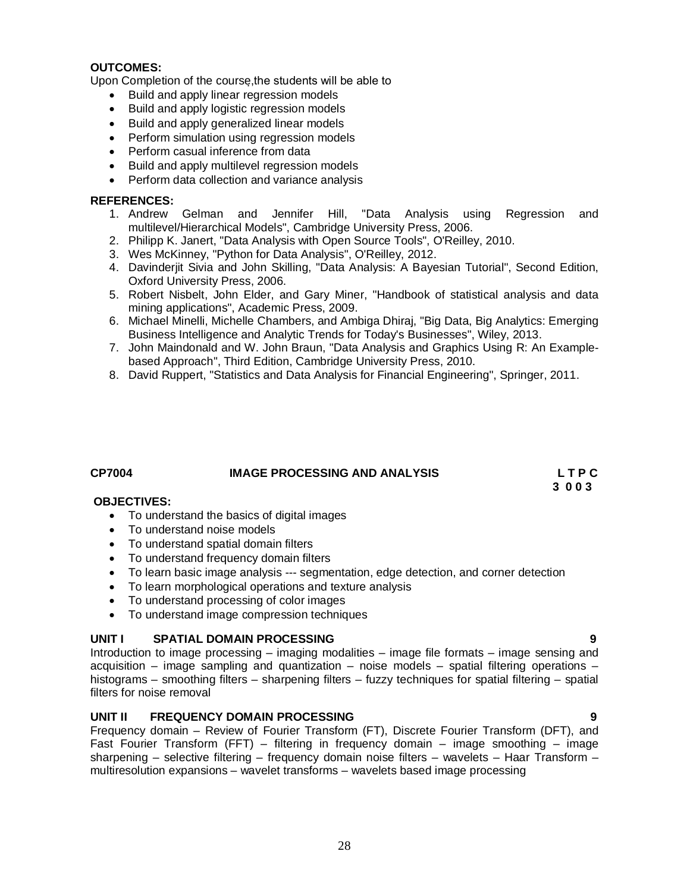Upon Completion of the course,the students will be able to

- Build and apply linear regression models
- Build and apply logistic regression models
- Build and apply generalized linear models
- Perform simulation using regression models
- Perform casual inference from data
- Build and apply multilevel regression models
- Perform data collection and variance analysis

#### **REFERENCES:**

- 1. Andrew Gelman and Jennifer Hill, "Data Analysis using Regression and multilevel/Hierarchical Models", Cambridge University Press, 2006.
- 2. Philipp K. Janert, "Data Analysis with Open Source Tools", O'Reilley, 2010.
- 3. Wes McKinney, "Python for Data Analysis", O'Reilley, 2012.
- 4. Davinderjit Sivia and John Skilling, "Data Analysis: A Bayesian Tutorial", Second Edition, Oxford University Press, 2006.
- 5. Robert Nisbelt, John Elder, and Gary Miner, "Handbook of statistical analysis and data mining applications", Academic Press, 2009.
- 6. Michael Minelli, Michelle Chambers, and Ambiga Dhiraj, "Big Data, Big Analytics: Emerging Business Intelligence and Analytic Trends for Today's Businesses", Wiley, 2013.
- 7. John Maindonald and W. John Braun, "Data Analysis and Graphics Using R: An Examplebased Approach", Third Edition, Cambridge University Press, 2010.
- 8. David Ruppert, "Statistics and Data Analysis for Financial Engineering", Springer, 2011.

#### **CP7004 IMAGE PROCESSING AND ANALYSIS L T P C**

# **3 0 0 3**

#### **OBJECTIVES:**

- To understand the basics of digital images
- To understand noise models
- To understand spatial domain filters
- To understand frequency domain filters
- To learn basic image analysis --- segmentation, edge detection, and corner detection
- To learn morphological operations and texture analysis
- To understand processing of color images
- To understand image compression techniques

#### **UNIT I SPATIAL DOMAIN PROCESSING 9**

Introduction to image processing – imaging modalities – image file formats – image sensing and acquisition – image sampling and quantization – noise models – spatial filtering operations – histograms – smoothing filters – sharpening filters – fuzzy techniques for spatial filtering – spatial filters for noise removal

#### **UNIT II FREQUENCY DOMAIN PROCESSING 9**

Frequency domain – Review of Fourier Transform (FT), Discrete Fourier Transform (DFT), and Fast Fourier Transform (FFT) – filtering in frequency domain – image smoothing – image sharpening – selective filtering – frequency domain noise filters – wavelets – Haar Transform – multiresolution expansions – wavelet transforms – wavelets based image processing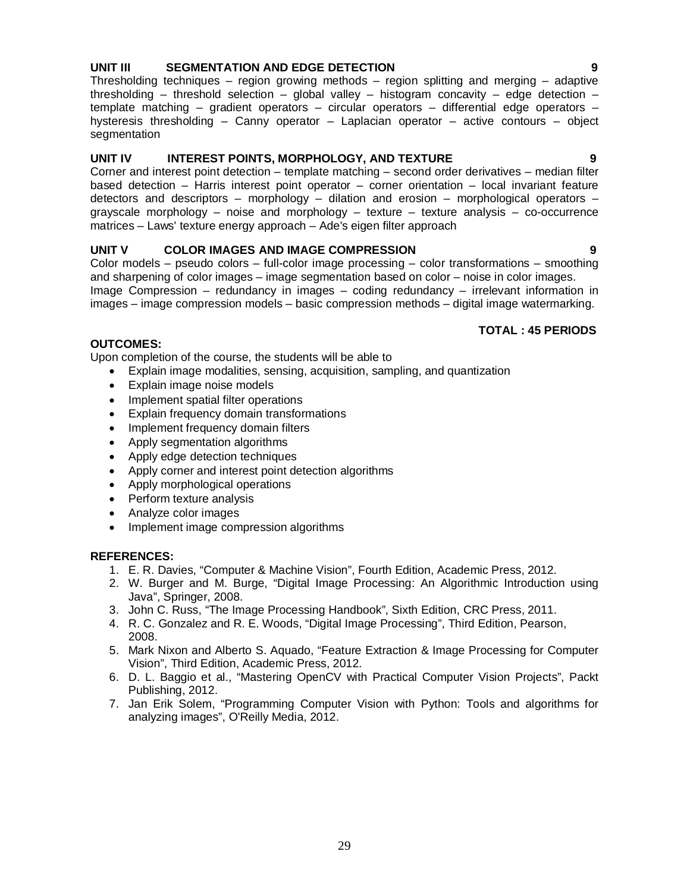# 29

# **UNIT III SEGMENTATION AND EDGE DETECTION 9**

Thresholding techniques – region growing methods – region splitting and merging – adaptive thresholding – threshold selection – global valley – histogram concavity – edge detection – template matching – gradient operators – circular operators – differential edge operators – hysteresis thresholding – Canny operator – Laplacian operator – active contours – object segmentation

# **UNIT IV INTEREST POINTS, MORPHOLOGY, AND TEXTURE 9**

Corner and interest point detection – template matching – second order derivatives – median filter based detection – Harris interest point operator – corner orientation – local invariant feature detectors and descriptors – morphology – dilation and erosion – morphological operators – grayscale morphology – noise and morphology – texture – texture analysis – co-occurrence matrices – Laws' texture energy approach – Ade's eigen filter approach

# **UNIT V COLOR IMAGES AND IMAGE COMPRESSION 9**

Color models – pseudo colors – full-color image processing – color transformations – smoothing and sharpening of color images – image segmentation based on color – noise in color images. Image Compression – redundancy in images – coding redundancy – irrelevant information in images – image compression models – basic compression methods – digital image watermarking.

# **TOTAL : 45 PERIODS**

# **OUTCOMES:**

Upon completion of the course, the students will be able to

- Explain image modalities, sensing, acquisition, sampling, and quantization
- Explain image noise models
- Implement spatial filter operations
- Explain frequency domain transformations
- Implement frequency domain filters
- Apply segmentation algorithms
- Apply edge detection techniques
- Apply corner and interest point detection algorithms
- Apply morphological operations
- Perform texture analysis
- Analyze color images
- Implement image compression algorithms

# **REFERENCES:**

- 1. E. R. Davies, "Computer & Machine Vision", Fourth Edition, Academic Press, 2012.
- 2. W. Burger and M. Burge, "Digital Image Processing: An Algorithmic Introduction using Java", Springer, 2008.
- 3. John C. Russ, "The Image Processing Handbook", Sixth Edition, CRC Press, 2011.
- 4. R. C. Gonzalez and R. E. Woods, "Digital Image Processing", Third Edition, Pearson, 2008.
- 5. Mark Nixon and Alberto S. Aquado, "Feature Extraction & Image Processing for Computer Vision", Third Edition, Academic Press, 2012.
- 6. D. L. Baggio et al., "Mastering OpenCV with Practical Computer Vision Projects", Packt Publishing, 2012.
- 7. Jan Erik Solem, "Programming Computer Vision with Python: Tools and algorithms for analyzing images", O'Reilly Media, 2012.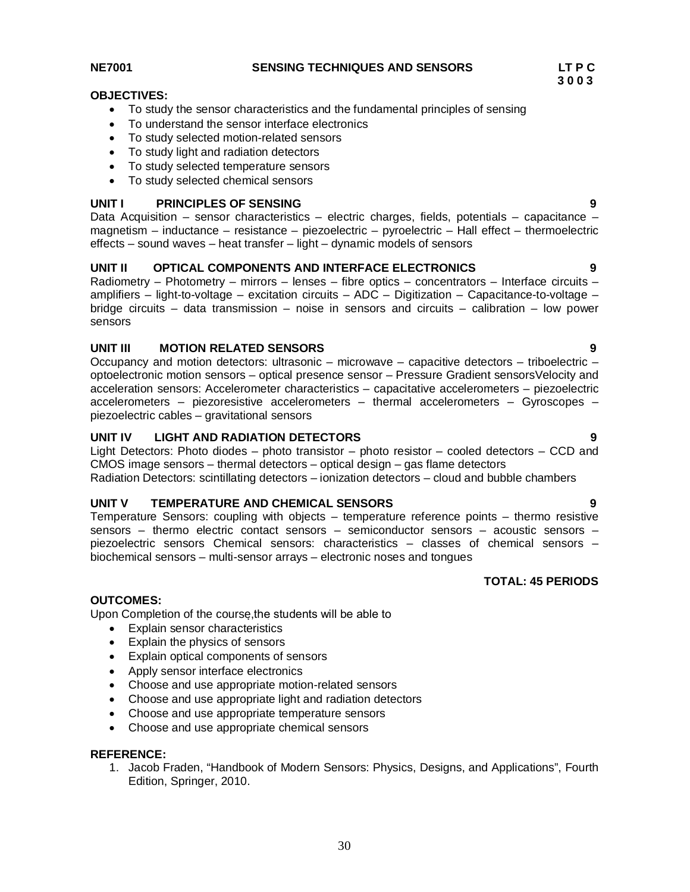# **3 0 0 3**

### **OBJECTIVES:**

- To study the sensor characteristics and the fundamental principles of sensing
- To understand the sensor interface electronics
- To study selected motion-related sensors
- To study light and radiation detectors
- To study selected temperature sensors
- To study selected chemical sensors

# **UNIT I PRINCIPLES OF SENSING 9**

Data Acquisition – sensor characteristics – electric charges, fields, potentials – capacitance – magnetism – inductance – resistance – piezoelectric – pyroelectric – Hall effect – thermoelectric effects – sound waves – heat transfer – light – dynamic models of sensors

# **UNIT II OPTICAL COMPONENTS AND INTERFACE ELECTRONICS 9**

Radiometry – Photometry – mirrors – lenses – fibre optics – concentrators – Interface circuits – amplifiers – light-to-voltage – excitation circuits – ADC – Digitization – Capacitance-to-voltage – bridge circuits – data transmission – noise in sensors and circuits – calibration – low power sensors

# **UNIT III MOTION RELATED SENSORS 9**

Occupancy and motion detectors: ultrasonic – microwave – capacitive detectors – triboelectric – optoelectronic motion sensors – optical presence sensor – Pressure Gradient sensorsVelocity and acceleration sensors: Accelerometer characteristics – capacitative accelerometers – piezoelectric accelerometers – piezoresistive accelerometers – thermal accelerometers – Gyroscopes – piezoelectric cables – gravitational sensors

# **UNIT IV LIGHT AND RADIATION DETECTORS 9**

Light Detectors: Photo diodes – photo transistor – photo resistor – cooled detectors – CCD and CMOS image sensors – thermal detectors – optical design – gas flame detectors Radiation Detectors: scintillating detectors – ionization detectors – cloud and bubble chambers

# **UNIT V TEMPERATURE AND CHEMICAL SENSORS 9**

Temperature Sensors: coupling with objects – temperature reference points – thermo resistive sensors – thermo electric contact sensors – semiconductor sensors – acoustic sensors – piezoelectric sensors Chemical sensors: characteristics – classes of chemical sensors – biochemical sensors – multi-sensor arrays – electronic noses and tongues

# **TOTAL: 45 PERIODS**

# **OUTCOMES:**

Upon Completion of the course,the students will be able to

- Explain sensor characteristics
- Explain the physics of sensors
- Explain optical components of sensors
- Apply sensor interface electronics
- Choose and use appropriate motion-related sensors
- Choose and use appropriate light and radiation detectors
- Choose and use appropriate temperature sensors
- Choose and use appropriate chemical sensors

# **REFERENCE:**

1. Jacob Fraden, "Handbook of Modern Sensors: Physics, Designs, and Applications", Fourth Edition, Springer, 2010.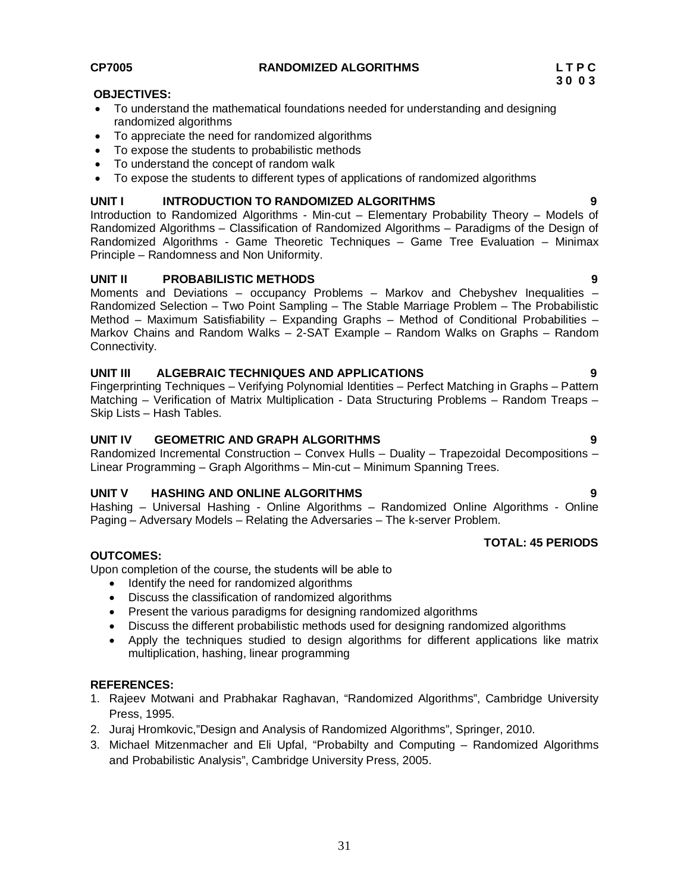31

#### To appreciate the need for randomized algorithms

- To expose the students to probabilistic methods
- To understand the concept of random walk

**OBJECTIVES:**

randomized algorithms

To expose the students to different types of applications of randomized algorithms

#### **UNIT I INTRODUCTION TO RANDOMIZED ALGORITHMS 9**

Introduction to Randomized Algorithms - Min-cut – Elementary Probability Theory – Models of Randomized Algorithms – Classification of Randomized Algorithms – Paradigms of the Design of Randomized Algorithms - Game Theoretic Techniques – Game Tree Evaluation – Minimax Principle – Randomness and Non Uniformity.

#### **UNIT II PROBABILISTIC METHODS 9**

Moments and Deviations – occupancy Problems – Markov and Chebyshev Inequalities – Randomized Selection – Two Point Sampling – The Stable Marriage Problem – The Probabilistic Method – Maximum Satisfiability – Expanding Graphs – Method of Conditional Probabilities – Markov Chains and Random Walks – 2-SAT Example – Random Walks on Graphs – Random Connectivity.

#### **UNIT III ALGEBRAIC TECHNIQUES AND APPLICATIONS 9**

Fingerprinting Techniques – Verifying Polynomial Identities – Perfect Matching in Graphs – Pattern Matching – Verification of Matrix Multiplication - Data Structuring Problems – Random Treaps – Skip Lists – Hash Tables.

# **UNIT IV GEOMETRIC AND GRAPH ALGORITHMS 9**

Randomized Incremental Construction – Convex Hulls – Duality – Trapezoidal Decompositions – Linear Programming – Graph Algorithms – Min-cut – Minimum Spanning Trees.

#### **UNIT V HASHING AND ONLINE ALGORITHMS 9**

Hashing – Universal Hashing - Online Algorithms – Randomized Online Algorithms - Online Paging – Adversary Models – Relating the Adversaries – The k-server Problem.

#### **OUTCOMES:**

Upon completion of the course, the students will be able to

- Identify the need for randomized algorithms
- Discuss the classification of randomized algorithms
- Present the various paradigms for designing randomized algorithms
- Discuss the different probabilistic methods used for designing randomized algorithms
- Apply the techniques studied to design algorithms for different applications like matrix multiplication, hashing, linear programming

#### **REFERENCES:**

- 1. Rajeev Motwani and Prabhakar Raghavan, "Randomized Algorithms", Cambridge University Press, 1995.
- 2. Juraj Hromkovic,"Design and Analysis of Randomized Algorithms", Springer, 2010.
- 3. Michael Mitzenmacher and Eli Upfal, "Probabilty and Computing Randomized Algorithms and Probabilistic Analysis", Cambridge University Press, 2005.

### **CP7005 RANDOMIZED ALGORITHMS L T P C**

To understand the mathematical foundations needed for understanding and designing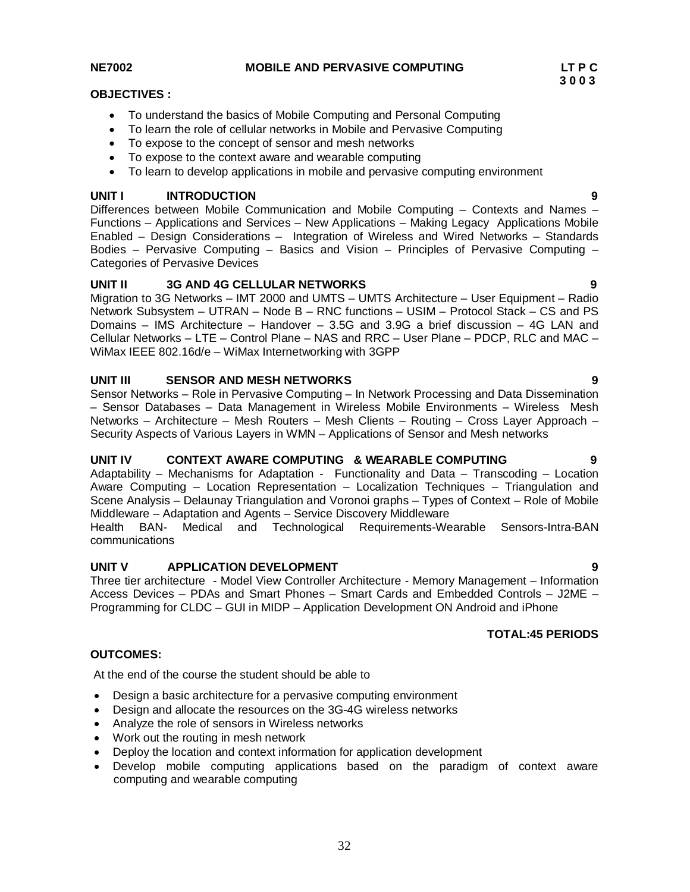## **OBJECTIVES :**

- To understand the basics of Mobile Computing and Personal Computing
- To learn the role of cellular networks in Mobile and Pervasive Computing
- To expose to the concept of sensor and mesh networks
- To expose to the context aware and wearable computing
- To learn to develop applications in mobile and pervasive computing environment

# **UNIT I INTRODUCTION 9**

Differences between Mobile Communication and Mobile Computing – Contexts and Names – Functions – Applications and Services – New Applications – Making Legacy Applications Mobile Enabled – Design Considerations – Integration of Wireless and Wired Networks – Standards Bodies – Pervasive Computing – Basics and Vision – Principles of Pervasive Computing – Categories of Pervasive Devices

# **UNIT II 3G AND 4G CELLULAR NETWORKS 9**

Migration to 3G Networks – IMT 2000 and UMTS – UMTS Architecture – User Equipment – Radio Network Subsystem – UTRAN – Node B – RNC functions – USIM – Protocol Stack – CS and PS Domains – IMS Architecture – Handover – 3.5G and 3.9G a brief discussion – 4G LAN and Cellular Networks – LTE – Control Plane – NAS and RRC – User Plane – PDCP, RLC and MAC – WiMax IEEE 802.16d/e – WiMax Internetworking with 3GPP

# **UNIT III SENSOR AND MESH NETWORKS 9**

Sensor Networks – Role in Pervasive Computing – In Network Processing and Data Dissemination – Sensor Databases – Data Management in Wireless Mobile Environments – Wireless Mesh Networks – Architecture – Mesh Routers – Mesh Clients – Routing – Cross Layer Approach – Security Aspects of Various Layers in WMN – Applications of Sensor and Mesh networks

# **UNIT IV CONTEXT AWARE COMPUTING & WEARABLE COMPUTING 9**

Adaptability – Mechanisms for Adaptation - Functionality and Data – Transcoding – Location Aware Computing – Location Representation – Localization Techniques – Triangulation and Scene Analysis – Delaunay Triangulation and Voronoi graphs – Types of Context – Role of Mobile Middleware – Adaptation and Agents – Service Discovery Middleware

Health BAN- Medical and Technological Requirements-Wearable Sensors-Intra-BAN communications

# **UNIT V APPLICATION DEVELOPMENT 9**

Three tier architecture - Model View Controller Architecture - Memory Management – Information Access Devices – PDAs and Smart Phones – Smart Cards and Embedded Controls – J2ME – Programming for CLDC – GUI in MIDP – Application Development ON Android and iPhone

# **TOTAL:45 PERIODS**

# **OUTCOMES:**

At the end of the course the student should be able to

- Design a basic architecture for a pervasive computing environment
- Design and allocate the resources on the 3G-4G wireless networks
- Analyze the role of sensors in Wireless networks
- Work out the routing in mesh network
- Deploy the location and context information for application development
- Develop mobile computing applications based on the paradigm of context aware computing and wearable computing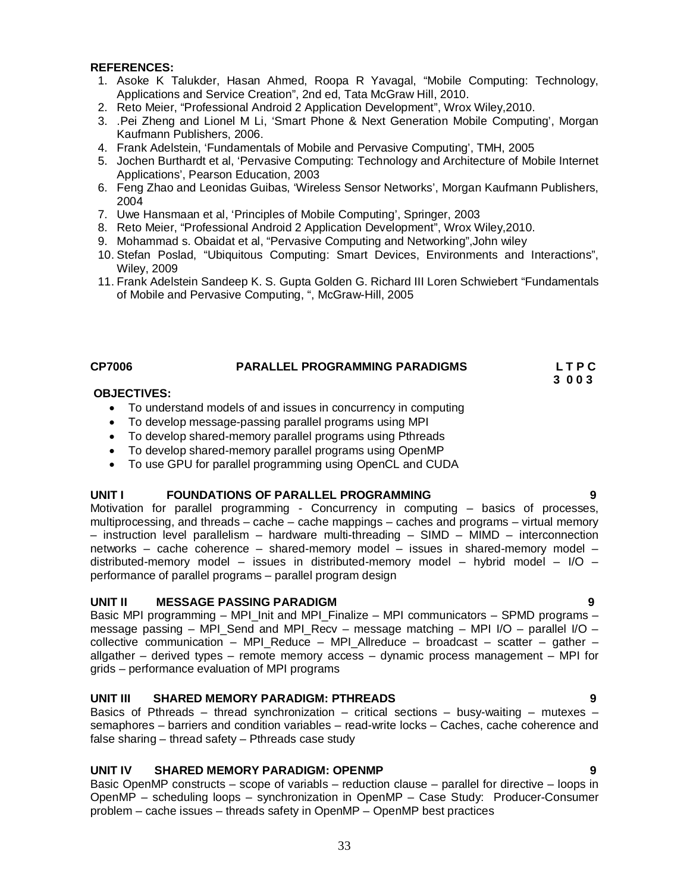#### **REFERENCES:**

- 1. Asoke K Talukder, Hasan Ahmed, Roopa R Yavagal, "Mobile Computing: Technology, Applications and Service Creation", 2nd ed, Tata McGraw Hill, 2010.
- 2. Reto Meier, "Professional Android 2 Application Development", Wrox Wiley,2010.
- 3. .Pei Zheng and Lionel M Li, 'Smart Phone & Next Generation Mobile Computing', Morgan Kaufmann Publishers, 2006.
- 4. Frank Adelstein, 'Fundamentals of Mobile and Pervasive Computing', TMH, 2005
- 5. Jochen Burthardt et al, 'Pervasive Computing: Technology and Architecture of Mobile Internet Applications', Pearson Education, 2003
- 6. Feng Zhao and Leonidas Guibas, 'Wireless Sensor Networks', Morgan Kaufmann Publishers, 2004
- 7. Uwe Hansmaan et al, 'Principles of Mobile Computing', Springer, 2003
- 8. Reto Meier, "Professional Android 2 Application Development", Wrox Wiley,2010.
- 9. Mohammad s. Obaidat et al, "Pervasive Computing and Networking",John wiley
- 10. Stefan Poslad, "Ubiquitous Computing: Smart Devices, Environments and Interactions", Wiley, 2009
- 11. Frank Adelstein Sandeep K. S. Gupta Golden G. Richard III Loren Schwiebert "Fundamentals of Mobile and Pervasive Computing, ", McGraw-Hill, 2005

#### **CP7006 PARALLEL PROGRAMMING PARADIGMS L T P C**

 **3 0 0 3**

#### **OBJECTIVES:**

- To understand models of and issues in concurrency in computing
- To develop message-passing parallel programs using MPI
- To develop shared-memory parallel programs using Pthreads
- To develop shared-memory parallel programs using OpenMP
- To use GPU for parallel programming using OpenCL and CUDA

### **UNIT I FOUNDATIONS OF PARALLEL PROGRAMMING 9**

Motivation for parallel programming - Concurrency in computing – basics of processes, multiprocessing, and threads – cache – cache mappings – caches and programs – virtual memory  $-$  instruction level parallelism  $-$  hardware multi-threading  $-$  SIMD  $-$  MIMD  $-$  interconnection networks – cache coherence – shared-memory model – issues in shared-memory model – distributed-memory model – issues in distributed-memory model – hybrid model – I/O – performance of parallel programs – parallel program design

#### **UNIT II MESSAGE PASSING PARADIGM 9**

Basic MPI programming – MPI\_Init and MPI\_Finalize – MPI communicators – SPMD programs – message passing – MPI\_Send and MPI\_Recv – message matching – MPI I/O – parallel I/O – collective communication – MPI\_Reduce – MPI\_Allreduce – broadcast – scatter – gather – allgather – derived types – remote memory access – dynamic process management – MPI for grids – performance evaluation of MPI programs

#### **UNIT III SHARED MEMORY PARADIGM: PTHREADS 9**

Basics of Pthreads – thread synchronization – critical sections – busy-waiting – mutexes – semaphores – barriers and condition variables – read-write locks – Caches, cache coherence and false sharing – thread safety – Pthreads case study

#### **UNIT IV SHARED MEMORY PARADIGM: OPENMP 9**

Basic OpenMP constructs – scope of variabls – reduction clause – parallel for directive – loops in OpenMP – scheduling loops – synchronization in OpenMP – Case Study: Producer-Consumer problem – cache issues – threads safety in OpenMP – OpenMP best practices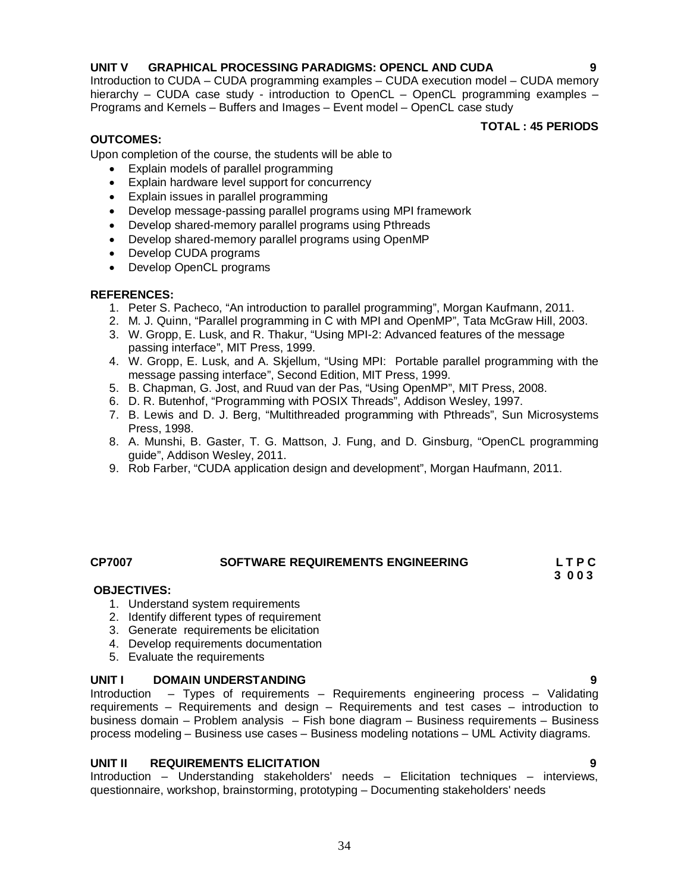# **UNIT V GRAPHICAL PROCESSING PARADIGMS: OPENCL AND CUDA 9**

Introduction to CUDA – CUDA programming examples – CUDA execution model – CUDA memory hierarchy – CUDA case study - introduction to OpenCL – OpenCL programming examples – Programs and Kernels – Buffers and Images – Event model – OpenCL case study

#### **UNIT I DOMAIN UNDERSTANDING 9**

Introduction – Types of requirements – Requirements engineering process – Validating requirements – Requirements and design – Requirements and test cases – introduction to business domain – Problem analysis – Fish bone diagram – Business requirements – Business process modeling – Business use cases – Business modeling notations – UML Activity diagrams.

#### **UNIT II REQUIREMENTS ELICITATION 9**

Introduction – Understanding stakeholders' needs – Elicitation techniques – interviews, questionnaire, workshop, brainstorming, prototyping – Documenting stakeholders' needs

34

# Explain issues in parallel programming

- Develop message-passing parallel programs using MPI framework
- Develop shared-memory parallel programs using Pthreads

Upon completion of the course, the students will be able to

Explain hardware level support for concurrency

• Explain models of parallel programming

- Develop shared-memory parallel programs using OpenMP
- Develop CUDA programs
- Develop OpenCL programs

#### **REFERENCES:**

**OUTCOMES:**

- 1. Peter S. Pacheco, "An introduction to parallel programming", Morgan Kaufmann, 2011.
- 2. M. J. Quinn, "Parallel programming in C with MPI and OpenMP", Tata McGraw Hill, 2003.
- 3. W. Gropp, E. Lusk, and R. Thakur, "Using MPI-2: Advanced features of the message passing interface", MIT Press, 1999.
- 4. W. Gropp, E. Lusk, and A. Skjellum, "Using MPI: Portable parallel programming with the message passing interface", Second Edition, MIT Press, 1999.
- 5. B. Chapman, G. Jost, and Ruud van der Pas, "Using OpenMP", MIT Press, 2008.
- 6. D. R. Butenhof, "Programming with POSIX Threads", Addison Wesley, 1997.
- 7. B. Lewis and D. J. Berg, "Multithreaded programming with Pthreads", Sun Microsystems Press, 1998.
- 8. A. Munshi, B. Gaster, T. G. Mattson, J. Fung, and D. Ginsburg, "OpenCL programming guide", Addison Wesley, 2011.

 **3 0 0 3**

9. Rob Farber, "CUDA application design and development", Morgan Haufmann, 2011.

# **CP7007 SOFTWARE REQUIREMENTS ENGINEERING L T P C**

#### **OBJECTIVES:**

- 1. Understand system requirements
- 2. Identify different types of requirement
- 3. Generate requirements be elicitation
- 4. Develop requirements documentation
- 5. Evaluate the requirements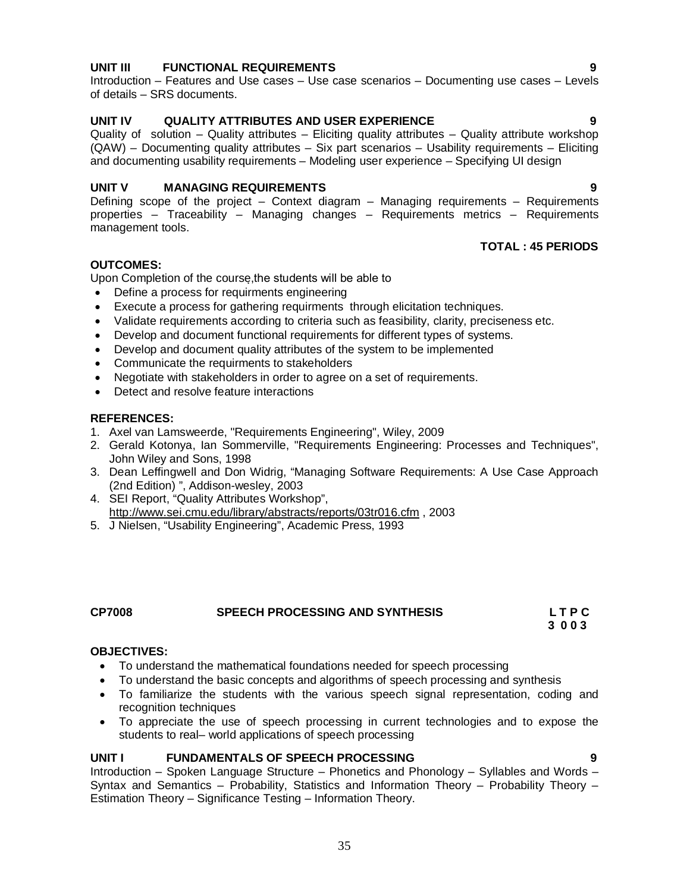# **UNIT III FUNCTIONAL REQUIREMENTS 9**

Introduction – Features and Use cases – Use case scenarios – Documenting use cases – Levels of details – SRS documents.

# **UNIT IV QUALITY ATTRIBUTES AND USER EXPERIENCE 9**

Quality of solution – Quality attributes – Eliciting quality attributes – Quality attribute workshop (QAW) – Documenting quality attributes – Six part scenarios – Usability requirements – Eliciting and documenting usability requirements – Modeling user experience – Specifying UI design

# **UNIT V MANAGING REQUIREMENTS 9**

Defining scope of the project – Context diagram – Managing requirements – Requirements properties – Traceability – Managing changes – Requirements metrics – Requirements management tools.

# **TOTAL : 45 PERIODS**

# **OUTCOMES:**

Upon Completion of the course,the students will be able to

- Define a process for requirments engineering
- Execute a process for gathering requirments through elicitation techniques.
- Validate requirements according to criteria such as feasibility, clarity, preciseness etc.
- Develop and document functional requirements for different types of systems.
- Develop and document quality attributes of the system to be implemented
- Communicate the requirments to stakeholders
- Negotiate with stakeholders in order to agree on a set of requirements.
- Detect and resolve feature interactions

# **REFERENCES:**

- 1. Axel van Lamsweerde, "Requirements Engineering", Wiley, 2009
- 2. Gerald Kotonya, Ian Sommerville, "Requirements Engineering: Processes and Techniques", John Wiley and Sons, 1998
- 3. Dean Leffingwell and Don Widrig, "Managing Software Requirements: A Use Case Approach (2nd Edition) ", Addison-wesley, 2003
- 4. SEI Report, "Quality Attributes Workshop", http://www.sei.cmu.edu/library/abstracts/reports/03tr016.cfm , 2003
- 5. J Nielsen, "Usability Engineering", Academic Press, 1993

# **CP7008 SPEECH PROCESSING AND SYNTHESIS L T P C**

 **3 0 0 3**

# **OBJECTIVES:**

- To understand the mathematical foundations needed for speech processing
- To understand the basic concepts and algorithms of speech processing and synthesis
- To familiarize the students with the various speech signal representation, coding and recognition techniques
- To appreciate the use of speech processing in current technologies and to expose the students to real– world applications of speech processing

# **UNIT I FUNDAMENTALS OF SPEECH PROCESSING 9**

Introduction – Spoken Language Structure – Phonetics and Phonology – Syllables and Words – Syntax and Semantics – Probability, Statistics and Information Theory – Probability Theory – Estimation Theory – Significance Testing – Information Theory.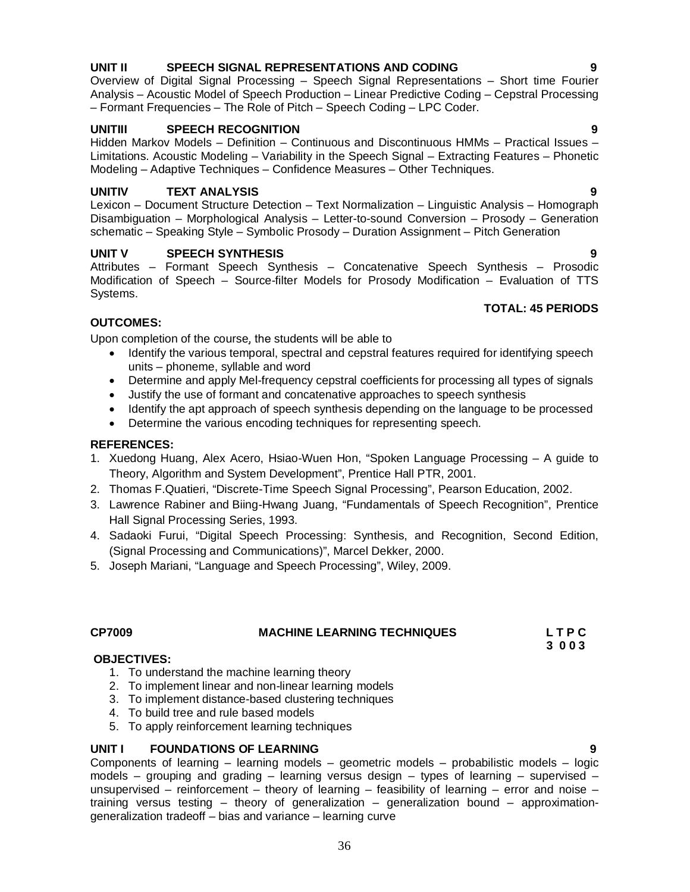# **UNIT II SPEECH SIGNAL REPRESENTATIONS AND CODING 9**

Overview of Digital Signal Processing – Speech Signal Representations – Short time Fourier Analysis – Acoustic Model of Speech Production – Linear Predictive Coding – Cepstral Processing – Formant Frequencies – The Role of Pitch – Speech Coding – LPC Coder.

# **UNITIII SPEECH RECOGNITION 9**

Hidden Markov Models – Definition – Continuous and Discontinuous HMMs – Practical Issues – Limitations. Acoustic Modeling – Variability in the Speech Signal – Extracting Features – Phonetic Modeling – Adaptive Techniques – Confidence Measures – Other Techniques.

# **UNITIV TEXT ANALYSIS 9**

Lexicon – Document Structure Detection – Text Normalization – Linguistic Analysis – Homograph Disambiguation – Morphological Analysis – Letter-to-sound Conversion – Prosody – Generation schematic – Speaking Style – Symbolic Prosody – Duration Assignment – Pitch Generation

# **UNIT V SPEECH SYNTHESIS 9**

Attributes – Formant Speech Synthesis – Concatenative Speech Synthesis – Prosodic Modification of Speech – Source-filter Models for Prosody Modification – Evaluation of TTS Systems.

# **TOTAL: 45 PERIODS**

 **3 0 0 3**

# **OUTCOMES:**

Upon completion of the course, the students will be able to

- Identify the various temporal, spectral and cepstral features required for identifying speech units – phoneme, syllable and word
- Determine and apply Mel-frequency cepstral coefficients for processing all types of signals
- Justify the use of formant and concatenative approaches to speech synthesis
- Identify the apt approach of speech synthesis depending on the language to be processed
- Determine the various encoding techniques for representing speech.

# **REFERENCES:**

- 1. Xuedong Huang, Alex Acero, Hsiao-Wuen Hon, "Spoken Language Processing A guide to Theory, Algorithm and System Development", Prentice Hall PTR, 2001.
- 2. Thomas F.Quatieri, "Discrete-Time Speech Signal Processing", Pearson Education, 2002.
- 3. Lawrence Rabiner and Biing-Hwang Juang, "Fundamentals of Speech Recognition", Prentice Hall Signal Processing Series, 1993.
- 4. Sadaoki Furui, "Digital Speech Processing: Synthesis, and Recognition, Second Edition, (Signal Processing and Communications)", Marcel Dekker, 2000.
- 5. Joseph Mariani, "Language and Speech Processing", Wiley, 2009.

# **CP7009 MACHINE LEARNING TECHNIQUES L T P C**

# **OBJECTIVES:**

- 1. To understand the machine learning theory
- 2. To implement linear and non-linear learning models
- 3. To implement distance-based clustering techniques
- 4. To build tree and rule based models
- 5. To apply reinforcement learning techniques

# **UNIT I FOUNDATIONS OF LEARNING 9**

Components of learning – learning models – geometric models – probabilistic models – logic models – grouping and grading – learning versus design – types of learning – supervised – unsupervised – reinforcement – theory of learning – feasibility of learning – error and noise – training versus testing – theory of generalization – generalization bound – approximationgeneralization tradeoff – bias and variance – learning curve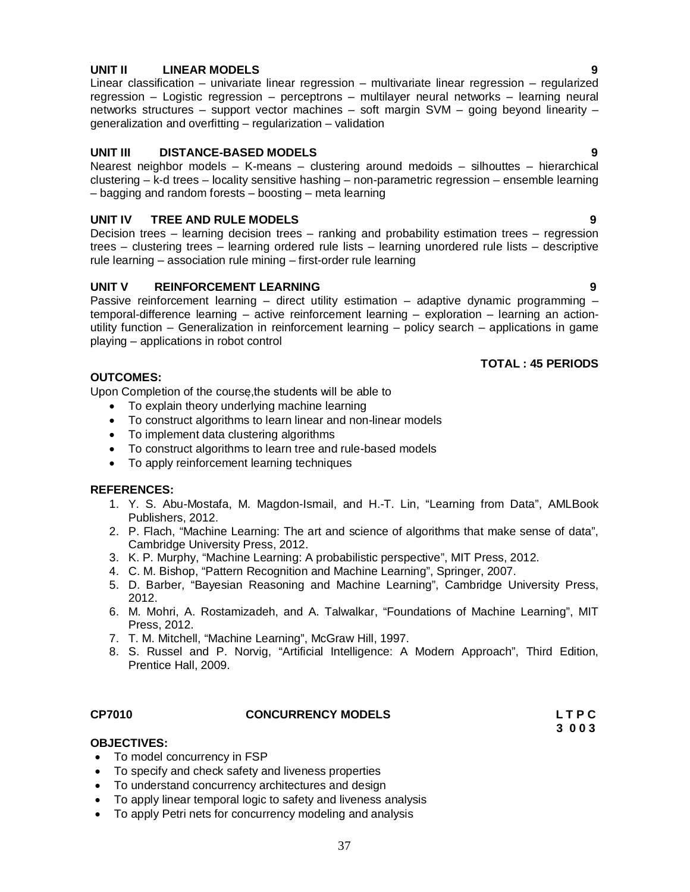# **UNIT II LINEAR MODELS 9**

Linear classification – univariate linear regression – multivariate linear regression – regularized regression – Logistic regression – perceptrons – multilayer neural networks – learning neural networks structures – support vector machines – soft margin SVM – going beyond linearity – generalization and overfitting – regularization – validation

# **UNIT III DISTANCE-BASED MODELS 9**

Nearest neighbor models – K-means – clustering around medoids – silhouttes – hierarchical clustering – k-d trees – locality sensitive hashing – non-parametric regression – ensemble learning – bagging and random forests – boosting – meta learning

# **UNIT IV TREE AND RULE MODELS 9**

Decision trees – learning decision trees – ranking and probability estimation trees – regression trees – clustering trees – learning ordered rule lists – learning unordered rule lists – descriptive rule learning – association rule mining – first-order rule learning

# **UNIT V REINFORCEMENT LEARNING****9**

Passive reinforcement learning – direct utility estimation – adaptive dynamic programming – temporal-difference learning – active reinforcement learning – exploration – learning an actionutility function – Generalization in reinforcement learning – policy search – applications in game playing – applications in robot control

# **TOTAL : 45 PERIODS**

# **OUTCOMES:**

Upon Completion of the course,the students will be able to

- To explain theory underlying machine learning
- To construct algorithms to learn linear and non-linear models
- To implement data clustering algorithms
- To construct algorithms to learn tree and rule-based models
- To apply reinforcement learning techniques

# **REFERENCES:**

- 1. Y. S. Abu-Mostafa, M. Magdon-Ismail, and H.-T. Lin, "Learning from Data", AMLBook Publishers, 2012.
- 2. P. Flach, "Machine Learning: The art and science of algorithms that make sense of data", Cambridge University Press, 2012.
- 3. K. P. Murphy, "Machine Learning: A probabilistic perspective", MIT Press, 2012.
- 4. C. M. Bishop, "Pattern Recognition and Machine Learning", Springer, 2007.
- 5. D. Barber, "Bayesian Reasoning and Machine Learning", Cambridge University Press, 2012.
- 6. M. Mohri, A. Rostamizadeh, and A. Talwalkar, "Foundations of Machine Learning", MIT Press, 2012.
- 7. T. M. Mitchell, "Machine Learning", McGraw Hill, 1997.
- 8. S. Russel and P. Norvig, "Artificial Intelligence: A Modern Approach", Third Edition, Prentice Hall, 2009.

# **CP7010 CONCURRENCY MODELS L T P C**

 **3 0 0 3**

# **OBJECTIVES:**

- To model concurrency in FSP
- To specify and check safety and liveness properties
- To understand concurrency architectures and design
- To apply linear temporal logic to safety and liveness analysis
- To apply Petri nets for concurrency modeling and analysis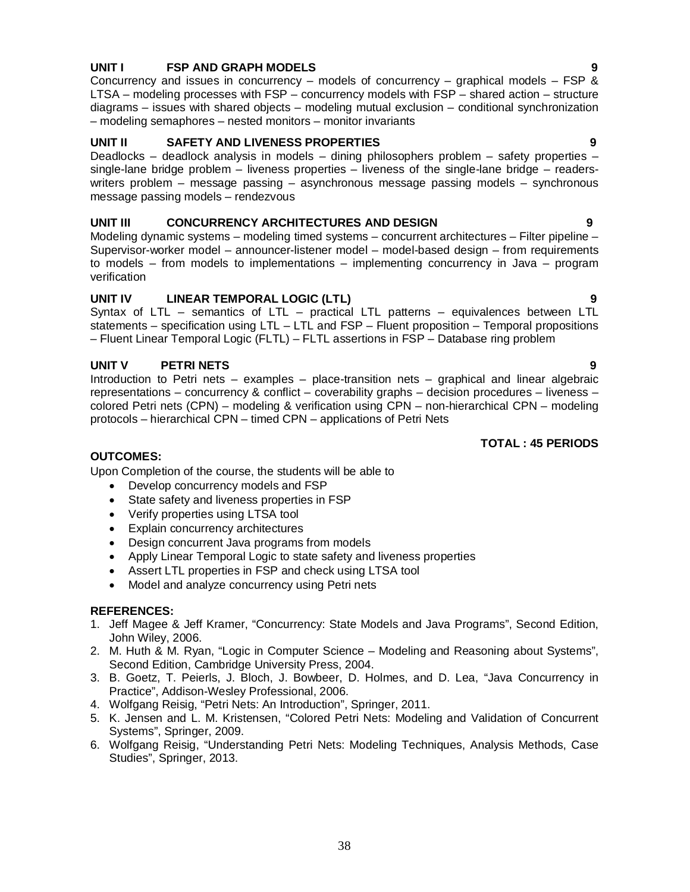# **UNIT I FSP AND GRAPH MODELS 9**

Concurrency and issues in concurrency – models of concurrency – graphical models – FSP  $\&$ LTSA – modeling processes with FSP – concurrency models with FSP – shared action – structure diagrams – issues with shared objects – modeling mutual exclusion – conditional synchronization – modeling semaphores – nested monitors – monitor invariants

# **UNIT II SAFETY AND LIVENESS PROPERTIES 9**

Deadlocks – deadlock analysis in models – dining philosophers problem – safety properties – single-lane bridge problem – liveness properties – liveness of the single-lane bridge – readerswriters problem – message passing – asynchronous message passing models – synchronous message passing models – rendezvous

# **UNIT III CONCURRENCY ARCHITECTURES AND DESIGN 9**

Modeling dynamic systems – modeling timed systems – concurrent architectures – Filter pipeline – Supervisor-worker model – announcer-listener model – model-based design – from requirements to models – from models to implementations – implementing concurrency in Java – program verification

# **UNIT IV LINEAR TEMPORAL LOGIC (LTL) 9**

Syntax of LTL – semantics of LTL – practical LTL patterns – equivalences between LTL statements – specification using LTL – LTL and FSP – Fluent proposition – Temporal propositions – Fluent Linear Temporal Logic (FLTL) – FLTL assertions in FSP – Database ring problem

# **UNIT V PETRI NETS 9**

Introduction to Petri nets – examples – place-transition nets – graphical and linear algebraic representations – concurrency & conflict – coverability graphs – decision procedures – liveness – colored Petri nets (CPN) – modeling & verification using CPN – non-hierarchical CPN – modeling protocols – hierarchical CPN – timed CPN – applications of Petri Nets

# **OUTCOMES:**

Upon Completion of the course, the students will be able to

- Develop concurrency models and FSP
- State safety and liveness properties in FSP
- Verify properties using LTSA tool
- Explain concurrency architectures
- Design concurrent Java programs from models
- Apply Linear Temporal Logic to state safety and liveness properties
- Assert LTL properties in FSP and check using LTSA tool
- Model and analyze concurrency using Petri nets

# **REFERENCES:**

- 1. Jeff Magee & Jeff Kramer, "Concurrency: State Models and Java Programs", Second Edition, John Wiley, 2006.
- 2. M. Huth & M. Ryan, "Logic in Computer Science Modeling and Reasoning about Systems", Second Edition, Cambridge University Press, 2004.
- 3. B. Goetz, T. Peierls, J. Bloch, J. Bowbeer, D. Holmes, and D. Lea, "Java Concurrency in Practice", Addison-Wesley Professional, 2006.
- 4. Wolfgang Reisig, "Petri Nets: An Introduction", Springer, 2011.
- 5. K. Jensen and L. M. Kristensen, "Colored Petri Nets: Modeling and Validation of Concurrent Systems", Springer, 2009.
- 6. Wolfgang Reisig, "Understanding Petri Nets: Modeling Techniques, Analysis Methods, Case Studies", Springer, 2013.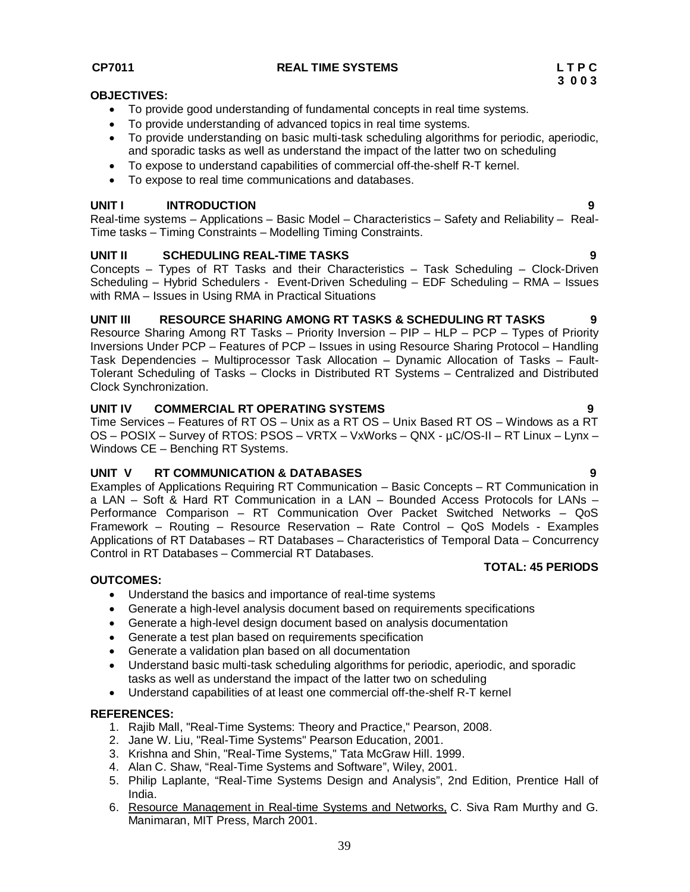# **CP7011 REAL TIME SYSTEMS L T P C**

**TOTAL: 45 PERIODS**

# **OBJECTIVES:**

- To provide good understanding of fundamental concepts in real time systems.
- To provide understanding of advanced topics in real time systems.
- To provide understanding on basic multi-task scheduling algorithms for periodic, aperiodic, and sporadic tasks as well as understand the impact of the latter two on scheduling
- To expose to understand capabilities of commercial off-the-shelf R-T kernel.
- To expose to real time communications and databases.

# **UNIT I INTRODUCTION 9**

Real-time systems – Applications – Basic Model – Characteristics – Safety and Reliability – Real-Time tasks – Timing Constraints – Modelling Timing Constraints.

# **UNIT II SCHEDULING REAL-TIME TASKS 9**

Concepts – Types of RT Tasks and their Characteristics – Task Scheduling – Clock-Driven Scheduling – Hybrid Schedulers - Event-Driven Scheduling – EDF Scheduling – RMA – Issues with RMA – Issues in Using RMA in Practical Situations

**UNIT III RESOURCE SHARING AMONG RT TASKS & SCHEDULING RT TASKS 9** Resource Sharing Among RT Tasks – Priority Inversion – PIP – HLP – PCP – Types of Priority Inversions Under PCP – Features of PCP – Issues in using Resource Sharing Protocol – Handling Task Dependencies – Multiprocessor Task Allocation – Dynamic Allocation of Tasks – Fault-Tolerant Scheduling of Tasks – Clocks in Distributed RT Systems – Centralized and Distributed Clock Synchronization.

# **UNIT IV COMMERCIAL RT OPERATING SYSTEMS 9**

Time Services – Features of RT OS – Unix as a RT OS – Unix Based RT OS – Windows as a RT OS – POSIX – Survey of RTOS: PSOS – VRTX – VxWorks – QNX - µC/OS-II – RT Linux – Lynx – Windows CE – Benching RT Systems.

# **UNIT V RT COMMUNICATION & DATABASES 9**

Examples of Applications Requiring RT Communication – Basic Concepts – RT Communication in a LAN – Soft & Hard RT Communication in a LAN – Bounded Access Protocols for LANs – Performance Comparison – RT Communication Over Packet Switched Networks – QoS Framework – Routing – Resource Reservation – Rate Control – QoS Models - Examples Applications of RT Databases – RT Databases – Characteristics of Temporal Data – Concurrency Control in RT Databases – Commercial RT Databases.

# **OUTCOMES:**

- Understand the basics and importance of real-time systems
- Generate a high-level analysis document based on requirements specifications
- Generate a high-level design document based on analysis documentation
- Generate a test plan based on requirements specification
- Generate a validation plan based on all documentation
- Understand basic multi-task scheduling algorithms for periodic, aperiodic, and sporadic tasks as well as understand the impact of the latter two on scheduling
- Understand capabilities of at least one commercial off-the-shelf R-T kernel

# **REFERENCES:**

- 1. Rajib Mall, "Real-Time Systems: Theory and Practice," Pearson, 2008.
- 2. Jane W. Liu, "Real-Time Systems" Pearson Education, 2001.
- 3. Krishna and Shin, "Real-Time Systems," Tata McGraw Hill. 1999.
- 4. Alan C. Shaw, "Real-Time Systems and Software", Wiley, 2001.
- 5. Philip Laplante, "Real-Time Systems Design and Analysis", 2nd Edition, Prentice Hall of India.
- 6. Resource Management in Real-time Systems and Networks, C. Siva Ram Murthy and G. Manimaran, MIT Press, March 2001.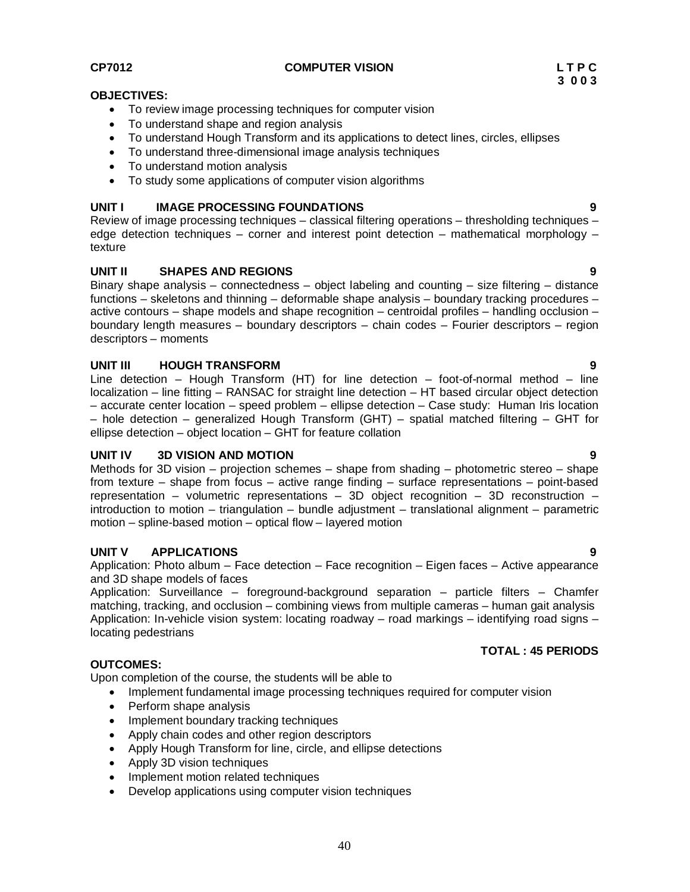#### **CP7012 COMPUTER VISION L T P C**

### **OBJECTIVES:**

- To review image processing techniques for computer vision
- To understand shape and region analysis
- To understand Hough Transform and its applications to detect lines, circles, ellipses
- To understand three-dimensional image analysis techniques
- To understand motion analysis
- To study some applications of computer vision algorithms

# **UNIT I IMAGE PROCESSING FOUNDATIONS 9**

Review of image processing techniques – classical filtering operations – thresholding techniques – edge detection techniques – corner and interest point detection – mathematical morphology – texture

# **UNIT II SHAPES AND REGIONS 9**

Binary shape analysis – connectedness – object labeling and counting – size filtering – distance functions – skeletons and thinning – deformable shape analysis – boundary tracking procedures – active contours – shape models and shape recognition – centroidal profiles – handling occlusion – boundary length measures – boundary descriptors – chain codes – Fourier descriptors – region descriptors – moments

# **UNIT III HOUGH TRANSFORM 9**

Line detection – Hough Transform (HT) for line detection – foot-of-normal method – line localization – line fitting – RANSAC for straight line detection – HT based circular object detection – accurate center location – speed problem – ellipse detection – Case study: Human Iris location – hole detection – generalized Hough Transform (GHT) – spatial matched filtering – GHT for ellipse detection – object location – GHT for feature collation

# **UNIT IV 3D VISION AND MOTION 9**

Methods for 3D vision – projection schemes – shape from shading – photometric stereo – shape from texture – shape from focus – active range finding – surface representations – point-based representation – volumetric representations – 3D object recognition – 3D reconstruction – introduction to motion – triangulation – bundle adjustment – translational alignment – parametric motion – spline-based motion – optical flow – layered motion

# **UNIT V APPLICATIONS 9**

Application: Photo album – Face detection – Face recognition – Eigen faces – Active appearance and 3D shape models of faces

Application: Surveillance – foreground-background separation – particle filters – Chamfer matching, tracking, and occlusion – combining views from multiple cameras – human gait analysis Application: In-vehicle vision system: locating roadway – road markings – identifying road signs – locating pedestrians

#### **OUTCOMES:**

Upon completion of the course, the students will be able to

- Implement fundamental image processing techniques required for computer vision
- Perform shape analysis
- Implement boundary tracking techniques
- Apply chain codes and other region descriptors
- Apply Hough Transform for line, circle, and ellipse detections
- Apply 3D vision techniques
- Implement motion related techniques
- Develop applications using computer vision techniques

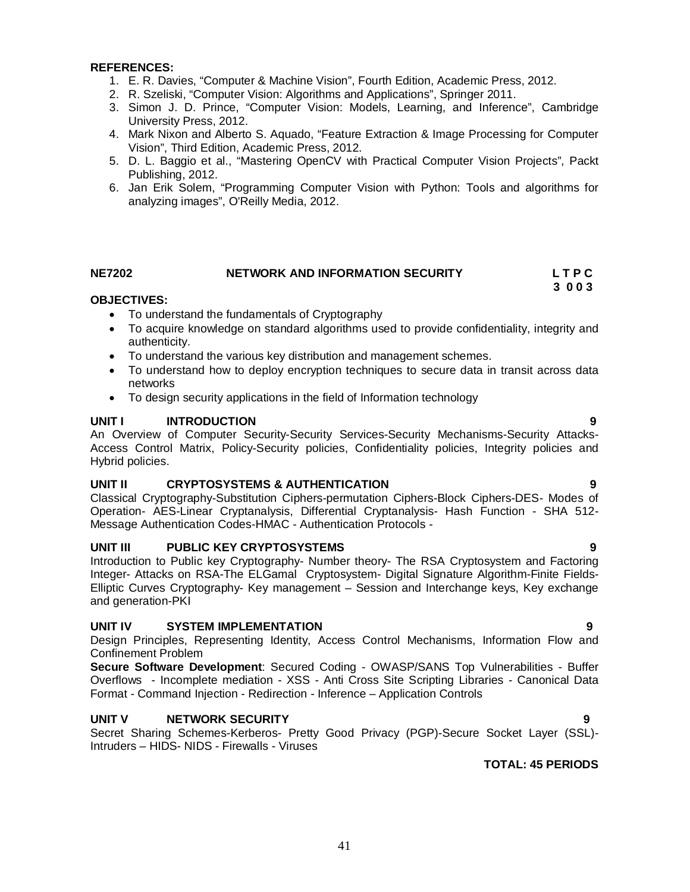#### **REFERENCES:**

- 1. E. R. Davies, "Computer & Machine Vision", Fourth Edition, Academic Press, 2012.
- 2. R. Szeliski, "Computer Vision: Algorithms and Applications", Springer 2011.
- 3. Simon J. D. Prince, "Computer Vision: Models, Learning, and Inference", Cambridge University Press, 2012.
- 4. Mark Nixon and Alberto S. Aquado, "Feature Extraction & Image Processing for Computer Vision", Third Edition, Academic Press, 2012.
- 5. D. L. Baggio et al., "Mastering OpenCV with Practical Computer Vision Projects", Packt Publishing, 2012.
- 6. Jan Erik Solem, "Programming Computer Vision with Python: Tools and algorithms for analyzing images", O'Reilly Media, 2012.

# **NE7202 NETWORK AND INFORMATION SECURITY LTPC CONSUMI**SED **LTPC**

 **3 0 0 3**

### **OBJECTIVES:**

- To understand the fundamentals of Cryptography
- To acquire knowledge on standard algorithms used to provide confidentiality, integrity and authenticity.
- To understand the various key distribution and management schemes.
- To understand how to deploy encryption techniques to secure data in transit across data networks
- To design security applications in the field of Information technology

#### **UNIT I INTRODUCTION 9**

An Overview of Computer Security-Security Services-Security Mechanisms-Security Attacks-Access Control Matrix, Policy-Security policies, Confidentiality policies, Integrity policies and Hybrid policies.

### **UNIT II CRYPTOSYSTEMS & AUTHENTICATION 9**

Classical Cryptography-Substitution Ciphers-permutation Ciphers-Block Ciphers-DES- Modes of Operation- AES-Linear Cryptanalysis, Differential Cryptanalysis- Hash Function - SHA 512- Message Authentication Codes-HMAC - Authentication Protocols -

#### **UNIT III PUBLIC KEY CRYPTOSYSTEMS 9**

Introduction to Public key Cryptography- Number theory- The RSA Cryptosystem and Factoring Integer- Attacks on RSA-The ELGamal Cryptosystem- Digital Signature Algorithm-Finite Fields-Elliptic Curves Cryptography- Key management – Session and Interchange keys, Key exchange and generation-PKI

#### **UNIT IV SYSTEM IMPLEMENTATION 9**

Design Principles, Representing Identity, Access Control Mechanisms, Information Flow and Confinement Problem

**Secure Software Development**: Secured Coding - OWASP/SANS Top Vulnerabilities - Buffer Overflows - Incomplete mediation - XSS - Anti Cross Site Scripting Libraries - Canonical Data Format - Command Injection - Redirection - Inference – Application Controls

### **UNIT V NETWORK SECURITY 9**

Secret Sharing Schemes-Kerberos- Pretty Good Privacy (PGP)-Secure Socket Layer (SSL)- Intruders – HIDS- NIDS - Firewalls - Viruses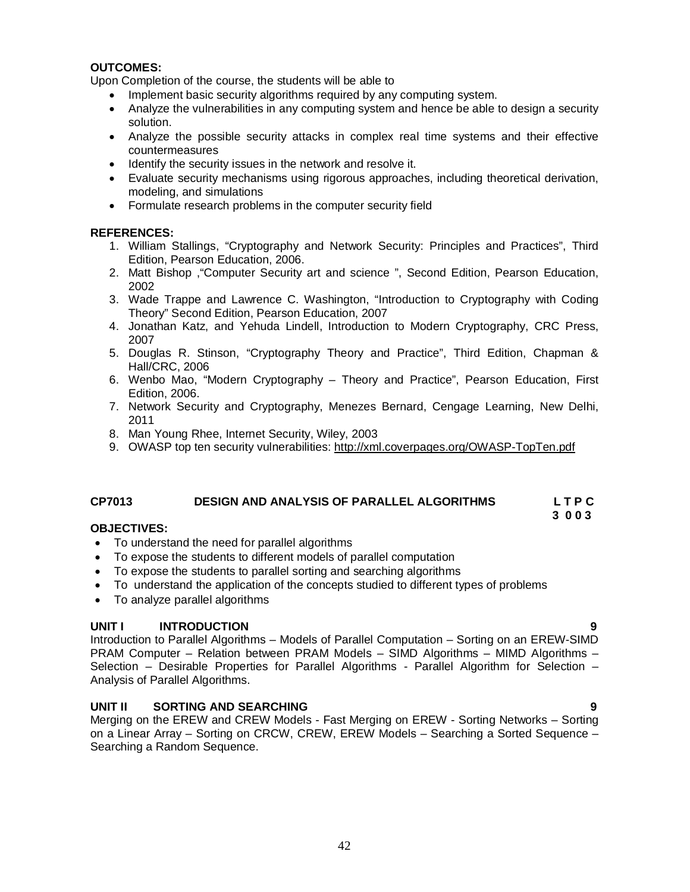Upon Completion of the course, the students will be able to

- Implement basic security algorithms required by any computing system.
- Analyze the vulnerabilities in any computing system and hence be able to design a security solution.
- Analyze the possible security attacks in complex real time systems and their effective countermeasures
- Identify the security issues in the network and resolve it.
- Evaluate security mechanisms using rigorous approaches, including theoretical derivation, modeling, and simulations
- Formulate research problems in the computer security field

### **REFERENCES:**

- 1. William Stallings, "Cryptography and Network Security: Principles and Practices", Third Edition, Pearson Education, 2006.
- 2. Matt Bishop ,"Computer Security art and science ", Second Edition, Pearson Education, 2002
- 3. Wade Trappe and Lawrence C. Washington, "Introduction to Cryptography with Coding Theory" Second Edition, Pearson Education, 2007
- 4. Jonathan Katz, and Yehuda Lindell, Introduction to Modern Cryptography, CRC Press, 2007
- 5. Douglas R. Stinson, "Cryptography Theory and Practice", Third Edition, Chapman & Hall/CRC, 2006
- 6. Wenbo Mao, "Modern Cryptography Theory and Practice", Pearson Education, First Edition, 2006.
- 7. Network Security and Cryptography, Menezes Bernard, Cengage Learning, New Delhi, 2011
- 8. Man Young Rhee, Internet Security, Wiley, 2003
- 9. OWASP top ten security vulnerabilities: http://xml.coverpages.org/OWASP-TopTen.pdf

# **CP7013 DESIGN AND ANALYSIS OF PARALLEL ALGORITHMS L T P C**

#### **3 0 0 3 OBJECTIVES:**

- To understand the need for parallel algorithms
- To expose the students to different models of parallel computation
- To expose the students to parallel sorting and searching algorithms
- To understand the application of the concepts studied to different types of problems
- To analyze parallel algorithms

# **UNIT I INTRODUCTION 9**

Introduction to Parallel Algorithms – Models of Parallel Computation – Sorting on an EREW-SIMD PRAM Computer – Relation between PRAM Models – SIMD Algorithms – MIMD Algorithms – Selection – Desirable Properties for Parallel Algorithms - Parallel Algorithm for Selection – Analysis of Parallel Algorithms.

#### **UNIT II SORTING AND SEARCHING 9**

Merging on the EREW and CREW Models - Fast Merging on EREW - Sorting Networks – Sorting on a Linear Array – Sorting on CRCW, CREW, EREW Models – Searching a Sorted Sequence – Searching a Random Sequence.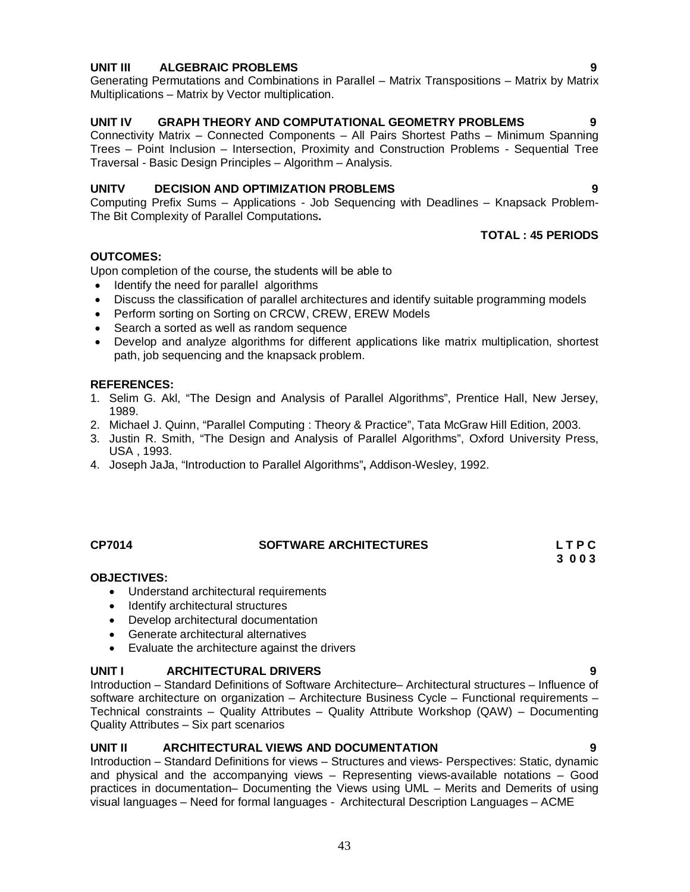# **UNIT III ALGEBRAIC PROBLEMS 9**

Generating Permutations and Combinations in Parallel – Matrix Transpositions – Matrix by Matrix Multiplications – Matrix by Vector multiplication.

# **UNIT IV GRAPH THEORY AND COMPUTATIONAL GEOMETRY PROBLEMS 9**

Connectivity Matrix – Connected Components – All Pairs Shortest Paths – Minimum Spanning Trees – Point Inclusion – Intersection, Proximity and Construction Problems - Sequential Tree Traversal - Basic Design Principles – Algorithm – Analysis.

# **UNITV DECISION AND OPTIMIZATION PROBLEMS 9**

Computing Prefix Sums – Applications - Job Sequencing with Deadlines – Knapsack Problem-The Bit Complexity of Parallel Computations**.**

# **TOTAL : 45 PERIODS**

# **OUTCOMES:**

Upon completion of the course, the students will be able to

- Identify the need for parallel algorithms
- Discuss the classification of parallel architectures and identify suitable programming models
- Perform sorting on Sorting on CRCW, CREW, EREW Models
- Search a sorted as well as random sequence
- Develop and analyze algorithms for different applications like matrix multiplication, shortest path, job sequencing and the knapsack problem.

# **REFERENCES:**

- 1. Selim G. Akl, "The Design and Analysis of Parallel Algorithms", Prentice Hall, New Jersey, 1989.
- 2. Michael J. Quinn, "Parallel Computing : Theory & Practice", Tata McGraw Hill Edition, 2003.
- 3. Justin R. Smith, "The Design and Analysis of Parallel Algorithms", Oxford University Press, USA , 1993.
- 4. Joseph JaJa, "Introduction to Parallel Algorithms"**,** Addison-Wesley, 1992.

# **CP7014 SOFTWARE ARCHITECTURES L T P C**

 **3 0 0 3**

# **OBJECTIVES:**

- Understand architectural requirements
- Identify architectural structures
- Develop architectural documentation
- Generate architectural alternatives
- Evaluate the architecture against the drivers

# **UNIT I ARCHITECTURAL DRIVERS 9**

Introduction – Standard Definitions of Software Architecture– Architectural structures – Influence of software architecture on organization – Architecture Business Cycle – Functional requirements – Technical constraints – Quality Attributes – Quality Attribute Workshop (QAW) – Documenting Quality Attributes – Six part scenarios

# **UNIT II ARCHITECTURAL VIEWS AND DOCUMENTATION 9**

Introduction – Standard Definitions for views – Structures and views- Perspectives: Static, dynamic and physical and the accompanying views – Representing views-available notations – Good practices in documentation– Documenting the Views using UML – Merits and Demerits of using visual languages – Need for formal languages - Architectural Description Languages – ACME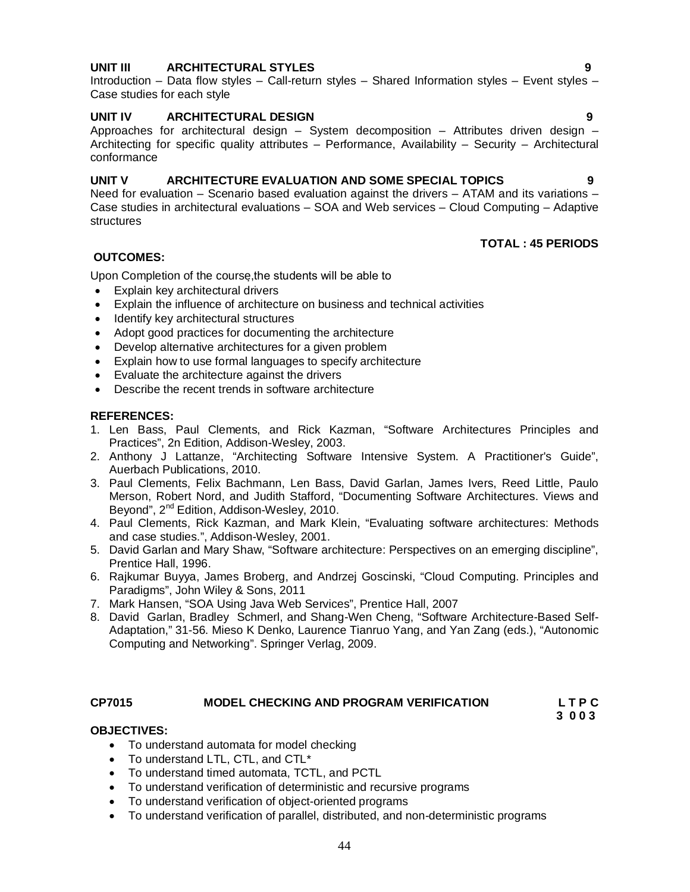# **UNIT III ARCHITECTURAL STYLES 9**

Introduction – Data flow styles – Call-return styles – Shared Information styles – Event styles – Case studies for each style

# **UNIT IV ARCHITECTURAL DESIGN**

Approaches for architectural design  $-$  System decomposition  $-$  Attributes driven design  $-$ Architecting for specific quality attributes – Performance, Availability – Security – Architectural conformance

# **UNIT V ARCHITECTURE EVALUATION AND SOME SPECIAL TOPICS 9**

Need for evaluation – Scenario based evaluation against the drivers – ATAM and its variations – Case studies in architectural evaluations – SOA and Web services – Cloud Computing – Adaptive **structures** 

# **OUTCOMES:**

Upon Completion of the course,the students will be able to

- Explain key architectural drivers
- Explain the influence of architecture on business and technical activities
- Identify key architectural structures
- Adopt good practices for documenting the architecture
- Develop alternative architectures for a given problem
- Explain how to use formal languages to specify architecture
- Evaluate the architecture against the drivers
- Describe the recent trends in software architecture

# **REFERENCES:**

- 1. Len Bass, Paul Clements, and Rick Kazman, "Software Architectures Principles and Practices", 2n Edition, Addison-Wesley, 2003.
- 2. Anthony J Lattanze, "Architecting Software Intensive System. A Practitioner's Guide", Auerbach Publications, 2010.
- 3. Paul Clements, Felix Bachmann, Len Bass, David Garlan, James Ivers, Reed Little, Paulo Merson, Robert Nord, and Judith Stafford, "Documenting Software Architectures. Views and Beyond", 2<sup>nd</sup> Edition, Addison-Wesley, 2010.
- 4. Paul Clements, Rick Kazman, and Mark Klein, "Evaluating software architectures: Methods and case studies.", Addison-Wesley, 2001.
- 5. David Garlan and Mary Shaw, "Software architecture: Perspectives on an emerging discipline", Prentice Hall, 1996.
- 6. Rajkumar Buyya, James Broberg, and Andrzej Goscinski, "Cloud Computing. Principles and Paradigms", John Wiley & Sons, 2011
- 7. Mark Hansen, "SOA Using Java Web Services", Prentice Hall, 2007
- 8. David Garlan, Bradley Schmerl, and Shang-Wen Cheng, "Software Architecture-Based Self-Adaptation," 31-56. Mieso K Denko, Laurence Tianruo Yang, and Yan Zang (eds.), "Autonomic Computing and Networking". Springer Verlag, 2009.

# **CP7015 MODEL CHECKING AND PROGRAM VERIFICATION L T P C**

 **3 0 0 3**

# **OBJECTIVES:**

- To understand automata for model checking
- To understand LTL, CTL, and CTL<sup>\*</sup>
- To understand timed automata, TCTL, and PCTL
- To understand verification of deterministic and recursive programs
- To understand verification of object-oriented programs
- To understand verification of parallel, distributed, and non-deterministic programs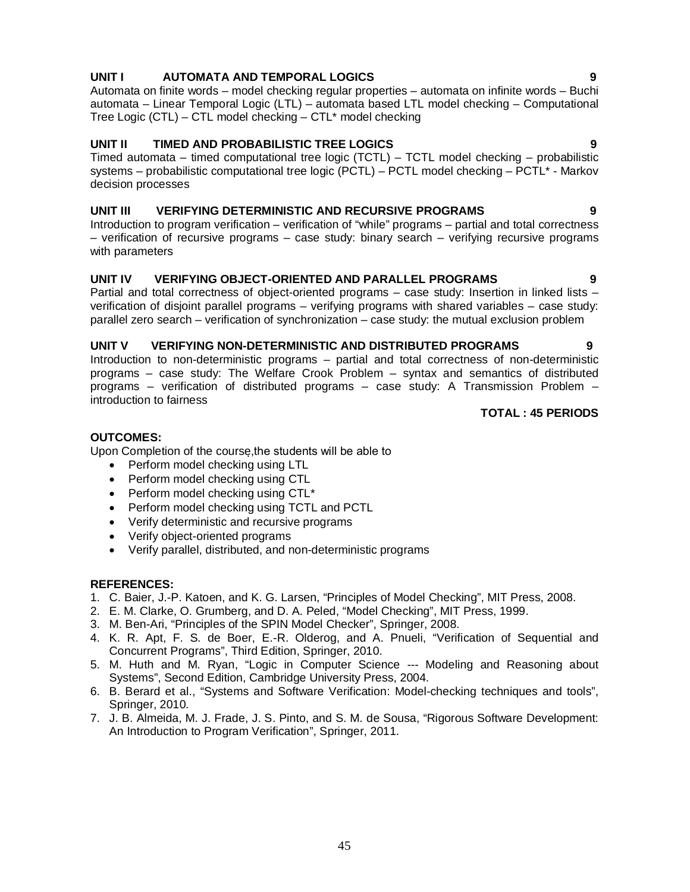# **UNIT I AUTOMATA AND TEMPORAL LOGICS 9**

Automata on finite words – model checking regular properties – automata on infinite words – Buchi automata – Linear Temporal Logic (LTL) – automata based LTL model checking – Computational Tree Logic (CTL) – CTL model checking – CTL\* model checking

# **UNIT II TIMED AND PROBABILISTIC TREE LOGICS 9**

Timed automata – timed computational tree logic (TCTL) – TCTL model checking – probabilistic systems – probabilistic computational tree logic (PCTL) – PCTL model checking – PCTL\* - Markov decision processes

# **UNIT III VERIFYING DETERMINISTIC AND RECURSIVE PROGRAMS 9**

Introduction to program verification – verification of "while" programs – partial and total correctness – verification of recursive programs – case study: binary search – verifying recursive programs with parameters

# **UNIT IV VERIFYING OBJECT-ORIENTED AND PARALLEL PROGRAMS 9**

Partial and total correctness of object-oriented programs – case study: Insertion in linked lists – verification of disjoint parallel programs – verifying programs with shared variables – case study: parallel zero search – verification of synchronization – case study: the mutual exclusion problem

### **UNIT V VERIFYING NON-DETERMINISTIC AND DISTRIBUTED PROGRAMS 9**

Introduction to non-deterministic programs – partial and total correctness of non-deterministic programs – case study: The Welfare Crook Problem – syntax and semantics of distributed programs – verification of distributed programs – case study: A Transmission Problem – introduction to fairness

# **TOTAL : 45 PERIODS**

# **OUTCOMES:**

Upon Completion of the course,the students will be able to

- Perform model checking using LTL
- Perform model checking using CTL
- Perform model checking using CTL\*
- Perform model checking using TCTL and PCTL
- Verify deterministic and recursive programs
- Verify object-oriented programs
- Verify parallel, distributed, and non-deterministic programs

# **REFERENCES:**

- 1. C. Baier, J.-P. Katoen, and K. G. Larsen, "Principles of Model Checking", MIT Press, 2008.
- 2. E. M. Clarke, O. Grumberg, and D. A. Peled, "Model Checking", MIT Press, 1999.
- 3. M. Ben-Ari, "Principles of the SPIN Model Checker", Springer, 2008.
- 4. K. R. Apt, F. S. de Boer, E.-R. Olderog, and A. Pnueli, "Verification of Sequential and Concurrent Programs", Third Edition, Springer, 2010.
- 5. M. Huth and M. Ryan, "Logic in Computer Science --- Modeling and Reasoning about Systems", Second Edition, Cambridge University Press, 2004.
- 6. B. Berard et al., "Systems and Software Verification: Model-checking techniques and tools", Springer, 2010.
- 7. J. B. Almeida, M. J. Frade, J. S. Pinto, and S. M. de Sousa, "Rigorous Software Development: An Introduction to Program Verification", Springer, 2011.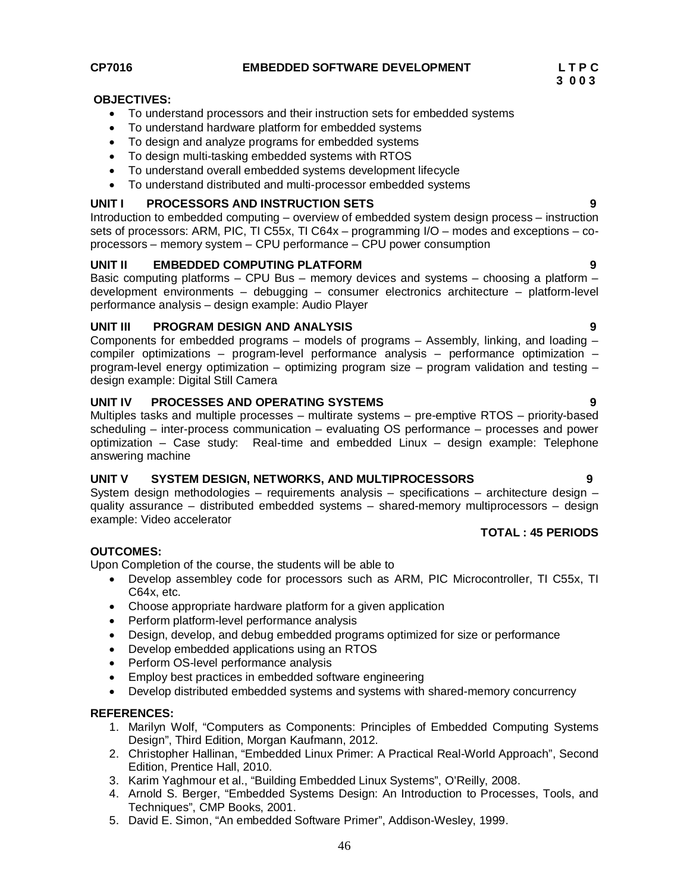#### **OBJECTIVES:**

- To understand processors and their instruction sets for embedded systems
- To understand hardware platform for embedded systems
- To design and analyze programs for embedded systems
- To design multi-tasking embedded systems with RTOS
- To understand overall embedded systems development lifecycle
- To understand distributed and multi-processor embedded systems

#### **UNIT I PROCESSORS AND INSTRUCTION SETS 9**

Introduction to embedded computing – overview of embedded system design process – instruction sets of processors: ARM, PIC, TI C55x, TI C64x – programming I/O – modes and exceptions – coprocessors – memory system – CPU performance – CPU power consumption

#### **UNIT II EMBEDDED COMPUTING PLATFORM 9**

Basic computing platforms – CPU Bus – memory devices and systems – choosing a platform – development environments – debugging – consumer electronics architecture – platform-level performance analysis – design example: Audio Player

#### **UNIT III PROGRAM DESIGN AND ANALYSIS 9**

Components for embedded programs – models of programs – Assembly, linking, and loading – compiler optimizations – program-level performance analysis – performance optimization – program-level energy optimization – optimizing program size – program validation and testing – design example: Digital Still Camera

### **UNIT IV PROCESSES AND OPERATING SYSTEMS**

Multiples tasks and multiple processes – multirate systems – pre-emptive RTOS – priority-based scheduling – inter-process communication – evaluating OS performance – processes and power optimization – Case study: Real-time and embedded Linux – design example: Telephone answering machine

#### **UNIT V SYSTEM DESIGN, NETWORKS, AND MULTIPROCESSORS 9**

System design methodologies – requirements analysis – specifications – architecture design – quality assurance – distributed embedded systems – shared-memory multiprocessors – design example: Video accelerator

# **TOTAL : 45 PERIODS**

#### **OUTCOMES:**

Upon Completion of the course, the students will be able to

- Develop assembley code for processors such as ARM, PIC Microcontroller, TI C55x, TI C64x, etc.
- Choose appropriate hardware platform for a given application
- Perform platform-level performance analysis
- Design, develop, and debug embedded programs optimized for size or performance
- Develop embedded applications using an RTOS
- Perform OS-level performance analysis
- Employ best practices in embedded software engineering
- Develop distributed embedded systems and systems with shared-memory concurrency

#### **REFERENCES:**

- 1. Marilyn Wolf, "Computers as Components: Principles of Embedded Computing Systems Design", Third Edition, Morgan Kaufmann, 2012.
- 2. Christopher Hallinan, "Embedded Linux Primer: A Practical Real-World Approach", Second Edition, Prentice Hall, 2010.
- 3. Karim Yaghmour et al., "Building Embedded Linux Systems", O'Reilly, 2008.
- 4. Arnold S. Berger, "Embedded Systems Design: An Introduction to Processes, Tools, and Techniques", CMP Books, 2001.
- 5. David E. Simon, "An embedded Software Primer", Addison-Wesley, 1999.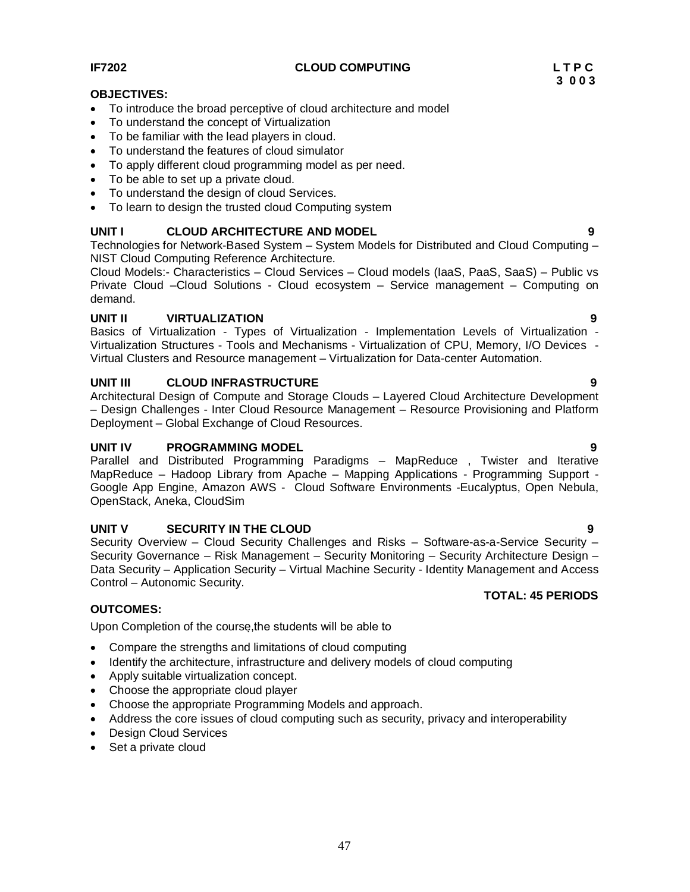### **IF7202 CLOUD COMPUTING L T P C**

# **OBJECTIVES:**

- To introduce the broad perceptive of cloud architecture and model
- To understand the concept of Virtualization
- To be familiar with the lead players in cloud.
- To understand the features of cloud simulator
- To apply different cloud programming model as per need.
- To be able to set up a private cloud.
- To understand the design of cloud Services.
- To learn to design the trusted cloud Computing system

# **UNIT I CLOUD ARCHITECTURE AND MODEL 9**

Technologies for Network-Based System – System Models for Distributed and Cloud Computing – NIST Cloud Computing Reference Architecture.

Cloud Models:- Characteristics – Cloud Services – Cloud models (IaaS, PaaS, SaaS) – Public vs Private Cloud –Cloud Solutions - Cloud ecosystem – Service management – Computing on demand.

# **UNIT II VIRTUALIZATION 9**

Basics of Virtualization - Types of Virtualization - Implementation Levels of Virtualization - Virtualization Structures - Tools and Mechanisms - Virtualization of CPU, Memory, I/O Devices - Virtual Clusters and Resource management – Virtualization for Data-center Automation.

# **UNIT III CLOUD INFRASTRUCTURE 9**

Architectural Design of Compute and Storage Clouds – Layered Cloud Architecture Development – Design Challenges - Inter Cloud Resource Management – Resource Provisioning and Platform Deployment – Global Exchange of Cloud Resources.

# **UNIT IV PROGRAMMING MODEL 9**

Parallel and Distributed Programming Paradigms – MapReduce , Twister and Iterative MapReduce – Hadoop Library from Apache – Mapping Applications - Programming Support - Google App Engine, Amazon AWS - Cloud Software Environments -Eucalyptus, Open Nebula, OpenStack, Aneka, CloudSim

# **UNIT V SECURITY IN THE CLOUD 9**

Security Overview – Cloud Security Challenges and Risks – Software-as-a-Service Security – Security Governance – Risk Management – Security Monitoring – Security Architecture Design – Data Security – Application Security – Virtual Machine Security - Identity Management and Access Control – Autonomic Security.

#### **OUTCOMES:**

Upon Completion of the course,the students will be able to

- Compare the strengths and limitations of cloud computing
- Identify the architecture, infrastructure and delivery models of cloud computing
- Apply suitable virtualization concept.
- Choose the appropriate cloud player
- Choose the appropriate Programming Models and approach.
- Address the core issues of cloud computing such as security, privacy and interoperability
- Design Cloud Services
- Set a private cloud

# **TOTAL: 45 PERIODS**

# **3 0 0 3**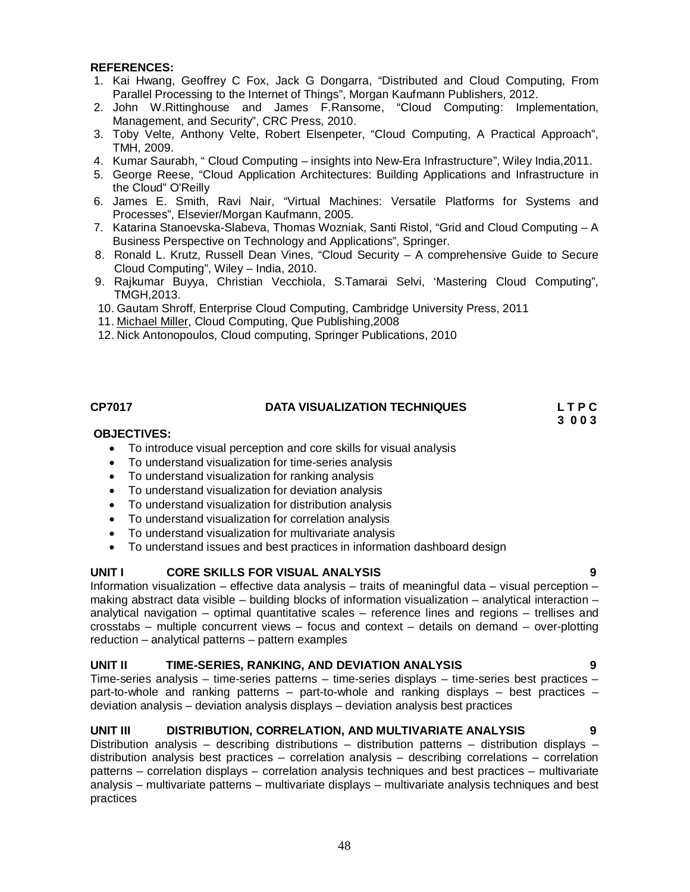#### **REFERENCES:**

- 1. Kai Hwang, Geoffrey C Fox, Jack G Dongarra, "Distributed and Cloud Computing, From Parallel Processing to the Internet of Things", Morgan Kaufmann Publishers, 2012.
- 2. John W.Rittinghouse and James F.Ransome, "Cloud Computing: Implementation, Management, and Security", CRC Press, 2010.
- 3. Toby Velte, Anthony Velte, Robert Elsenpeter, "Cloud Computing, A Practical Approach", TMH, 2009.
- 4. Kumar Saurabh, " Cloud Computing insights into New-Era Infrastructure", Wiley India,2011.
- 5. George Reese, "Cloud Application Architectures: Building Applications and Infrastructure in the Cloud" O'Reilly
- 6. James E. Smith, Ravi Nair, "Virtual Machines: Versatile Platforms for Systems and Processes", Elsevier/Morgan Kaufmann, 2005.
- 7. Katarina Stanoevska-Slabeva, Thomas Wozniak, Santi Ristol, "Grid and Cloud Computing A Business Perspective on Technology and Applications", Springer.
- 8. Ronald L. Krutz, Russell Dean Vines, "Cloud Security A comprehensive Guide to Secure Cloud Computing", Wiley – India, 2010.
- 9. Rajkumar Buyya, Christian Vecchiola, S.Tamarai Selvi, 'Mastering Cloud Computing", TMGH,2013.
- 10. Gautam Shroff, Enterprise Cloud Computing, Cambridge University Press, 2011
- 11. Michael Miller, Cloud Computing, Que Publishing,2008
- 12. Nick Antonopoulos, Cloud computing, Springer Publications, 2010

### **CP7017 DATA VISUALIZATION TECHNIQUES L T P C**

 **3 0 0 3**

### **OBJECTIVES:**

- To introduce visual perception and core skills for visual analysis
- To understand visualization for time-series analysis
- To understand visualization for ranking analysis
- To understand visualization for deviation analysis
- To understand visualization for distribution analysis
- To understand visualization for correlation analysis
- To understand visualization for multivariate analysis
- To understand issues and best practices in information dashboard design

# **UNIT I CORE SKILLS FOR VISUAL ANALYSIS 9**

Information visualization – effective data analysis – traits of meaningful data – visual perception – making abstract data visible – building blocks of information visualization – analytical interaction – analytical navigation – optimal quantitative scales – reference lines and regions – trellises and crosstabs – multiple concurrent views – focus and context – details on demand – over-plotting reduction – analytical patterns – pattern examples

#### **UNIT II TIME-SERIES, RANKING, AND DEVIATION ANALYSIS 9**

Time-series analysis – time-series patterns – time-series displays – time-series best practices – part-to-whole and ranking patterns – part-to-whole and ranking displays – best practices – deviation analysis – deviation analysis displays – deviation analysis best practices

# **UNIT III DISTRIBUTION, CORRELATION, AND MULTIVARIATE ANALYSIS 9**

Distribution analysis – describing distributions – distribution patterns – distribution displays – distribution analysis best practices – correlation analysis – describing correlations – correlation patterns – correlation displays – correlation analysis techniques and best practices – multivariate analysis – multivariate patterns – multivariate displays – multivariate analysis techniques and best practices

48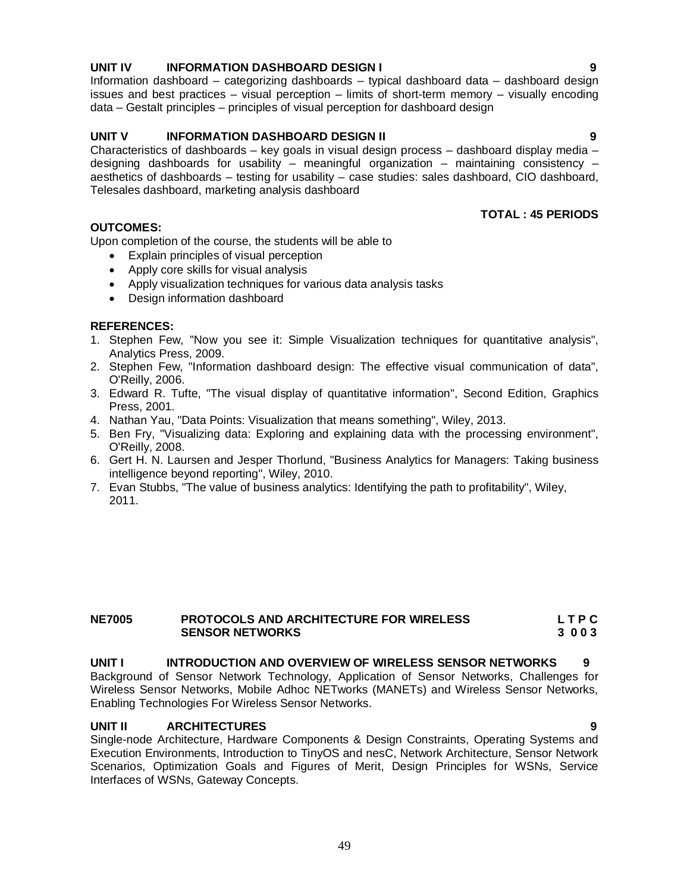### **UNIT IV INFORMATION DASHBOARD DESIGN I 9**

Information dashboard – categorizing dashboards – typical dashboard data – dashboard design issues and best practices – visual perception – limits of short-term memory – visually encoding data – Gestalt principles – principles of visual perception for dashboard design

# **UNIT V INFORMATION DASHBOARD DESIGN II 9**

Characteristics of dashboards – key goals in visual design process – dashboard display media – designing dashboards for usability – meaningful organization – maintaining consistency – aesthetics of dashboards – testing for usability – case studies: sales dashboard, CIO dashboard, Telesales dashboard, marketing analysis dashboard

# **TOTAL : 45 PERIODS**

# **OUTCOMES:**

Upon completion of the course, the students will be able to

- Explain principles of visual perception
- Apply core skills for visual analysis
- Apply visualization techniques for various data analysis tasks
- Design information dashboard

# **REFERENCES:**

- 1. Stephen Few, "Now you see it: Simple Visualization techniques for quantitative analysis", Analytics Press, 2009.
- 2. Stephen Few, "Information dashboard design: The effective visual communication of data", O'Reilly, 2006.
- 3. Edward R. Tufte, "The visual display of quantitative information", Second Edition, Graphics Press, 2001.
- 4. Nathan Yau, "Data Points: Visualization that means something", Wiley, 2013.
- 5. Ben Fry, "Visualizing data: Exploring and explaining data with the processing environment", O'Reilly, 2008.
- 6. Gert H. N. Laursen and Jesper Thorlund, "Business Analytics for Managers: Taking business intelligence beyond reporting", Wiley, 2010.
- 7. Evan Stubbs, "The value of business analytics: Identifying the path to profitability", Wiley, 2011.

# **NE7005** PROTOCOLS AND ARCHITECTURE FOR WIRELESS LTPC<br>SENSOR NETWORKS 3 0 0 3 **SENSOR NETWORKS**

#### **UNIT I INTRODUCTION AND OVERVIEW OF WIRELESS SENSOR NETWORKS 9**

Background of Sensor Network Technology, Application of Sensor Networks, Challenges for Wireless Sensor Networks, Mobile Adhoc NETworks (MANETs) and Wireless Sensor Networks, Enabling Technologies For Wireless Sensor Networks.

# **UNIT II ARCHITECTURES 9**

Single-node Architecture, Hardware Components & Design Constraints, Operating Systems and Execution Environments, Introduction to TinyOS and nesC, Network Architecture, Sensor Network Scenarios, Optimization Goals and Figures of Merit, Design Principles for WSNs, Service Interfaces of WSNs, Gateway Concepts.

49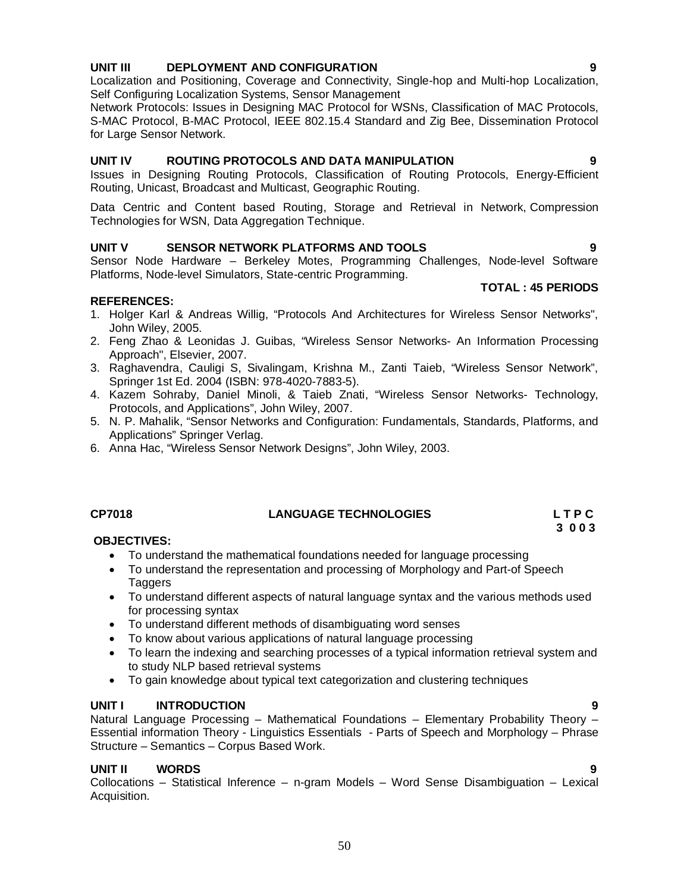# **UNIT III DEPLOYMENT AND CONFIGURATION 9**

Localization and Positioning, Coverage and Connectivity, Single-hop and Multi-hop Localization, Self Configuring Localization Systems, Sensor Management

Network Protocols: Issues in Designing MAC Protocol for WSNs, Classification of MAC Protocols, S-MAC Protocol, B-MAC Protocol, IEEE 802.15.4 Standard and Zig Bee, Dissemination Protocol for Large Sensor Network.

# **UNIT IV ROUTING PROTOCOLS AND DATA MANIPULATION 9**

Issues in Designing Routing Protocols, Classification of Routing Protocols, Energy-Efficient Routing, Unicast, Broadcast and Multicast, Geographic Routing.

Data Centric and Content based Routing, Storage and Retrieval in Network, Compression Technologies for WSN, Data Aggregation Technique.

# **UNIT V SENSOR NETWORK PLATFORMS AND TOOLS 9**

Sensor Node Hardware – Berkeley Motes, Programming Challenges, Node-level Software Platforms, Node-level Simulators, State-centric Programming.

# **TOTAL : 45 PERIODS**

# **REFERENCES:**

- 1. Holger Karl & Andreas Willig, "Protocols And Architectures for Wireless Sensor Networks", John Wiley, 2005.
- 2. Feng Zhao & Leonidas J. Guibas, "Wireless Sensor Networks- An Information Processing Approach", Elsevier, 2007.
- 3. Raghavendra, Cauligi S, Sivalingam, Krishna M., Zanti Taieb, "Wireless Sensor Network", Springer 1st Ed. 2004 (ISBN: 978-4020-7883-5).
- 4. Kazem Sohraby, Daniel Minoli, & Taieb Znati, "Wireless Sensor Networks- Technology, Protocols, and Applications", John Wiley, 2007.
- 5. N. P. Mahalik, "Sensor Networks and Configuration: Fundamentals, Standards, Platforms, and Applications" Springer Verlag.
- 6. Anna Hac, "Wireless Sensor Network Designs", John Wiley, 2003.

## **CP7018 LANGUAGE TECHNOLOGIES L T P C 3 0 0 3**

# **OBJECTIVES:**

- To understand the mathematical foundations needed for language processing
- To understand the representation and processing of Morphology and Part-of Speech **Taggers**
- To understand different aspects of natural language syntax and the various methods used for processing syntax
- To understand different methods of disambiguating word senses
- To know about various applications of natural language processing
- To learn the indexing and searching processes of a typical information retrieval system and to study NLP based retrieval systems
- To gain knowledge about typical text categorization and clustering techniques

#### UNIT **INTRODUCTION**

Natural Language Processing – Mathematical Foundations – Elementary Probability Theory – Essential information Theory - Linguistics Essentials - Parts of Speech and Morphology – Phrase Structure – Semantics – Corpus Based Work.

# **UNIT II WORDS 9**

Collocations – Statistical Inference – n-gram Models – Word Sense Disambiguation – Lexical Acquisition.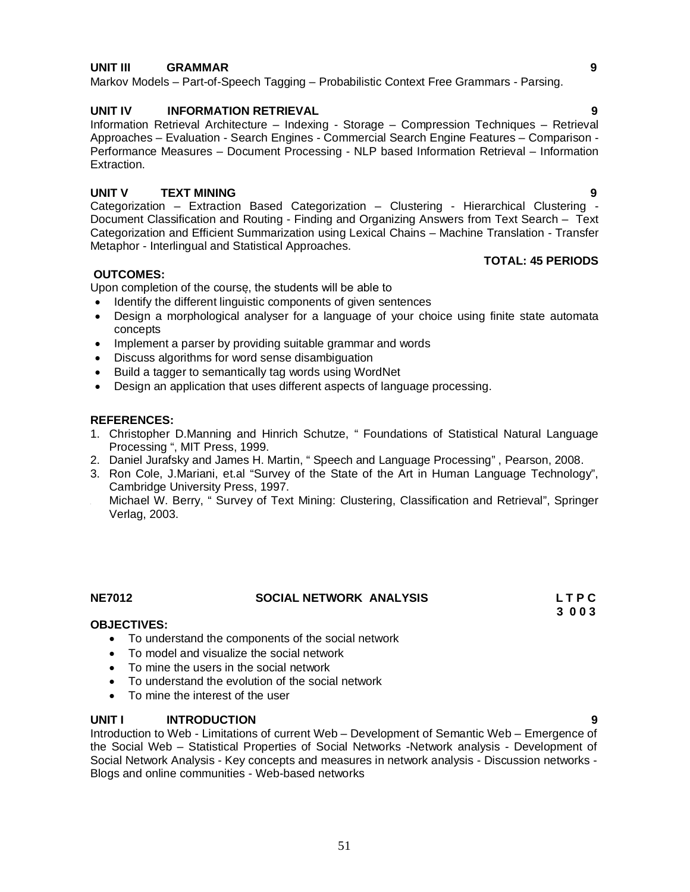# **UNIT III GRAMMAR 9**

Markov Models – Part-of-Speech Tagging – Probabilistic Context Free Grammars - Parsing.

# **UNIT IV INFORMATION RETRIEVAL 9**

Information Retrieval Architecture – Indexing - Storage – Compression Techniques – Retrieval Approaches – Evaluation - Search Engines - Commercial Search Engine Features – Comparison - Performance Measures – Document Processing - NLP based Information Retrieval – Information Extraction.

## **UNIT V TEXT MINING 9**

Categorization – Extraction Based Categorization – Clustering - Hierarchical Clustering - Document Classification and Routing - Finding and Organizing Answers from Text Search – Text Categorization and Efficient Summarization using Lexical Chains – Machine Translation - Transfer Metaphor - Interlingual and Statistical Approaches.

### **OUTCOMES:**

Upon completion of the course, the students will be able to

- Identify the different linguistic components of given sentences
- Design a morphological analyser for a language of your choice using finite state automata concepts
- Implement a parser by providing suitable grammar and words
- Discuss algorithms for word sense disambiguation
- Build a tagger to semantically tag words using WordNet
- Design an application that uses different aspects of language processing.

### **REFERENCES:**

- 1. Christopher D.Manning and Hinrich Schutze, " Foundations of Statistical Natural Language Processing ", MIT Press, 1999.
- 2. Daniel Jurafsky and James H. Martin, " Speech and Language Processing" , Pearson, 2008.
- 3. Ron Cole, J.Mariani, et.al "Survey of the State of the Art in Human Language Technology", Cambridge University Press, 1997. 4. Michael W. Berry, " Survey of Text Mining: Clustering, Classification and Retrieval", Springer
	- Verlag, 2003.

# **NE7012 SOCIAL NETWORK ANALYSIS L T P C**

 **3 0 0 3**

# **OBJECTIVES:**

- To understand the components of the social network
- To model and visualize the social network
- To mine the users in the social network
- To understand the evolution of the social network
- To mine the interest of the user

# UNIT **INTRODUCTION**

Introduction to Web - Limitations of current Web – Development of Semantic Web – Emergence of the Social Web – Statistical Properties of Social Networks -Network analysis - Development of Social Network Analysis - Key concepts and measures in network analysis - Discussion networks - Blogs and online communities - Web-based networks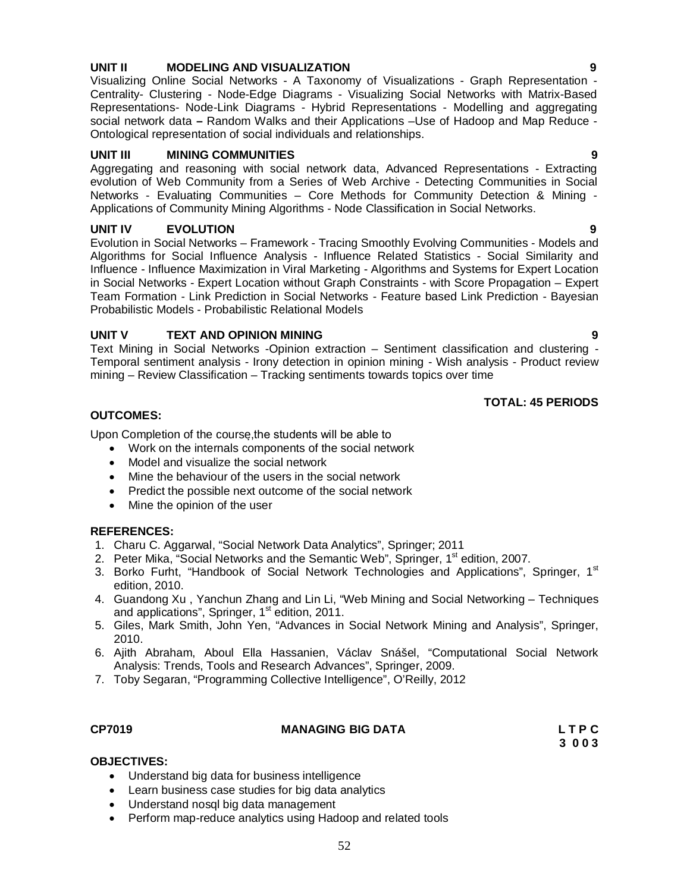# **UNIT II MODELING AND VISUALIZATION 9**

Visualizing Online Social Networks - A Taxonomy of Visualizations - Graph Representation - Centrality- Clustering - Node-Edge Diagrams - Visualizing Social Networks with Matrix-Based Representations- Node-Link Diagrams - Hybrid Representations - Modelling and aggregating social network data **–** Random Walks and their Applications –Use of Hadoop and Map Reduce - Ontological representation of social individuals and relationships.

# **UNIT III MINING COMMUNITIES 9**

Aggregating and reasoning with social network data, Advanced Representations - Extracting evolution of Web Community from a Series of Web Archive - Detecting Communities in Social Networks - Evaluating Communities – Core Methods for Community Detection & Mining - Applications of Community Mining Algorithms - Node Classification in Social Networks.

# **UNIT IV EVOLUTION 9**

Evolution in Social Networks – Framework - Tracing Smoothly Evolving Communities - Models and Algorithms for Social Influence Analysis - Influence Related Statistics - Social Similarity and Influence - Influence Maximization in Viral Marketing - Algorithms and Systems for Expert Location in Social Networks - Expert Location without Graph Constraints - with Score Propagation – Expert Team Formation - Link Prediction in Social Networks - Feature based Link Prediction - Bayesian Probabilistic Models - Probabilistic Relational Models

# **UNIT V TEXT AND OPINION MINING 9**

Text Mining in Social Networks -Opinion extraction – Sentiment classification and clustering - Temporal sentiment analysis - Irony detection in opinion mining - Wish analysis - Product review mining – Review Classification – Tracking sentiments towards topics over time

# **TOTAL: 45 PERIODS**

# **OUTCOMES:**

Upon Completion of the course,the students will be able to

- Work on the internals components of the social network
- Model and visualize the social network
- Mine the behaviour of the users in the social network
- Predict the possible next outcome of the social network
- Mine the opinion of the user

# **REFERENCES:**

- 1. Charu C. Aggarwal, "Social Network Data Analytics", Springer; 2011
- 2. Peter Mika, "Social Networks and the Semantic Web", Springer, 1<sup>st</sup> edition, 2007.
- 3. Borko Furht, "Handbook of Social Network Technologies and Applications", Springer, 1<sup>st</sup> edition, 2010.
- 4. Guandong Xu , Yanchun Zhang and Lin Li, "Web Mining and Social Networking Techniques and applications", Springer, 1<sup>st</sup> edition, 2011.
- 5. Giles, Mark Smith, John Yen, "Advances in Social Network Mining and Analysis", Springer, 2010.
- 6. Ajith Abraham, Aboul Ella Hassanien, Václav Snášel, "Computational Social Network Analysis: Trends, Tools and Research Advances", Springer, 2009.
- 7. Toby Segaran, "Programming Collective Intelligence", O'Reilly, 2012

# **CP7019 MANAGING BIG DATA L T P C**

 **3 0 0 3**

# **OBJECTIVES:**

- Understand big data for business intelligence
- Learn business case studies for big data analytics
- Understand nosql big data management
- Perform map-reduce analytics using Hadoop and related tools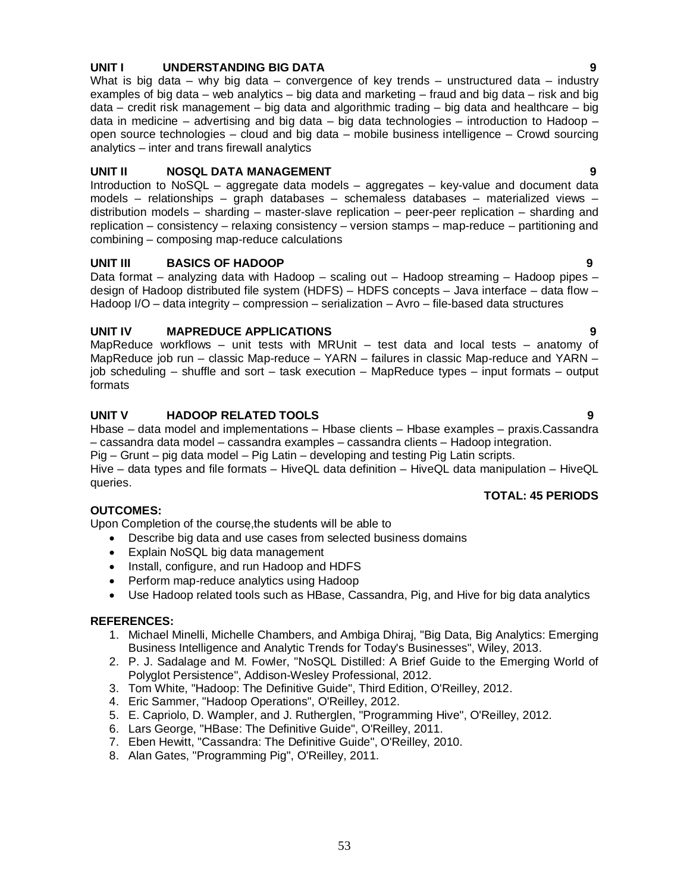# **UNIT I UNDERSTANDING BIG DATA 9**

What is big data – why big data – convergence of key trends – unstructured data – industry examples of big data – web analytics – big data and marketing – fraud and big data – risk and big data – credit risk management – big data and algorithmic trading – big data and healthcare – big data in medicine – advertising and big data – big data technologies – introduction to Hadoop – open source technologies – cloud and big data – mobile business intelligence – Crowd sourcing analytics – inter and trans firewall analytics

# **UNIT II NOSQL DATA MANAGEMENT 9**

Introduction to NoSQL – aggregate data models – aggregates – key-value and document data models – relationships – graph databases – schemaless databases – materialized views – distribution models – sharding – master-slave replication – peer-peer replication – sharding and replication – consistency – relaxing consistency – version stamps – map-reduce – partitioning and combining – composing map-reduce calculations

# **UNIT III BASICS OF HADOOP 9**

Data format – analyzing data with Hadoop – scaling out – Hadoop streaming – Hadoop pipes – design of Hadoop distributed file system (HDFS) – HDFS concepts – Java interface – data flow – Hadoop I/O – data integrity – compression – serialization – Avro – file-based data structures

# **UNIT IV MAPREDUCE APPLICATIONS 9**

MapReduce workflows – unit tests with MRUnit – test data and local tests – anatomy of MapReduce job run – classic Map-reduce – YARN – failures in classic Map-reduce and YARN – job scheduling – shuffle and sort – task execution – MapReduce types – input formats – output formats

# **UNIT V HADOOP RELATED TOOLS 9**

Hbase – data model and implementations – Hbase clients – Hbase examples – praxis.Cassandra – cassandra data model – cassandra examples – cassandra clients – Hadoop integration.

Pig – Grunt – pig data model – Pig Latin – developing and testing Pig Latin scripts. Hive – data types and file formats – HiveQL data definition – HiveQL data manipulation – HiveQL queries.

# **TOTAL: 45 PERIODS**

# **OUTCOMES:**

Upon Completion of the course,the students will be able to

- Describe big data and use cases from selected business domains
- Explain NoSQL big data management
- Install, configure, and run Hadoop and HDFS
- Perform map-reduce analytics using Hadoop
- Use Hadoop related tools such as HBase, Cassandra, Pig, and Hive for big data analytics

# **REFERENCES:**

- 1. Michael Minelli, Michelle Chambers, and Ambiga Dhiraj, "Big Data, Big Analytics: Emerging Business Intelligence and Analytic Trends for Today's Businesses", Wiley, 2013.
- 2. P. J. Sadalage and M. Fowler, "NoSQL Distilled: A Brief Guide to the Emerging World of Polyglot Persistence", Addison-Wesley Professional, 2012.
- 3. Tom White, "Hadoop: The Definitive Guide", Third Edition, O'Reilley, 2012.
- 4. Eric Sammer, "Hadoop Operations", O'Reilley, 2012.
- 5. E. Capriolo, D. Wampler, and J. Rutherglen, "Programming Hive", O'Reilley, 2012.
- 6. Lars George, "HBase: The Definitive Guide", O'Reilley, 2011.
- 7. Eben Hewitt, "Cassandra: The Definitive Guide", O'Reilley, 2010.
- 8. Alan Gates, "Programming Pig", O'Reilley, 2011.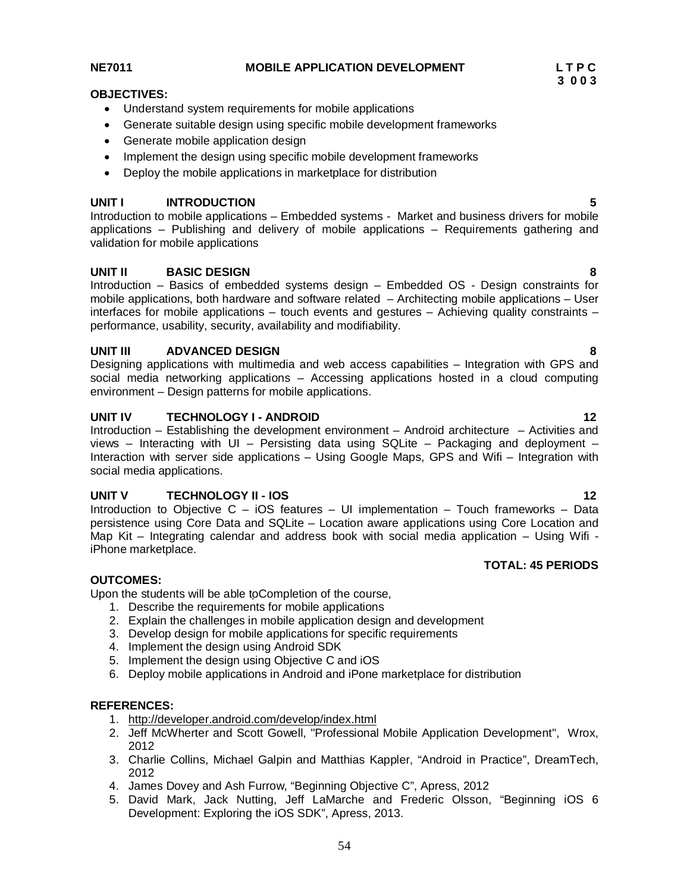54

# NE7011 MOBILE APPLICATION DEVELOPMENT LTPC<br>3 0 0 3  **3 0 0 3**

- Understand system requirements for mobile applications
- Generate suitable design using specific mobile development frameworks
- Generate mobile application design
- Implement the design using specific mobile development frameworks
- Deploy the mobile applications in marketplace for distribution

# **UNIT I INTRODUCTION 5**

**OBJECTIVES:**

Introduction to mobile applications – Embedded systems - Market and business drivers for mobile applications – Publishing and delivery of mobile applications – Requirements gathering and validation for mobile applications

# **UNIT II BASIC DESIGN 8**

Introduction – Basics of embedded systems design – Embedded OS - Design constraints for mobile applications, both hardware and software related – Architecting mobile applications – User interfaces for mobile applications – touch events and gestures – Achieving quality constraints – performance, usability, security, availability and modifiability.

# **UNIT III ADVANCED DESIGN 8**

Designing applications with multimedia and web access capabilities – Integration with GPS and social media networking applications – Accessing applications hosted in a cloud computing environment – Design patterns for mobile applications.

# **UNIT IV TECHNOLOGY I - ANDROID 12**

Introduction – Establishing the development environment – Android architecture – Activities and views – Interacting with UI – Persisting data using SQLite – Packaging and deployment – Interaction with server side applications – Using Google Maps, GPS and Wifi – Integration with social media applications.

# **UNIT V TECHNOLOGY II - IOS 12**

Introduction to Objective C – iOS features – UI implementation – Touch frameworks – Data persistence using Core Data and SQLite – Location aware applications using Core Location and Map Kit – Integrating calendar and address book with social media application – Using Wifi iPhone marketplace.

**OUTCOMES:**

Upon the students will be able toCompletion of the course,

- 1. Describe the requirements for mobile applications
- 2. Explain the challenges in mobile application design and development
- 3. Develop design for mobile applications for specific requirements
- 4. Implement the design using Android SDK
- 5. Implement the design using Objective C and iOS
- 6. Deploy mobile applications in Android and iPone marketplace for distribution

# **REFERENCES:**

- 1. http://developer.android.com/develop/index.html
- 2. Jeff McWherter and Scott Gowell, "Professional Mobile Application Development", Wrox, 2012
- 3. Charlie Collins, Michael Galpin and Matthias Kappler, "Android in Practice", DreamTech, 2012
- 4. James Dovey and Ash Furrow, "Beginning Objective C", Apress, 2012
- 5. David Mark, Jack Nutting, Jeff LaMarche and Frederic Olsson, "Beginning iOS 6 Development: Exploring the iOS SDK", Apress, 2013.
- 
-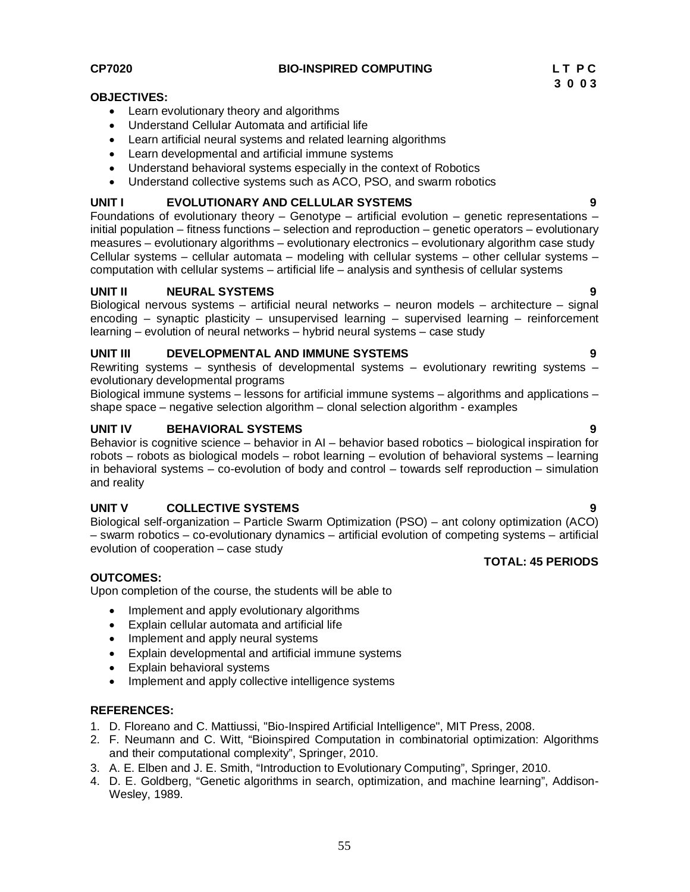55

#### **OBJECTIVES:**

- Learn evolutionary theory and algorithms
- Understand Cellular Automata and artificial life
- Learn artificial neural systems and related learning algorithms
- Learn developmental and artificial immune systems
- Understand behavioral systems especially in the context of Robotics
- Understand collective systems such as ACO, PSO, and swarm robotics

### **UNIT I EVOLUTIONARY AND CELLULAR SYSTEMS 9**

Foundations of evolutionary theory – Genotype – artificial evolution – genetic representations – initial population – fitness functions – selection and reproduction – genetic operators – evolutionary measures – evolutionary algorithms – evolutionary electronics – evolutionary algorithm case study Cellular systems – cellular automata – modeling with cellular systems – other cellular systems – computation with cellular systems – artificial life – analysis and synthesis of cellular systems

### **UNIT II NEURAL SYSTEMS 9**

Biological nervous systems – artificial neural networks – neuron models – architecture – signal encoding – synaptic plasticity – unsupervised learning – supervised learning – reinforcement learning – evolution of neural networks – hybrid neural systems – case study

#### **UNIT III DEVELOPMENTAL AND IMMUNE SYSTEMS 9**

Rewriting systems – synthesis of developmental systems – evolutionary rewriting systems – evolutionary developmental programs

Biological immune systems – lessons for artificial immune systems – algorithms and applications – shape space – negative selection algorithm – clonal selection algorithm - examples

### **UNIT IV BEHAVIORAL SYSTEMS 9**

Behavior is cognitive science – behavior in AI – behavior based robotics – biological inspiration for robots – robots as biological models – robot learning – evolution of behavioral systems – learning in behavioral systems – co-evolution of body and control – towards self reproduction – simulation and reality

# **UNIT V COLLECTIVE SYSTEMS 9**

Biological self-organization – Particle Swarm Optimization (PSO) – ant colony optimization (ACO) – swarm robotics – co-evolutionary dynamics – artificial evolution of competing systems – artificial evolution of cooperation – case study

#### **OUTCOMES:**

Upon completion of the course, the students will be able to

- Implement and apply evolutionary algorithms
- Explain cellular automata and artificial life
- Implement and apply neural systems
- Explain developmental and artificial immune systems
- Explain behavioral systems
- Implement and apply collective intelligence systems

#### **REFERENCES:**

- 1. D. Floreano and C. Mattiussi, "Bio-Inspired Artificial Intelligence", MIT Press, 2008.
- 2. F. Neumann and C. Witt, "Bioinspired Computation in combinatorial optimization: Algorithms and their computational complexity", Springer, 2010.
- 3. A. E. Elben and J. E. Smith, "Introduction to Evolutionary Computing", Springer, 2010.
- 4. D. E. Goldberg, "Genetic algorithms in search, optimization, and machine learning", Addison-Wesley, 1989.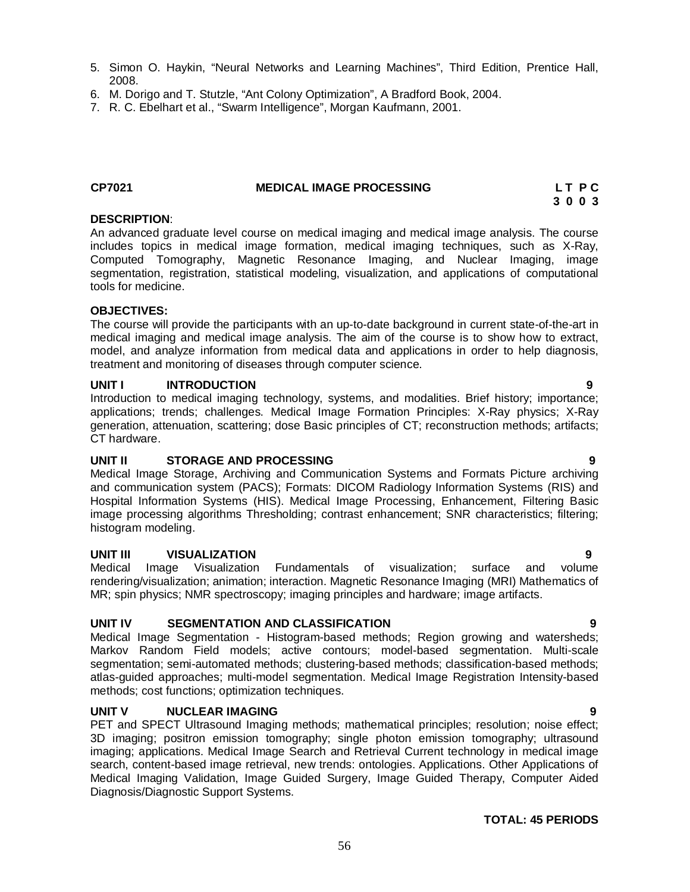- 5. Simon O. Haykin, "Neural Networks and Learning Machines", Third Edition, Prentice Hall, 2008.
- 6. M. Dorigo and T. Stutzle, "Ant Colony Optimization", A Bradford Book, 2004.
- 7. R. C. Ebelhart et al., "Swarm Intelligence", Morgan Kaufmann, 2001.

#### **CP7021 MEDICAL IMAGE PROCESSING L T P C 3 0 0 3**

#### **DESCRIPTION**:

An advanced graduate level course on medical imaging and medical image analysis. The course includes topics in medical image formation, medical imaging techniques, such as X-Ray, Computed Tomography, Magnetic Resonance Imaging, and Nuclear Imaging, image segmentation, registration, statistical modeling, visualization, and applications of computational tools for medicine.

#### **OBJECTIVES:**

The course will provide the participants with an up-to-date background in current state-of-the-art in medical imaging and medical image analysis. The aim of the course is to show how to extract, model, and analyze information from medical data and applications in order to help diagnosis, treatment and monitoring of diseases through computer science.

### **UNIT I INTRODUCTION 9**

Introduction to medical imaging technology, systems, and modalities. Brief history; importance; applications; trends; challenges. Medical Image Formation Principles: X-Ray physics; X-Ray generation, attenuation, scattering; dose Basic principles of CT; reconstruction methods; artifacts; CT hardware.

# **UNIT II STORAGE AND PROCESSING 9**

Medical Image Storage, Archiving and Communication Systems and Formats Picture archiving and communication system (PACS); Formats: DICOM Radiology Information Systems (RIS) and Hospital Information Systems (HIS). Medical Image Processing, Enhancement, Filtering Basic image processing algorithms Thresholding; contrast enhancement; SNR characteristics; filtering; histogram modeling.

# **UNIT III VISUALIZATION 9**

Medical Image Visualization Fundamentals of visualization; surface and volume rendering/visualization; animation; interaction. Magnetic Resonance Imaging (MRI) Mathematics of MR; spin physics; NMR spectroscopy; imaging principles and hardware; image artifacts.

# **UNIT IV SEGMENTATION AND CLASSIFICATION 9**

Medical Image Segmentation - Histogram-based methods; Region growing and watersheds; Markov Random Field models; active contours; model-based segmentation. Multi-scale segmentation; semi-automated methods; clustering-based methods; classification-based methods; atlas-guided approaches; multi-model segmentation. Medical Image Registration Intensity-based methods; cost functions; optimization techniques.

# **UNIT V NUCLEAR IMAGING 9**

PET and SPECT Ultrasound Imaging methods; mathematical principles; resolution; noise effect; 3D imaging; positron emission tomography; single photon emission tomography; ultrasound imaging; applications. Medical Image Search and Retrieval Current technology in medical image search, content-based image retrieval, new trends: ontologies. Applications. Other Applications of Medical Imaging Validation, Image Guided Surgery, Image Guided Therapy, Computer Aided Diagnosis/Diagnostic Support Systems.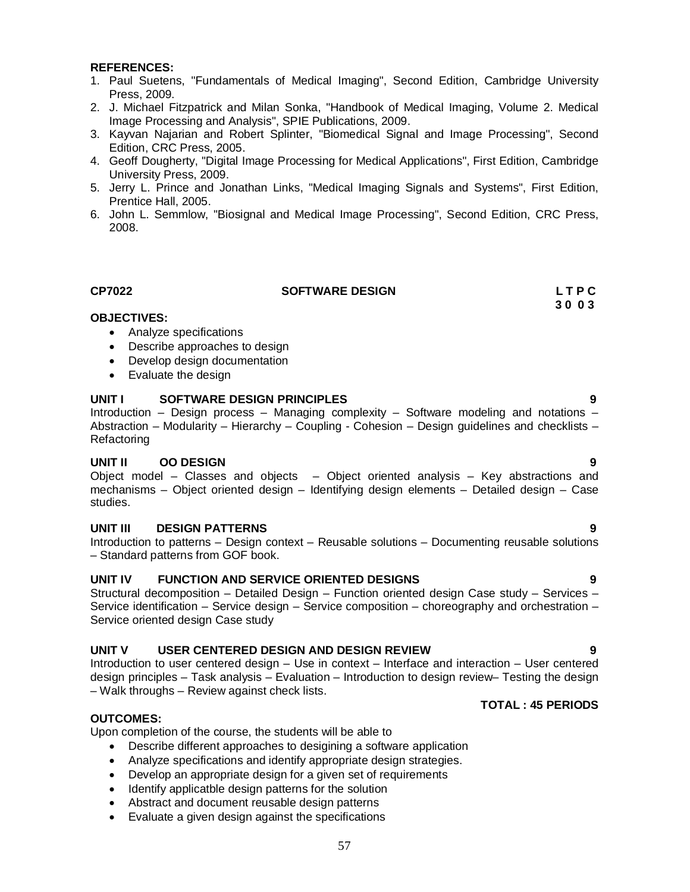#### **REFERENCES:**

- 1. Paul Suetens, "Fundamentals of Medical Imaging", Second Edition, Cambridge University Press, 2009.
- 2. J. Michael Fitzpatrick and Milan Sonka, "Handbook of Medical Imaging, Volume 2. Medical Image Processing and Analysis", SPIE Publications, 2009.
- 3. Kayvan Najarian and Robert Splinter, "Biomedical Signal and Image Processing", Second Edition, CRC Press, 2005.
- 4. Geoff Dougherty, "Digital Image Processing for Medical Applications", First Edition, Cambridge University Press, 2009.
- 5. Jerry L. Prince and Jonathan Links, "Medical Imaging Signals and Systems", First Edition, Prentice Hall, 2005.
- 6. John L. Semmlow, "Biosignal and Medical Image Processing", Second Edition, CRC Press, 2008.

### **CP7022 SOFTWARE DESIGN L T P C**

#### **OBJECTIVES:**

- Analyze specifications
- Describe approaches to design
- Develop design documentation
- Evaluate the design

### **UNIT I SOFTWARE DESIGN PRINCIPLES**

Introduction – Design process – Managing complexity – Software modeling and notations – Abstraction – Modularity – Hierarchy – Coupling - Cohesion – Design guidelines and checklists – Refactoring

# **UNIT II OO DESIGN 9**

Object model – Classes and objects – Object oriented analysis – Key abstractions and mechanisms – Object oriented design – Identifying design elements – Detailed design – Case studies.

# **UNIT III DESIGN PATTERNS 9**

Introduction to patterns – Design context – Reusable solutions – Documenting reusable solutions – Standard patterns from GOF book.

# **UNIT IV FUNCTION AND SERVICE ORIENTED DESIGNS 9**

Structural decomposition – Detailed Design – Function oriented design Case study – Services – Service identification – Service design – Service composition – choreography and orchestration – Service oriented design Case study

# **UNIT V USER CENTERED DESIGN AND DESIGN REVIEW 9**

Introduction to user centered design – Use in context – Interface and interaction – User centered design principles – Task analysis – Evaluation – Introduction to design review– Testing the design – Walk throughs – Review against check lists.

# **OUTCOMES:**

Upon completion of the course, the students will be able to

- Describe different approaches to desigining a software application
- Analyze specifications and identify appropriate design strategies.
- Develop an appropriate design for a given set of requirements
- Identify applicatble design patterns for the solution
- Abstract and document reusable design patterns
- Evaluate a given design against the specifications

# **TOTAL : 45 PERIODS**

 **3 0 0 3**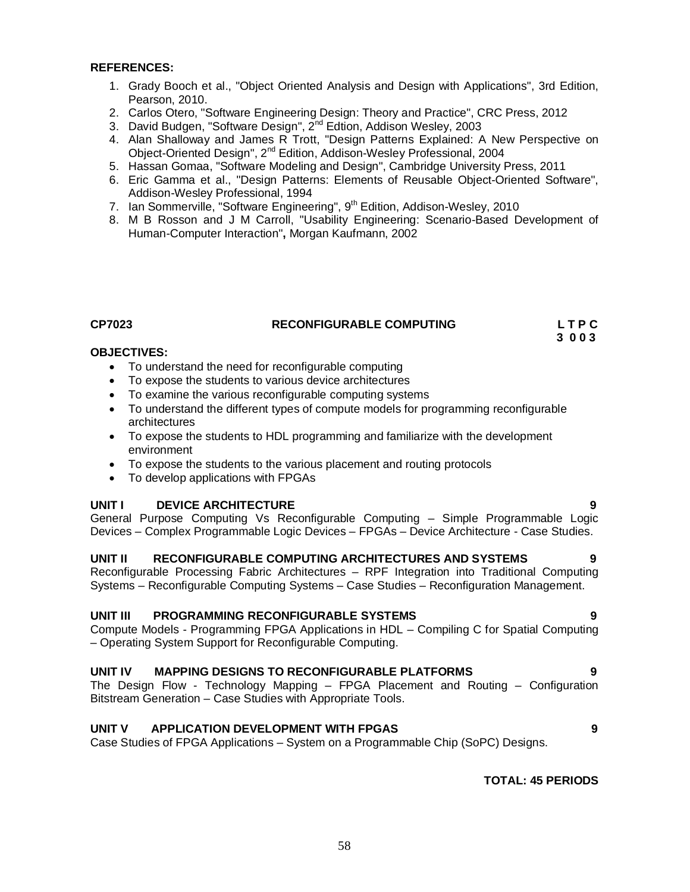#### **REFERENCES:**

- 1. Grady Booch et al., "Object Oriented Analysis and Design with Applications", 3rd Edition, Pearson, 2010.
- 2. Carlos Otero, "Software Engineering Design: Theory and Practice", CRC Press, 2012
- 3. David Budgen, "Software Design", 2<sup>nd</sup> Edtion, Addison Wesley, 2003
- 4. Alan Shalloway and James R Trott, "Design Patterns Explained: A New Perspective on Object-Oriented Design", 2nd Edition, Addison-Wesley Professional, 2004
- 5. Hassan Gomaa, "Software Modeling and Design", Cambridge University Press, 2011
- 6. Eric Gamma et al., "Design Patterns: Elements of Reusable Object-Oriented Software", Addison-Wesley Professional, 1994
- 7. Ian Sommerville, "Software Engineering", 9<sup>th</sup> Edition, Addison-Wesley, 2010
- 8. M B Rosson and J M Carroll, "Usability Engineering: Scenario-Based Development of Human-Computer Interaction"**,** Morgan Kaufmann, 2002

### **CP7023 RECONFIGURABLE COMPUTING L T P C**

 **3 0 0 3**

#### **OBJECTIVES:**

- To understand the need for reconfigurable computing
- To expose the students to various device architectures
- To examine the various reconfigurable computing systems
- To understand the different types of compute models for programming reconfigurable architectures
- To expose the students to HDL programming and familiarize with the development environment
- To expose the students to the various placement and routing protocols
- To develop applications with FPGAs

# **UNIT I DEVICE ARCHITECTURE 9**

General Purpose Computing Vs Reconfigurable Computing – Simple Programmable Logic Devices – Complex Programmable Logic Devices – FPGAs – Device Architecture - Case Studies.

## **UNIT II RECONFIGURABLE COMPUTING ARCHITECTURES AND SYSTEMS 9**

Reconfigurable Processing Fabric Architectures – RPF Integration into Traditional Computing Systems – Reconfigurable Computing Systems – Case Studies – Reconfiguration Management.

# **UNIT III PROGRAMMING RECONFIGURABLE SYSTEMS 9**

Compute Models - Programming FPGA Applications in HDL – Compiling C for Spatial Computing – Operating System Support for Reconfigurable Computing.

# **UNIT IV MAPPING DESIGNS TO RECONFIGURABLE PLATFORMS 9**

The Design Flow - Technology Mapping – FPGA Placement and Routing – Configuration Bitstream Generation – Case Studies with Appropriate Tools.

# **UNIT V APPLICATION DEVELOPMENT WITH FPGAS 9**

Case Studies of FPGA Applications – System on a Programmable Chip (SoPC) Designs.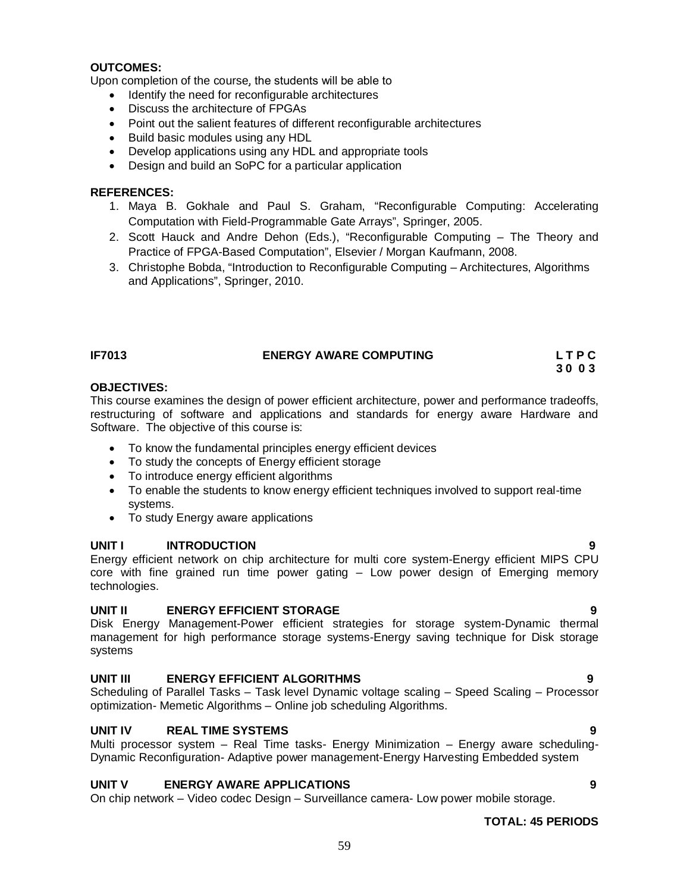Upon completion of the course, the students will be able to

- Identify the need for reconfigurable architectures
- Discuss the architecture of FPGAs
- Point out the salient features of different reconfigurable architectures
- Build basic modules using any HDL
- Develop applications using any HDL and appropriate tools
- Design and build an SoPC for a particular application

#### **REFERENCES:**

- 1. Maya B. Gokhale and Paul S. Graham, "Reconfigurable Computing: Accelerating Computation with Field-Programmable Gate Arrays", Springer, 2005.
- 2. Scott Hauck and Andre Dehon (Eds.), "Reconfigurable Computing The Theory and Practice of FPGA-Based Computation", Elsevier / Morgan Kaufmann, 2008.
- 3. Christophe Bobda, "Introduction to Reconfigurable Computing Architectures, Algorithms and Applications", Springer, 2010.

| <b>IF7013</b> | <b>ENERGY AWARE COMPUTING</b> | LTPC |
|---------------|-------------------------------|------|
|               |                               | 3003 |

### **OBJECTIVES:**

This course examines the design of power efficient architecture, power and performance tradeoffs, restructuring of software and applications and standards for energy aware Hardware and Software. The objective of this course is:

- To know the fundamental principles energy efficient devices
- To study the concepts of Energy efficient storage
- To introduce energy efficient algorithms
- To enable the students to know energy efficient techniques involved to support real-time systems.
- To study Energy aware applications

#### **UNIT I INTRODUCTION 9**

Energy efficient network on chip architecture for multi core system-Energy efficient MIPS CPU core with fine grained run time power gating – Low power design of Emerging memory technologies.

#### **UNIT II ENERGY EFFICIENT STORAGE 9**

Disk Energy Management-Power efficient strategies for storage system-Dynamic thermal management for high performance storage systems-Energy saving technique for Disk storage systems

# **UNIT III ENERGY EFFICIENT ALGORITHMS 9**

Scheduling of Parallel Tasks – Task level Dynamic voltage scaling – Speed Scaling – Processor optimization- Memetic Algorithms – Online job scheduling Algorithms.

# **UNIT IV REAL TIME SYSTEMS 9**

Multi processor system – Real Time tasks- Energy Minimization – Energy aware scheduling-Dynamic Reconfiguration- Adaptive power management-Energy Harvesting Embedded system

# **UNIT V ENERGY AWARE APPLICATIONS 9**

On chip network – Video codec Design – Surveillance camera- Low power mobile storage.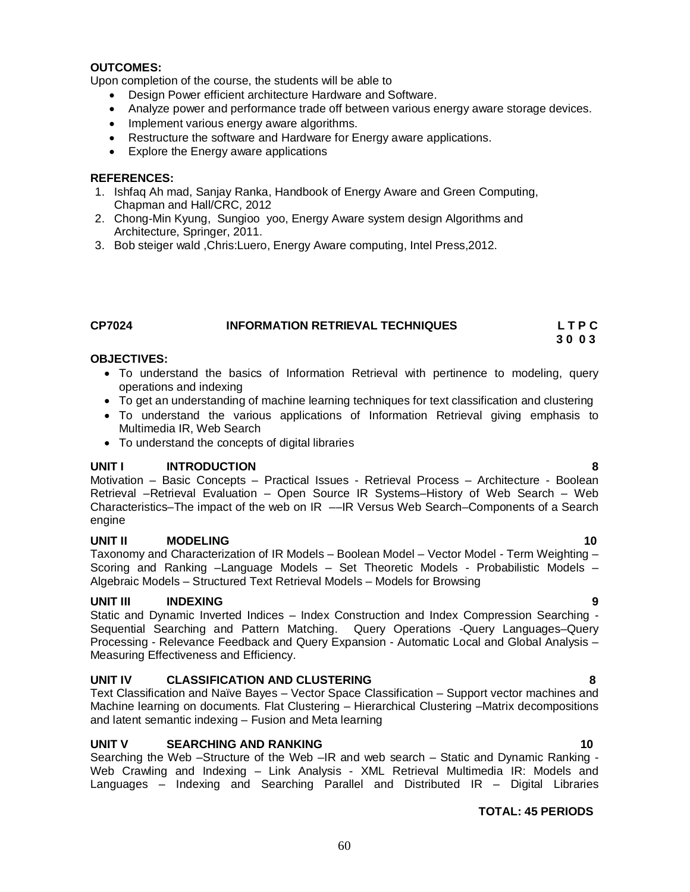Upon completion of the course, the students will be able to

- Design Power efficient architecture Hardware and Software.
- Analyze power and performance trade off between various energy aware storage devices.
- Implement various energy aware algorithms.
- Restructure the software and Hardware for Energy aware applications.
- Explore the Energy aware applications

#### **REFERENCES:**

- 1. Ishfaq Ah mad, Sanjay Ranka, Handbook of Energy Aware and Green Computing, Chapman and Hall/CRC, 2012
- 2. Chong-Min Kyung, Sungioo yoo, Energy Aware system design Algorithms and Architecture, Springer, 2011.
- 3. Bob steiger wald ,Chris:Luero, Energy Aware computing, Intel Press,2012.

| <b>CP7024</b> | <b>INFORMATION RETRIEVAL TECHNIQUES</b> | LTPC |
|---------------|-----------------------------------------|------|
|               |                                         |      |

 **3 0 0 3**

### **OBJECTIVES:**

- To understand the basics of Information Retrieval with pertinence to modeling, query operations and indexing
- To get an understanding of machine learning techniques for text classification and clustering
- To understand the various applications of Information Retrieval giving emphasis to Multimedia IR, Web Search
- To understand the concepts of digital libraries

# **UNIT I INTRODUCTION 8**

Motivation – Basic Concepts – Practical Issues - Retrieval Process – Architecture - Boolean Retrieval –Retrieval Evaluation – Open Source IR Systems–History of Web Search – Web Characteristics–The impact of the web on IR ––IR Versus Web Search–Components of a Search engine

# **UNIT II MODELING 10**

Taxonomy and Characterization of IR Models – Boolean Model – Vector Model - Term Weighting – Scoring and Ranking –Language Models – Set Theoretic Models - Probabilistic Models – Algebraic Models – Structured Text Retrieval Models – Models for Browsing

# **UNIT III INDEXING 9**

Static and Dynamic Inverted Indices – Index Construction and Index Compression Searching - Sequential Searching and Pattern Matching. Query Operations -Query Languages–Query Processing - Relevance Feedback and Query Expansion - Automatic Local and Global Analysis – Measuring Effectiveness and Efficiency.

# **UNIT IV CLASSIFICATION AND CLUSTERING 8**

Text Classification and Naïve Bayes – Vector Space Classification – Support vector machines and Machine learning on documents. Flat Clustering – Hierarchical Clustering –Matrix decompositions and latent semantic indexing – Fusion and Meta learning

### **UNIT V SEARCHING AND RANKING 10** 10

Searching the Web –Structure of the Web –IR and web search – Static and Dynamic Ranking - Web Crawling and Indexing – Link Analysis - XML Retrieval Multimedia IR: Models and Languages – Indexing and Searching Parallel and Distributed IR – Digital Libraries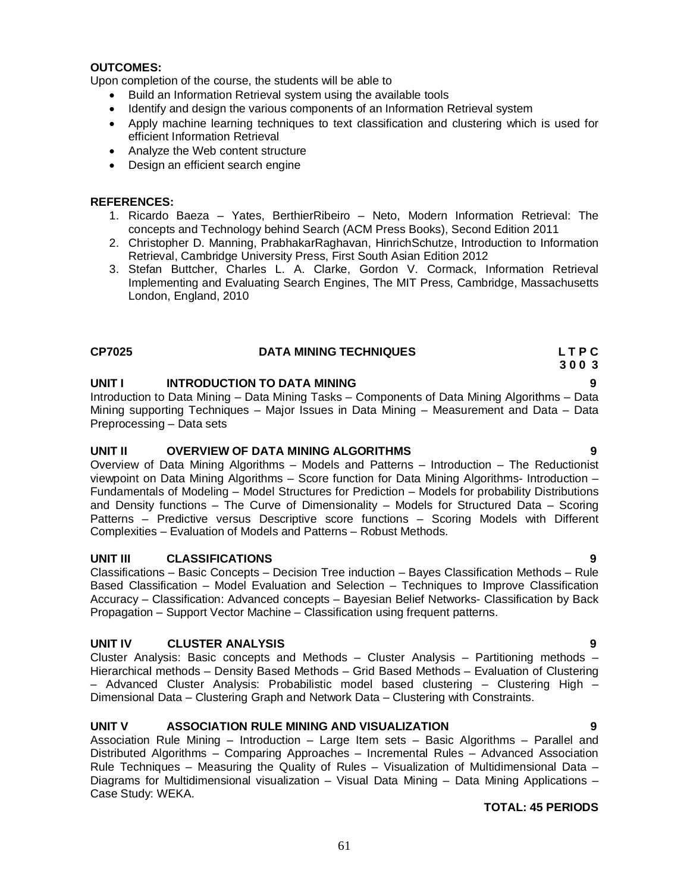Upon completion of the course, the students will be able to

- Build an Information Retrieval system using the available tools
- Identify and design the various components of an Information Retrieval system
- Apply machine learning techniques to text classification and clustering which is used for efficient Information Retrieval
- Analyze the Web content structure
- Design an efficient search engine

#### **REFERENCES:**

- 1. Ricardo Baeza Yates, BerthierRibeiro Neto, Modern Information Retrieval: The concepts and Technology behind Search (ACM Press Books), Second Edition 2011
- 2. Christopher D. Manning, PrabhakarRaghavan, HinrichSchutze, Introduction to Information Retrieval, Cambridge University Press, First South Asian Edition 2012
- 3. Stefan Buttcher, Charles L. A. Clarke, Gordon V. Cormack, Information Retrieval Implementing and Evaluating Search Engines, The MIT Press, Cambridge, Massachusetts London, England, 2010

#### **CP7025 DATA MINING TECHNIQUES L T P C 3 0 0 3**

### **UNIT I INTRODUCTION TO DATA MINING 9**

Introduction to Data Mining – Data Mining Tasks – Components of Data Mining Algorithms – Data Mining supporting Techniques – Major Issues in Data Mining – Measurement and Data – Data Preprocessing – Data sets

#### **UNIT II OVERVIEW OF DATA MINING ALGORITHMS 9**

Overview of Data Mining Algorithms – Models and Patterns – Introduction – The Reductionist viewpoint on Data Mining Algorithms – Score function for Data Mining Algorithms- Introduction – Fundamentals of Modeling – Model Structures for Prediction – Models for probability Distributions and Density functions – The Curve of Dimensionality – Models for Structured Data – Scoring Patterns – Predictive versus Descriptive score functions – Scoring Models with Different Complexities – Evaluation of Models and Patterns – Robust Methods.

#### **UNIT III CLASSIFICATIONS 9**

Classifications – Basic Concepts – Decision Tree induction – Bayes Classification Methods – Rule Based Classification – Model Evaluation and Selection – Techniques to Improve Classification Accuracy – Classification: Advanced concepts – Bayesian Belief Networks- Classification by Back Propagation – Support Vector Machine – Classification using frequent patterns.

#### **UNIT IV CLUSTER ANALYSIS 9**

Cluster Analysis: Basic concepts and Methods – Cluster Analysis – Partitioning methods – Hierarchical methods – Density Based Methods – Grid Based Methods – Evaluation of Clustering – Advanced Cluster Analysis: Probabilistic model based clustering – Clustering High – Dimensional Data – Clustering Graph and Network Data – Clustering with Constraints.

# **UNIT V ASSOCIATION RULE MINING AND VISUALIZATION 9**

Association Rule Mining – Introduction – Large Item sets – Basic Algorithms – Parallel and Distributed Algorithms – Comparing Approaches – Incremental Rules – Advanced Association Rule Techniques – Measuring the Quality of Rules – Visualization of Multidimensional Data – Diagrams for Multidimensional visualization - Visual Data Mining - Data Mining Applications -Case Study: WEKA.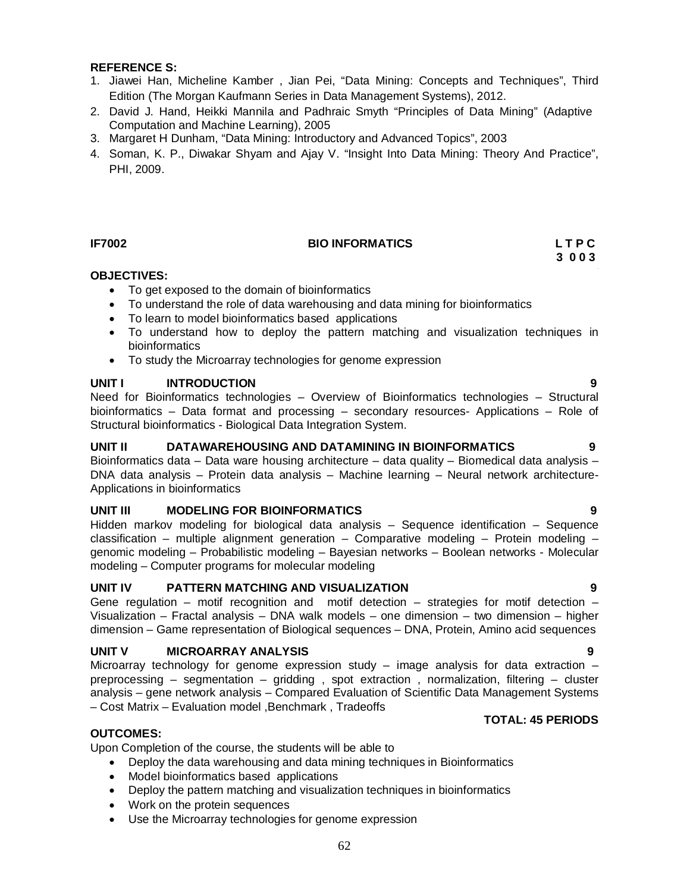### **REFERENCE S:**

- 1. Jiawei Han, Micheline Kamber , Jian Pei, "Data Mining: Concepts and Techniques", Third Edition (The Morgan Kaufmann Series in Data Management Systems), 2012.
- 2. David J. Hand, Heikki Mannila and Padhraic Smyth "Principles of Data Mining" (Adaptive Computation and Machine Learning), 2005
- 3. Margaret H Dunham, "Data Mining: Introductory and Advanced Topics", 2003
- 4. Soman, K. P., Diwakar Shyam and Ajay V. "Insight Into Data Mining: Theory And Practice", PHI, 2009.

# **IF7002 BIO INFORMATICS L T P C**

# **3 0 0 3**

# **OBJECTIVES:**

- To get exposed to the domain of bioinformatics
- To understand the role of data warehousing and data mining for bioinformatics
- To learn to model bioinformatics based applications
- To understand how to deploy the pattern matching and visualization techniques in bioinformatics
- To study the Microarray technologies for genome expression

# **UNIT I INTRODUCTION 9**

Need for Bioinformatics technologies – Overview of Bioinformatics technologies – Structural bioinformatics – Data format and processing – secondary resources- Applications – Role of Structural bioinformatics - Biological Data Integration System.

# **UNIT II DATAWAREHOUSING AND DATAMINING IN BIOINFORMATICS 9**

Bioinformatics data – Data ware housing architecture – data quality – Biomedical data analysis – DNA data analysis – Protein data analysis – Machine learning – Neural network architecture-Applications in bioinformatics

# **UNIT III MODELING FOR BIOINFORMATICS 9**

Hidden markov modeling for biological data analysis – Sequence identification – Sequence classification – multiple alignment generation – Comparative modeling – Protein modeling – genomic modeling – Probabilistic modeling – Bayesian networks – Boolean networks - Molecular modeling – Computer programs for molecular modeling

# **UNIT IV PATTERN MATCHING AND VISUALIZATION 9**

Gene regulation – motif recognition and motif detection – strategies for motif detection – Visualization – Fractal analysis – DNA walk models – one dimension – two dimension – higher dimension – Game representation of Biological sequences – DNA, Protein, Amino acid sequences

# **UNIT V MICROARRAY ANALYSIS 9**

Microarray technology for genome expression study – image analysis for data extraction – preprocessing – segmentation – gridding , spot extraction , normalization, filtering – cluster analysis – gene network analysis – Compared Evaluation of Scientific Data Management Systems – Cost Matrix – Evaluation model ,Benchmark , Tradeoffs

# **OUTCOMES:**

Upon Completion of the course, the students will be able to

- Deploy the data warehousing and data mining techniques in Bioinformatics
- Model bioinformatics based applications
- Deploy the pattern matching and visualization techniques in bioinformatics
- Work on the protein sequences
- Use the Microarray technologies for genome expression

62

- 
-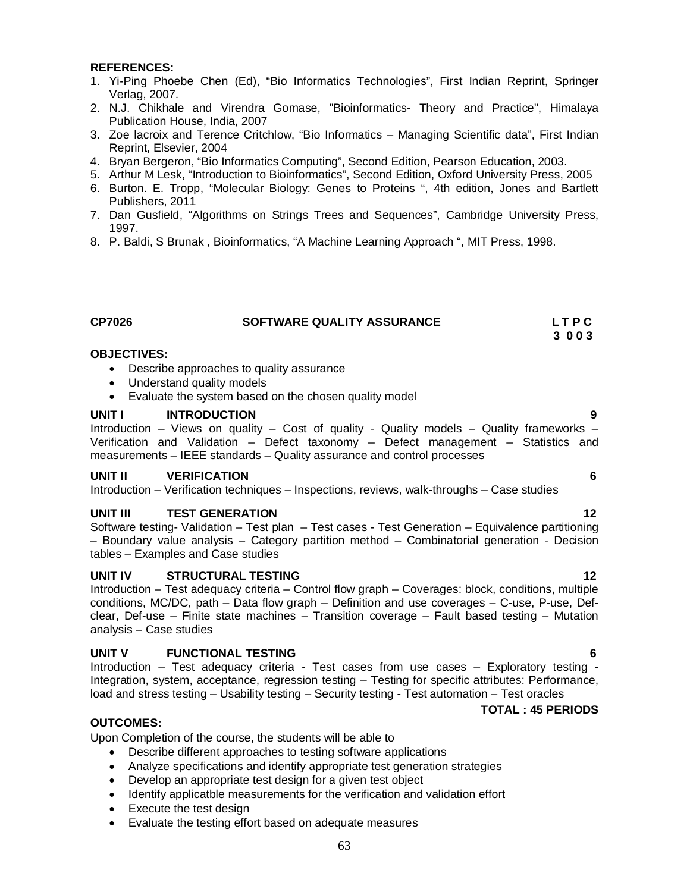### **REFERENCES:**

- 1. Yi-Ping Phoebe Chen (Ed), "Bio Informatics Technologies", First Indian Reprint, Springer Verlag, 2007.
- 2. N.J. Chikhale and Virendra Gomase, "Bioinformatics- Theory and Practice", Himalaya Publication House, India, 2007
- 3. Zoe lacroix and Terence Critchlow, "Bio Informatics Managing Scientific data", First Indian Reprint, Elsevier, 2004
- 4. Bryan Bergeron, "Bio Informatics Computing", Second Edition, Pearson Education, 2003.
- 5. Arthur M Lesk, "Introduction to Bioinformatics", Second Edition, Oxford University Press, 2005
- 6. Burton. E. Tropp, "Molecular Biology: Genes to Proteins ", 4th edition, Jones and Bartlett Publishers, 2011
- 7. Dan Gusfield, "Algorithms on Strings Trees and Sequences", Cambridge University Press, 1997.
- 8. P. Baldi, S Brunak , Bioinformatics, "A Machine Learning Approach ", MIT Press, 1998.

| <b>CP7026</b> | <b>SOFTWARE QUALITY ASSURANCE</b> | LTPC    |
|---------------|-----------------------------------|---------|
|               |                                   | 3 0 0 3 |

#### **OBJECTIVES:**

- Describe approaches to quality assurance
- Understand quality models
- Evaluate the system based on the chosen quality model

### **UNIT I INTRODUCTION 9**

Introduction – Views on quality – Cost of quality - Quality models – Quality frameworks – Verification and Validation – Defect taxonomy – Defect management – Statistics and measurements – IEEE standards – Quality assurance and control processes

#### **UNIT II VERIFICATION 6**

Introduction – Verification techniques – Inspections, reviews, walk-throughs – Case studies

# **UNIT III TEST GENERATION 12**

Software testing- Validation – Test plan – Test cases - Test Generation – Equivalence partitioning – Boundary value analysis – Category partition method – Combinatorial generation - Decision tables – Examples and Case studies

# **UNIT IV STRUCTURAL TESTING 12**

Introduction – Test adequacy criteria – Control flow graph – Coverages: block, conditions, multiple conditions, MC/DC, path – Data flow graph – Definition and use coverages – C-use, P-use, Defclear, Def-use – Finite state machines – Transition coverage – Fault based testing – Mutation analysis – Case studies

#### **UNIT V FUNCTIONAL TESTING 6**

Introduction – Test adequacy criteria - Test cases from use cases – Exploratory testing - Integration, system, acceptance, regression testing – Testing for specific attributes: Performance, load and stress testing – Usability testing – Security testing - Test automation – Test oracles

#### **TOTAL : 45 PERIODS**

#### **OUTCOMES:**

Upon Completion of the course, the students will be able to

- Describe different approaches to testing software applications
- Analyze specifications and identify appropriate test generation strategies
- Develop an appropriate test design for a given test object
- Identify applicatble measurements for the verification and validation effort
- Execute the test design
- Evaluate the testing effort based on adequate measures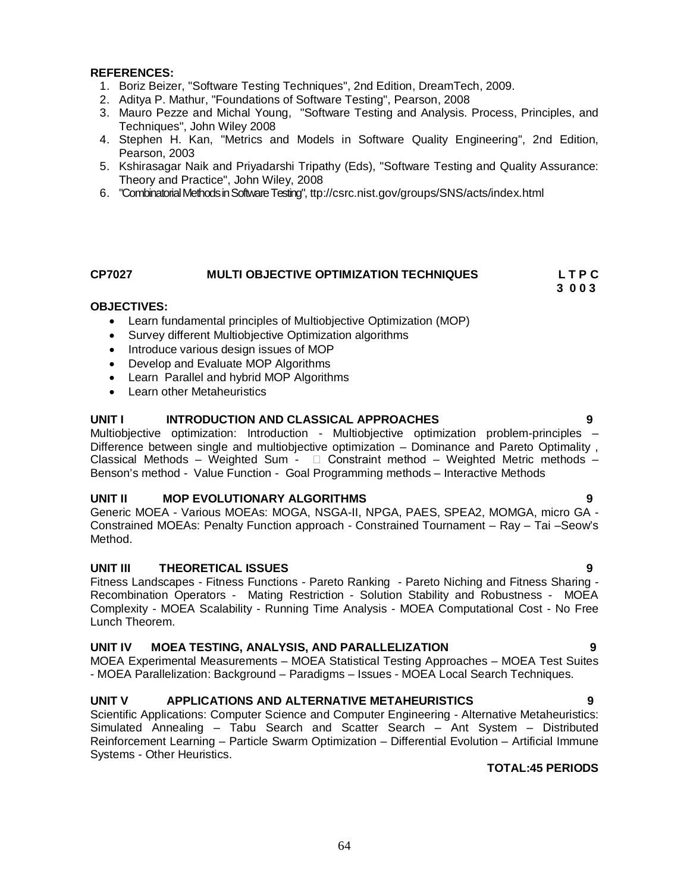#### **REFERENCES:**

- 1. Boriz Beizer, "Software Testing Techniques", 2nd Edition, DreamTech, 2009.
- 2. Aditya P. Mathur, "Foundations of Software Testing", Pearson, 2008
- 3. Mauro Pezze and Michal Young, "Software Testing and Analysis. Process, Principles, and Techniques", John Wiley 2008
- 4. Stephen H. Kan, "Metrics and Models in Software Quality Engineering", 2nd Edition, Pearson, 2003
- 5. Kshirasagar Naik and Priyadarshi Tripathy (Eds), "Software Testing and Quality Assurance: Theory and Practice", John Wiley, 2008
- 6. "Combinatorial Methods in Software Testing", ttp://csrc.nist.gov/groups/SNS/acts/index.html

# **CP7027 MULTI OBJECTIVE OPTIMIZATION TECHNIQUES L T P C**

# **3 0 0 3**

#### **OBJECTIVES:**

- Learn fundamental principles of Multiobjective Optimization (MOP)
- Survey different Multiobjective Optimization algorithms
- Introduce various design issues of MOP
- Develop and Evaluate MOP Algorithms
- Learn Parallel and hybrid MOP Algorithms
- Learn other Metaheuristics

#### **UNIT I INTRODUCTION AND CLASSICAL APPROACHES 9**

Multiobjective optimization: Introduction - Multiobjective optimization problem-principles -Difference between single and multiobjective optimization – Dominance and Pareto Optimality , Classical Methods – Weighted Sum -  $\Box$  Constraint method – Weighted Metric methods – Benson's method - Value Function - Goal Programming methods – Interactive Methods

#### **UNIT II MOP EVOLUTIONARY ALGORITHMS 9**

Generic MOEA - Various MOEAs: MOGA, NSGA-II, NPGA, PAES, SPEA2, MOMGA, micro GA - Constrained MOEAs: Penalty Function approach - Constrained Tournament – Ray – Tai –Seow's Method.

#### **UNIT III THEORETICAL ISSUES 9**

Fitness Landscapes - Fitness Functions - Pareto Ranking - Pareto Niching and Fitness Sharing - Recombination Operators - Mating Restriction - Solution Stability and Robustness - MOEA Complexity - MOEA Scalability - Running Time Analysis - MOEA Computational Cost - No Free Lunch Theorem.

#### **UNIT IV MOEA TESTING, ANALYSIS, AND PARALLELIZATION 9**

MOEA Experimental Measurements – MOEA Statistical Testing Approaches – MOEA Test Suites - MOEA Parallelization: Background – Paradigms – Issues - MOEA Local Search Techniques.

#### **UNIT V APPLICATIONS AND ALTERNATIVE METAHEURISTICS 9**

Scientific Applications: Computer Science and Computer Engineering - Alternative Metaheuristics: Simulated Annealing – Tabu Search and Scatter Search – Ant System – Distributed Reinforcement Learning – Particle Swarm Optimization – Differential Evolution – Artificial Immune Systems - Other Heuristics.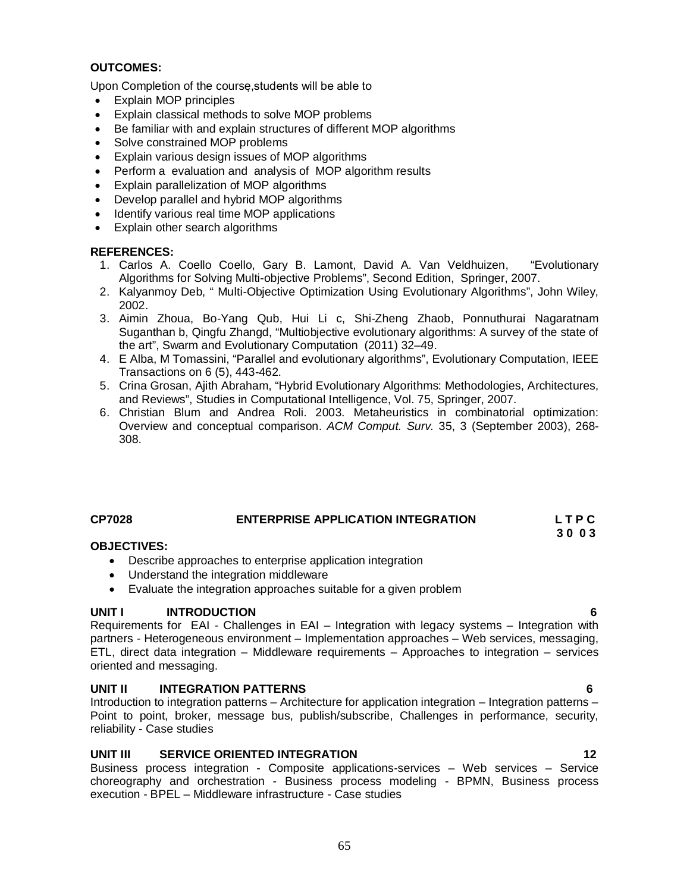Upon Completion of the course,students will be able to

- Explain MOP principles
- Explain classical methods to solve MOP problems
- Be familiar with and explain structures of different MOP algorithms
- Solve constrained MOP problems
- Explain various design issues of MOP algorithms
- Perform a evaluation and analysis of MOP algorithm results
- Explain parallelization of MOP algorithms
- Develop parallel and hybrid MOP algorithms
- Identify various real time MOP applications
- Explain other search algorithms

### **REFERENCES:**

- 1. Carlos A. Coello Coello, Gary B. Lamont, David A. Van Veldhuizen, "Evolutionary Algorithms for Solving Multi-objective Problems", Second Edition, Springer, 2007.
- 2. Kalyanmoy Deb, " Multi-Objective Optimization Using Evolutionary Algorithms", John Wiley, 2002.
- 3. Aimin Zhoua, Bo-Yang Qub, Hui Li c, Shi-Zheng Zhaob, Ponnuthurai Nagaratnam Suganthan b, Qingfu Zhangd, "Multiobjective evolutionary algorithms: A survey of the state of the art", Swarm and Evolutionary Computation (2011) 32–49.
- 4. E Alba, M Tomassini, "Parallel and evolutionary algorithms", Evolutionary Computation, IEEE Transactions on 6 (5), 443-462.
- 5. Crina Grosan, Ajith Abraham, "Hybrid Evolutionary Algorithms: Methodologies, Architectures, and Reviews", Studies in Computational Intelligence, Vol. 75, Springer, 2007.
- 6. Christian Blum and Andrea Roli. 2003. Metaheuristics in combinatorial optimization: Overview and conceptual comparison. *ACM Comput. Surv.* 35, 3 (September 2003), 268- 308.

# **CP7028 ENTERPRISE APPLICATION INTEGRATION L T P C**

# **3 0 0 3**

#### **OBJECTIVES:**

- Describe approaches to enterprise application integration
- Understand the integration middleware
- Evaluate the integration approaches suitable for a given problem

# UNIT **INTRODUCTION**

Requirements for EAI - Challenges in EAI – Integration with legacy systems – Integration with partners - Heterogeneous environment – Implementation approaches – Web services, messaging, ETL, direct data integration – Middleware requirements – Approaches to integration – services oriented and messaging.

# **UNIT II INTEGRATION PATTERNS 6**

Introduction to integration patterns – Architecture for application integration – Integration patterns – Point to point, broker, message bus, publish/subscribe, Challenges in performance, security, reliability - Case studies

# **UNIT III SERVICE ORIENTED INTEGRATION 12**

Business process integration - Composite applications-services – Web services – Service choreography and orchestration - Business process modeling - BPMN, Business process execution - BPEL – Middleware infrastructure - Case studies

# 65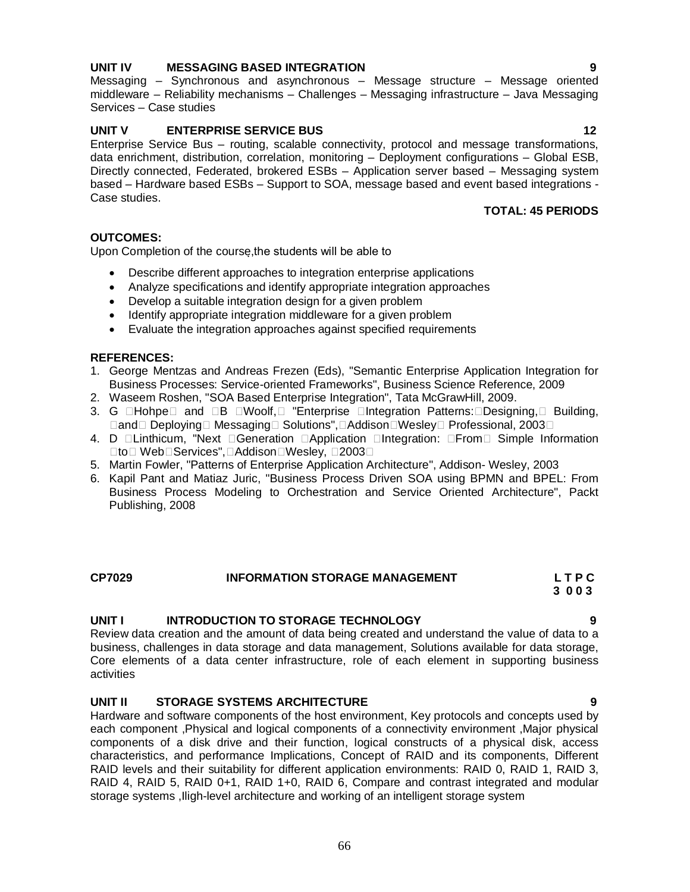## **UNIT IV MESSAGING BASED INTEGRATION 9**

Messaging – Synchronous and asynchronous – Message structure – Message oriented middleware – Reliability mechanisms – Challenges – Messaging infrastructure – Java Messaging Services – Case studies

# **UNIT V ENTERPRISE SERVICE BUS 12**

Enterprise Service Bus – routing, scalable connectivity, protocol and message transformations, data enrichment, distribution, correlation, monitoring – Deployment configurations – Global ESB, Directly connected, Federated, brokered ESBs – Application server based – Messaging system based – Hardware based ESBs – Support to SOA, message based and event based integrations - Case studies.

### **TOTAL: 45 PERIODS**

# **OUTCOMES:**

Upon Completion of the course,the students will be able to

- Describe different approaches to integration enterprise applications
- Analyze specifications and identify appropriate integration approaches
- Develop a suitable integration design for a given problem
- Identify appropriate integration middleware for a given problem
- Evaluate the integration approaches against specified requirements

### **REFERENCES:**

- 1. George Mentzas and Andreas Frezen (Eds), "Semantic Enterprise Application Integration for Business Processes: Service-oriented Frameworks", Business Science Reference, 2009
- 2. Waseem Roshen, "SOA Based Enterprise Integration", Tata McGrawHill, 2009.
- 3. G  $\Box$  Hohpe $\Box$  and  $\Box$ B  $\Box$  Woolf,  $\Box$  "Enterprise  $\Box$  Integration Patterns:  $\Box$  Designing,  $\Box$  Building,  $\Box$ and $\Box$  Deploying $\Box$  Messaging $\Box$  Solutions", $\Box$ Addison $\Box$ Wesley $\Box$  Professional, 2003 $\Box$
- 4. D **Linthicum, "Next Generation DApplication Dintegration: OFrom D Simple Information □to** Web□Services",□Addison□Wesley, □2003□
- 5. Martin Fowler, "Patterns of Enterprise Application Architecture", Addison- Wesley, 2003
- 6. Kapil Pant and Matiaz Juric, "Business Process Driven SOA using BPMN and BPEL: From Business Process Modeling to Orchestration and Service Oriented Architecture", Packt Publishing, 2008

# **CP7029 INFORMATION STORAGE MANAGEMENT L T P C**

 **3 003** 

# **UNIT I INTRODUCTION TO STORAGE TECHNOLOGY 9**

Review data creation and the amount of data being created and understand the value of data to a business, challenges in data storage and data management, Solutions available for data storage, Core elements of a data center infrastructure, role of each element in supporting business activities

# **UNIT II STORAGE SYSTEMS ARCHITECTURE 9**

Hardware and software components of the host environment, Key protocols and concepts used by each component ,Physical and logical components of a connectivity environment ,Major physical components of a disk drive and their function, logical constructs of a physical disk, access characteristics, and performance Implications, Concept of RAID and its components, Different RAID levels and their suitability for different application environments: RAID 0, RAID 1, RAID 3, RAID 4, RAID 5, RAID 0+1, RAID 1+0, RAID 6, Compare and contrast integrated and modular storage systems ,Iligh-level architecture and working of an intelligent storage system

66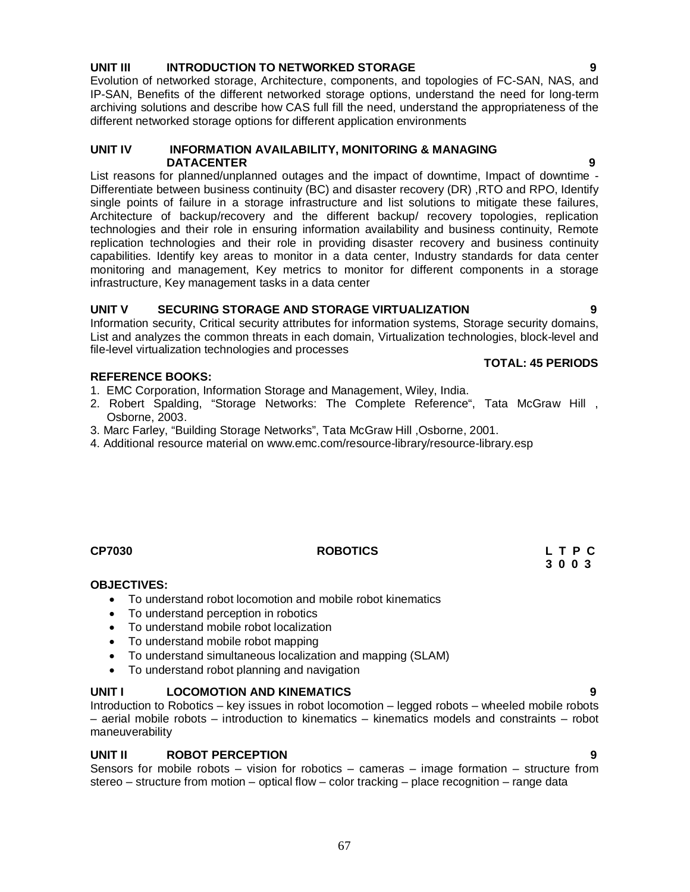# **UNIT III INTRODUCTION TO NETWORKED STORAGE 9**

Evolution of networked storage, Architecture, components, and topologies of FC-SAN, NAS, and IP-SAN, Benefits of the different networked storage options, understand the need for long-term archiving solutions and describe how CAS full fill the need, understand the appropriateness of the different networked storage options for different application environments

### **UNIT IV INFORMATION AVAILABILITY, MONITORING & MANAGING DATACENTER 9**

List reasons for planned/unplanned outages and the impact of downtime, Impact of downtime - Differentiate between business continuity (BC) and disaster recovery (DR) ,RTO and RPO, Identify single points of failure in a storage infrastructure and list solutions to mitigate these failures, Architecture of backup/recovery and the different backup/ recovery topologies, replication technologies and their role in ensuring information availability and business continuity, Remote replication technologies and their role in providing disaster recovery and business continuity capabilities. Identify key areas to monitor in a data center, Industry standards for data center monitoring and management, Key metrics to monitor for different components in a storage infrastructure, Key management tasks in a data center

# **UNIT V SECURING STORAGE AND STORAGE VIRTUALIZATION 9**

Information security, Critical security attributes for information systems, Storage security domains, List and analyzes the common threats in each domain, Virtualization technologies, block-level and file-level virtualization technologies and processes

# **REFERENCE BOOKS:**

- 1. EMC Corporation, Information Storage and Management, Wiley, India.
- 2. Robert Spalding, "Storage Networks: The Complete Reference", Tata McGraw Hill , Osborne, 2003.
- 3. Marc Farley, "Building Storage Networks", Tata McGraw Hill ,Osborne, 2001.
- 4. Additional resource material on www.emc.com/resource-library/resource-library.esp

# **OBJECTIVES:**

- To understand robot locomotion and mobile robot kinematics
- To understand perception in robotics
- To understand mobile robot localization
- To understand mobile robot mapping
- To understand simultaneous localization and mapping (SLAM)
- To understand robot planning and navigation

# **UNIT I LOCOMOTION AND KINEMATICS 9**

Introduction to Robotics – key issues in robot locomotion – legged robots – wheeled mobile robots – aerial mobile robots – introduction to kinematics – kinematics models and constraints – robot maneuverability

# **UNIT II ROBOT PERCEPTION 9**

Sensors for mobile robots – vision for robotics – cameras – image formation – structure from stereo – structure from motion – optical flow – color tracking – place recognition – range data

**TOTAL: 45 PERIODS**

**CP7030 ROBOTICS L T P C 3 0 0 3**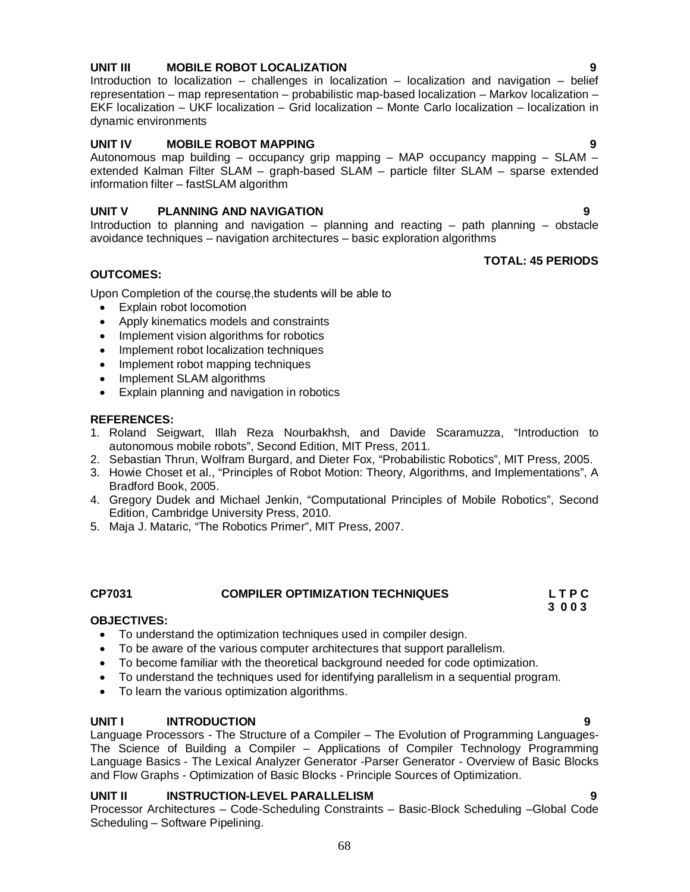# 68

# **UNIT III MOBILE ROBOT LOCALIZATION 9**

Introduction to localization – challenges in localization – localization and navigation – belief representation – map representation – probabilistic map-based localization – Markov localization – EKF localization – UKF localization – Grid localization – Monte Carlo localization – localization in dynamic environments

# **UNIT IV MOBILE ROBOT MAPPING 9**

Autonomous map building – occupancy grip mapping – MAP occupancy mapping – SLAM – extended Kalman Filter SLAM – graph-based SLAM – particle filter SLAM – sparse extended information filter – fastSLAM algorithm

# **UNIT V PLANNING AND NAVIGATION 9**

Introduction to planning and navigation – planning and reacting – path planning – obstacle avoidance techniques – navigation architectures – basic exploration algorithms

# **OUTCOMES:**

Upon Completion of the course,the students will be able to

- Explain robot locomotion
- Apply kinematics models and constraints
- Implement vision algorithms for robotics
- Implement robot localization techniques
- Implement robot mapping techniques
- Implement SLAM algorithms
- Explain planning and navigation in robotics

# **REFERENCES:**

- 1. Roland Seigwart, Illah Reza Nourbakhsh, and Davide Scaramuzza, "Introduction to autonomous mobile robots", Second Edition, MIT Press, 2011.
- 2. Sebastian Thrun, Wolfram Burgard, and Dieter Fox, "Probabilistic Robotics", MIT Press, 2005.
- 3. Howie Choset et al., "Principles of Robot Motion: Theory, Algorithms, and Implementations", A Bradford Book, 2005.
- 4. Gregory Dudek and Michael Jenkin, "Computational Principles of Mobile Robotics", Second Edition, Cambridge University Press, 2010.
- 5. Maja J. Mataric, "The Robotics Primer", MIT Press, 2007.

# **CP7031 COMPILER OPTIMIZATION TECHNIQUES L T P C**

# **OBJECTIVES:**

- To understand the optimization techniques used in compiler design.
- To be aware of the various computer architectures that support parallelism.
- To become familiar with the theoretical background needed for code optimization.
- To understand the techniques used for identifying parallelism in a sequential program.
- To learn the various optimization algorithms.

# **UNIT I INTRODUCTION 9**

Language Processors - The Structure of a Compiler – The Evolution of Programming Languages-The Science of Building a Compiler – Applications of Compiler Technology Programming Language Basics - The Lexical Analyzer Generator -Parser Generator - Overview of Basic Blocks and Flow Graphs - Optimization of Basic Blocks - Principle Sources of Optimization.

# **UNIT II INSTRUCTION-LEVEL PARALLELISM 9**

Processor Architectures – Code-Scheduling Constraints – Basic-Block Scheduling –Global Code Scheduling – Software Pipelining.

**TOTAL: 45 PERIODS**

 **3 0 0 3**